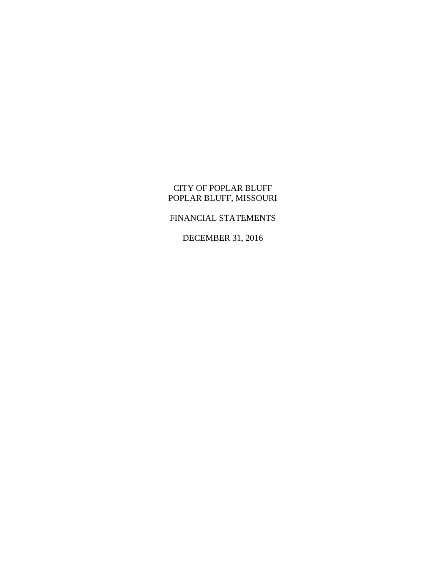# CITY OF POPLAR BLUFF POPLAR BLUFF, MISSOURI

# FINANCIAL STATEMENTS

DECEMBER 31, 2016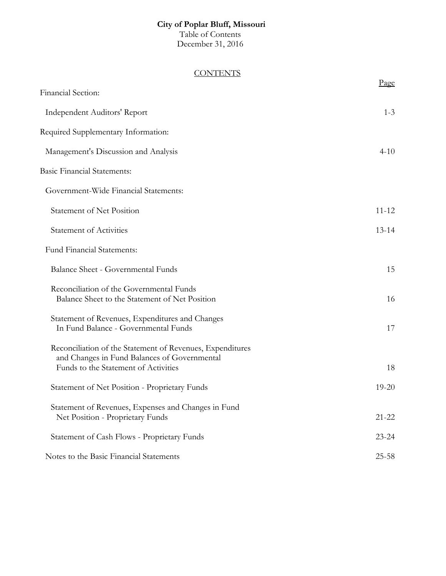Table of Contents December 31, 2016

# **CONTENTS**

|                                                                                            | Page      |
|--------------------------------------------------------------------------------------------|-----------|
| Financial Section:                                                                         |           |
| <b>Independent Auditors' Report</b>                                                        | $1 - 3$   |
| Required Supplementary Information:                                                        |           |
| Management's Discussion and Analysis                                                       | $4 - 10$  |
| <b>Basic Financial Statements:</b>                                                         |           |
| Government-Wide Financial Statements:                                                      |           |
| <b>Statement of Net Position</b>                                                           | $11 - 12$ |
| <b>Statement of Activities</b>                                                             | $13 - 14$ |
| <b>Fund Financial Statements:</b>                                                          |           |
| <b>Balance Sheet - Governmental Funds</b>                                                  | 15        |
| Reconciliation of the Governmental Funds<br>Balance Sheet to the Statement of Net Position | 16        |
| Statement of Revenues, Expenditures and Changes<br>In Fund Balance - Governmental Funds    | 17        |
| Reconciliation of the Statement of Revenues, Expenditures                                  |           |
| and Changes in Fund Balances of Governmental<br>Funds to the Statement of Activities       | 18        |
| Statement of Net Position - Proprietary Funds                                              | $19 - 20$ |
| Statement of Revenues, Expenses and Changes in Fund<br>Net Position - Proprietary Funds    | $21 - 22$ |
| Statement of Cash Flows - Proprietary Funds                                                | $23 - 24$ |
| Notes to the Basic Financial Statements                                                    | $25 - 58$ |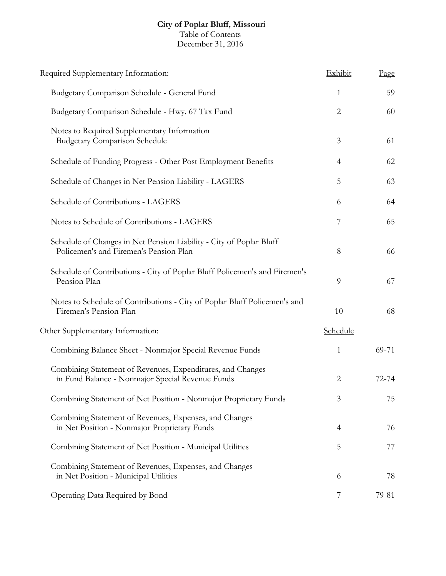## Table of Contents

December 31, 2016

| Required Supplementary Information:                                                                            | Exhibit        | Page      |
|----------------------------------------------------------------------------------------------------------------|----------------|-----------|
| Budgetary Comparison Schedule - General Fund                                                                   | $\mathbf{1}$   | 59        |
| Budgetary Comparison Schedule - Hwy. 67 Tax Fund                                                               | $\overline{2}$ | 60        |
| Notes to Required Supplementary Information<br><b>Budgetary Comparison Schedule</b>                            | 3              | 61        |
| Schedule of Funding Progress - Other Post Employment Benefits                                                  | $\overline{4}$ | 62        |
| Schedule of Changes in Net Pension Liability - LAGERS                                                          | 5              | 63        |
| Schedule of Contributions - LAGERS                                                                             | 6              | 64        |
| Notes to Schedule of Contributions - LAGERS                                                                    | 7              | 65        |
| Schedule of Changes in Net Pension Liability - City of Poplar Bluff<br>Policemen's and Firemen's Pension Plan  | 8              | 66        |
| Schedule of Contributions - City of Poplar Bluff Policemen's and Firemen's<br>Pension Plan                     | 9              | 67        |
| Notes to Schedule of Contributions - City of Poplar Bluff Policemen's and<br>Firemen's Pension Plan            | 10             | 68        |
| Other Supplementary Information:                                                                               | Schedule       |           |
| Combining Balance Sheet - Nonmajor Special Revenue Funds                                                       | 1              | 69-71     |
| Combining Statement of Revenues, Expenditures, and Changes<br>in Fund Balance - Nonmajor Special Revenue Funds | $\overline{2}$ | $72 - 74$ |
| Combining Statement of Net Position - Nonmajor Proprietary Funds                                               | 3              | 75        |
| Combining Statement of Revenues, Expenses, and Changes<br>in Net Position - Nonmajor Proprietary Funds         | $\overline{4}$ | 76        |
| Combining Statement of Net Position - Municipal Utilities                                                      | 5              | 77        |
| Combining Statement of Revenues, Expenses, and Changes<br>in Net Position - Municipal Utilities                | 6              | 78        |
| Operating Data Required by Bond                                                                                | 7              | 79-81     |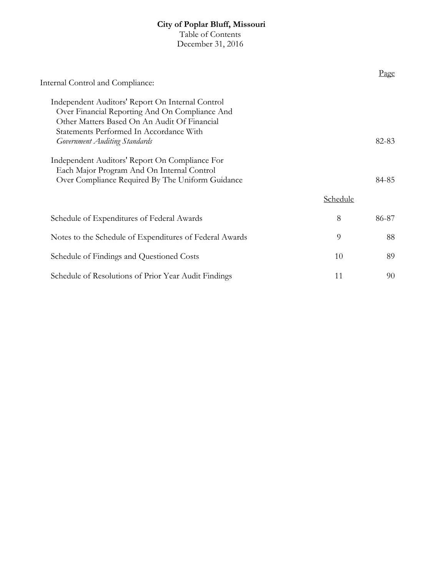#### **City of Poplar Bluff, Missouri** Table of Contents

December 31, 2016

| Internal Control and Compliance:                                                                                                                                                                                               |          | Page  |
|--------------------------------------------------------------------------------------------------------------------------------------------------------------------------------------------------------------------------------|----------|-------|
| Independent Auditors' Report On Internal Control<br>Over Financial Reporting And On Compliance And<br>Other Matters Based On An Audit Of Financial<br>Statements Performed In Accordance With<br>Government Auditing Standards |          | 82-83 |
| Independent Auditors' Report On Compliance For<br>Each Major Program And On Internal Control<br>Over Compliance Required By The Uniform Guidance                                                                               |          | 84-85 |
|                                                                                                                                                                                                                                | Schedule |       |
| Schedule of Expenditures of Federal Awards                                                                                                                                                                                     | 8        | 86-87 |
| Notes to the Schedule of Expenditures of Federal Awards                                                                                                                                                                        | 9        | 88    |
| Schedule of Findings and Questioned Costs                                                                                                                                                                                      | 10       | 89    |
| Schedule of Resolutions of Prior Year Audit Findings                                                                                                                                                                           | 11       | 90    |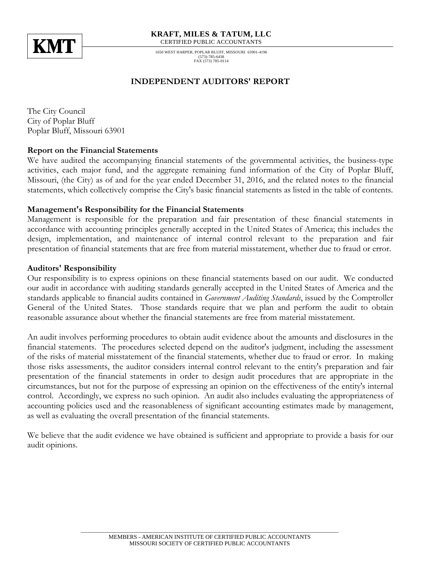

#### **KRAFT, MILES & TATUM, LLC** CERTIFIED PUBLIC ACCOUNTANTS

1650 WEST HARPER, POPLAR BLUFF, MISSOURI 63901-4196 (573)-785-6438 FAX (573) 785-0114

# **INDEPENDENT AUDITORS' REPORT**

The City Council City of Poplar Bluff Poplar Bluff, Missouri 63901

## **Report on the Financial Statements**

We have audited the accompanying financial statements of the governmental activities, the business-type activities, each major fund, and the aggregate remaining fund information of the City of Poplar Bluff, Missouri, (the City) as of and for the year ended December 31, 2016, and the related notes to the financial statements, which collectively comprise the City's basic financial statements as listed in the table of contents.

## **Management's Responsibility for the Financial Statements**

Management is responsible for the preparation and fair presentation of these financial statements in accordance with accounting principles generally accepted in the United States of America; this includes the design, implementation, and maintenance of internal control relevant to the preparation and fair presentation of financial statements that are free from material misstatement, whether due to fraud or error.

# **Auditors' Responsibility**

Our responsibility is to express opinions on these financial statements based on our audit. We conducted our audit in accordance with auditing standards generally accepted in the United States of America and the standards applicable to financial audits contained in *Government Auditing Standards*, issued by the Comptroller General of the United States. Those standards require that we plan and perform the audit to obtain reasonable assurance about whether the financial statements are free from material misstatement.

An audit involves performing procedures to obtain audit evidence about the amounts and disclosures in the financial statements. The procedures selected depend on the auditor's judgment, including the assessment of the risks of material misstatement of the financial statements, whether due to fraud or error. In making those risks assessments, the auditor considers internal control relevant to the entity's preparation and fair presentation of the financial statements in order to design audit procedures that are appropriate in the circumstances, but not for the purpose of expressing an opinion on the effectiveness of the entity's internal control. Accordingly, we express no such opinion. An audit also includes evaluating the appropriateness of accounting policies used and the reasonableness of significant accounting estimates made by management, as well as evaluating the overall presentation of the financial statements.

We believe that the audit evidence we have obtained is sufficient and appropriate to provide a basis for our audit opinions.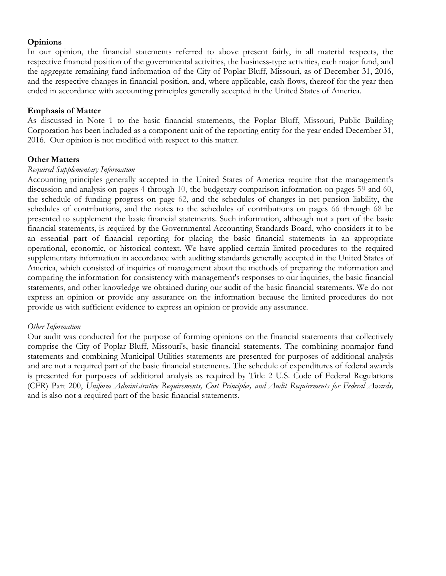## **Opinions**

In our opinion, the financial statements referred to above present fairly, in all material respects, the respective financial position of the governmental activities, the business-type activities, each major fund, and the aggregate remaining fund information of the City of Poplar Bluff, Missouri, as of December 31, 2016, and the respective changes in financial position, and, where applicable, cash flows, thereof for the year then ended in accordance with accounting principles generally accepted in the United States of America.

## **Emphasis of Matter**

As discussed in Note 1 to the basic financial statements, the Poplar Bluff, Missouri, Public Building Corporation has been included as a component unit of the reporting entity for the year ended December 31, 2016. Our opinion is not modified with respect to this matter.

# **Other Matters**

## *Required Supplementary Information*

Accounting principles generally accepted in the United States of America require that the management's discussion and analysis on pages 4 through 10, the budgetary comparison information on pages 59 and 60, the schedule of funding progress on page 62, and the schedules of changes in net pension liability, the schedules of contributions, and the notes to the schedules of contributions on pages 66 through 68 be presented to supplement the basic financial statements. Such information, although not a part of the basic financial statements, is required by the Governmental Accounting Standards Board, who considers it to be an essential part of financial reporting for placing the basic financial statements in an appropriate operational, economic, or historical context. We have applied certain limited procedures to the required supplementary information in accordance with auditing standards generally accepted in the United States of America, which consisted of inquiries of management about the methods of preparing the information and comparing the information for consistency with management's responses to our inquiries, the basic financial statements, and other knowledge we obtained during our audit of the basic financial statements. We do not express an opinion or provide any assurance on the information because the limited procedures do not provide us with sufficient evidence to express an opinion or provide any assurance.

## *Other Information*

Our audit was conducted for the purpose of forming opinions on the financial statements that collectively comprise the City of Poplar Bluff, Missouri's, basic financial statements. The combining nonmajor fund statements and combining Municipal Utilities statements are presented for purposes of additional analysis and are not a required part of the basic financial statements. The schedule of expenditures of federal awards is presented for purposes of additional analysis as required by Title 2 U.S. Code of Federal Regulations (CFR) Part 200, *Uniform Administrative Requirements, Cost Principles, and Audit Requirements for Federal Awards,*  and is also not a required part of the basic financial statements.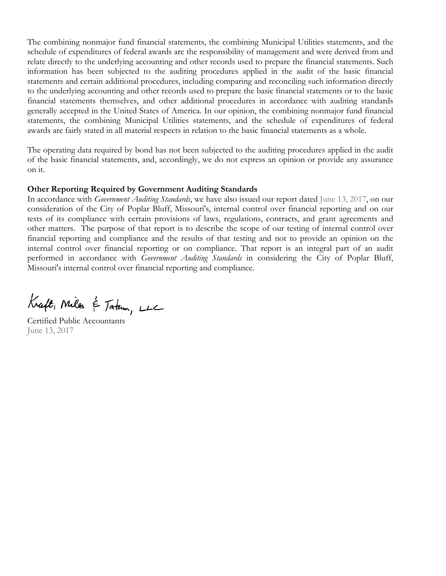The combining nonmajor fund financial statements, the combining Municipal Utilities statements, and the schedule of expenditures of federal awards are the responsibility of management and were derived from and relate directly to the underlying accounting and other records used to prepare the financial statements. Such information has been subjected to the auditing procedures applied in the audit of the basic financial statements and certain additional procedures, including comparing and reconciling such information directly to the underlying accounting and other records used to prepare the basic financial statements or to the basic financial statements themselves, and other additional procedures in accordance with auditing standards generally accepted in the United States of America. In our opinion, the combining nonmajor fund financial statements, the combining Municipal Utilities statements, and the schedule of expenditures of federal awards are fairly stated in all material respects in relation to the basic financial statements as a whole.

The operating data required by bond has not been subjected to the auditing procedures applied in the audit of the basic financial statements, and, accordingly, we do not express an opinion or provide any assurance on it.

#### **Other Reporting Required by Government Auditing Standards**

In accordance with *Government Auditing Standards*, we have also issued our report dated June 13, 2017, on our consideration of the City of Poplar Bluff, Missouri's, internal control over financial reporting and on our tests of its compliance with certain provisions of laws, regulations, contracts, and grant agreements and other matters. The purpose of that report is to describe the scope of our testing of internal control over financial reporting and compliance and the results of that testing and not to provide an opinion on the internal control over financial reporting or on compliance. That report is an integral part of an audit performed in accordance with *Government Auditing Standards* in considering the City of Poplar Bluff, Missouri's internal control over financial reporting and compliance.

Kraft, Miles & Tatum, LLC

Certified Public Accountants June 13, 2017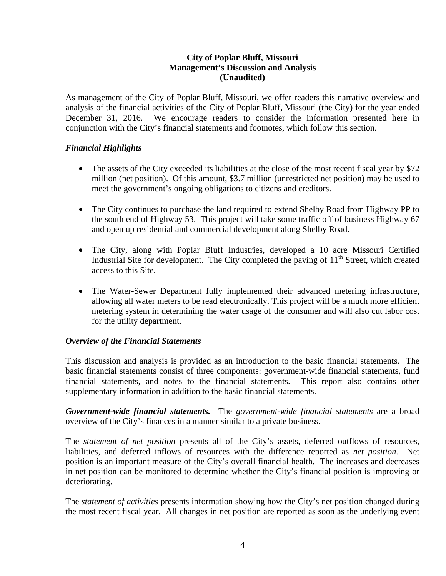# **City of Poplar Bluff, Missouri Management's Discussion and Analysis (Unaudited)**

As management of the City of Poplar Bluff, Missouri, we offer readers this narrative overview and analysis of the financial activities of the City of Poplar Bluff, Missouri (the City) for the year ended December 31, 2016. We encourage readers to consider the information presented here in conjunction with the City's financial statements and footnotes, which follow this section.

# *Financial Highlights*

- The assets of the City exceeded its liabilities at the close of the most recent fiscal year by \$72 million (net position). Of this amount, \$3.7 million (unrestricted net position) may be used to meet the government's ongoing obligations to citizens and creditors.
- The City continues to purchase the land required to extend Shelby Road from Highway PP to the south end of Highway 53. This project will take some traffic off of business Highway 67 and open up residential and commercial development along Shelby Road.
- The City, along with Poplar Bluff Industries, developed a 10 acre Missouri Certified Industrial Site for development. The City completed the paving of  $11<sup>th</sup>$  Street, which created access to this Site.
- The Water-Sewer Department fully implemented their advanced metering infrastructure, allowing all water meters to be read electronically. This project will be a much more efficient metering system in determining the water usage of the consumer and will also cut labor cost for the utility department.

## *Overview of the Financial Statements*

This discussion and analysis is provided as an introduction to the basic financial statements. The basic financial statements consist of three components: government-wide financial statements, fund financial statements, and notes to the financial statements. This report also contains other supplementary information in addition to the basic financial statements.

*Government-wide financial statements.* The *government-wide financial statements* are a broad overview of the City's finances in a manner similar to a private business.

The *statement of net position* presents all of the City's assets, deferred outflows of resources, liabilities, and deferred inflows of resources with the difference reported as *net position.* Net position is an important measure of the City's overall financial health. The increases and decreases in net position can be monitored to determine whether the City's financial position is improving or deteriorating.

The *statement of activities* presents information showing how the City's net position changed during the most recent fiscal year. All changes in net position are reported as soon as the underlying event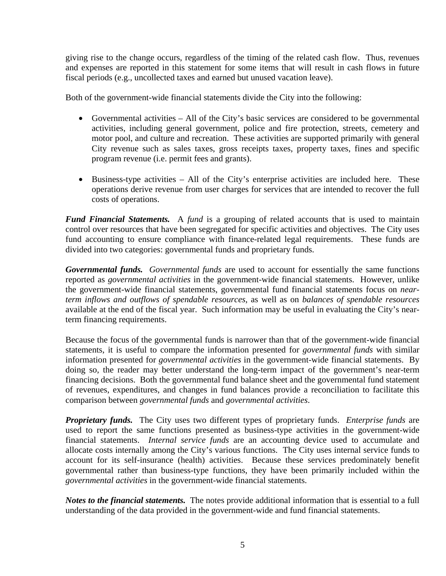giving rise to the change occurs, regardless of the timing of the related cash flow. Thus, revenues and expenses are reported in this statement for some items that will result in cash flows in future fiscal periods (e.g., uncollected taxes and earned but unused vacation leave).

Both of the government-wide financial statements divide the City into the following:

- Governmental activities All of the City's basic services are considered to be governmental activities, including general government, police and fire protection, streets, cemetery and motor pool, and culture and recreation. These activities are supported primarily with general City revenue such as sales taxes, gross receipts taxes, property taxes, fines and specific program revenue (i.e. permit fees and grants).
- Business-type activities All of the City's enterprise activities are included here. These operations derive revenue from user charges for services that are intended to recover the full costs of operations.

*Fund Financial Statements.* A *fund* is a grouping of related accounts that is used to maintain control over resources that have been segregated for specific activities and objectives. The City uses fund accounting to ensure compliance with finance-related legal requirements. These funds are divided into two categories: governmental funds and proprietary funds.

*Governmental funds. Governmental funds* are used to account for essentially the same functions reported as *governmental activities* in the government-wide financial statements. However, unlike the government-wide financial statements, governmental fund financial statements focus on *nearterm inflows and outflows of spendable resources*, as well as on *balances of spendable resources* available at the end of the fiscal year. Such information may be useful in evaluating the City's nearterm financing requirements.

Because the focus of the governmental funds is narrower than that of the government-wide financial statements, it is useful to compare the information presented for *governmental funds* with similar information presented for *governmental activities* in the government-wide financial statements. By doing so, the reader may better understand the long-term impact of the government's near-term financing decisions. Both the governmental fund balance sheet and the governmental fund statement of revenues, expenditures, and changes in fund balances provide a reconciliation to facilitate this comparison between *governmental funds* and *governmental activities*.

*Proprietary funds.* The City uses two different types of proprietary funds. *Enterprise funds* are used to report the same functions presented as business-type activities in the government-wide financial statements. *Internal service funds* are an accounting device used to accumulate and allocate costs internally among the City's various functions. The City uses internal service funds to account for its self-insurance (health) activities. Because these services predominately benefit governmental rather than business-type functions, they have been primarily included within the *governmental activities* in the government-wide financial statements.

*Notes to the financial statements.* The notes provide additional information that is essential to a full understanding of the data provided in the government-wide and fund financial statements.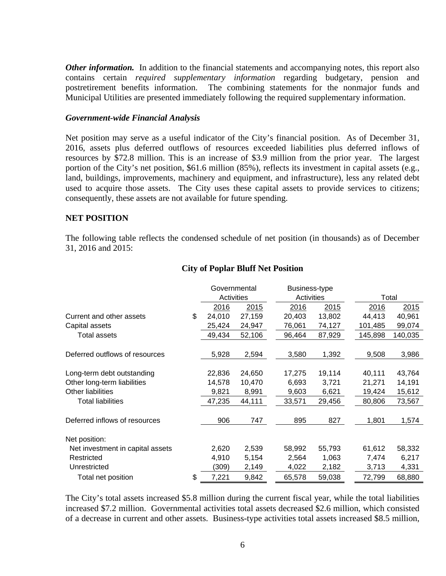*Other information.* In addition to the financial statements and accompanying notes, this report also contains certain *required supplementary information* regarding budgetary, pension and postretirement benefits information. The combining statements for the nonmajor funds and Municipal Utilities are presented immediately following the required supplementary information.

#### *Government-wide Financial Analysis*

Net position may serve as a useful indicator of the City's financial position. As of December 31, 2016, assets plus deferred outflows of resources exceeded liabilities plus deferred inflows of resources by \$72.8 million. This is an increase of \$3.9 million from the prior year. The largest portion of the City's net position, \$61.6 million (85%), reflects its investment in capital assets (e.g., land, buildings, improvements, machinery and equipment, and infrastructure), less any related debt used to acquire those assets. The City uses these capital assets to provide services to citizens; consequently, these assets are not available for future spending.

## **NET POSITION**

The following table reflects the condensed schedule of net position (in thousands) as of December 31, 2016 and 2015:

|                                  | Governmental<br>Activities |        | Business-type<br><b>Activities</b> |        |        | Total   |         |
|----------------------------------|----------------------------|--------|------------------------------------|--------|--------|---------|---------|
|                                  | 2016                       | 2015   |                                    | 2016   | 2015   | 2016    | 2015    |
| Current and other assets         | \$<br>24,010               | 27,159 |                                    | 20,403 | 13,802 | 44,413  | 40,961  |
| Capital assets                   | 25,424                     | 24,947 |                                    | 76,061 | 74,127 | 101,485 | 99,074  |
| Total assets                     | 49,434                     | 52,106 |                                    | 96,464 | 87,929 | 145,898 | 140,035 |
| Deferred outflows of resources   | 5,928                      | 2,594  |                                    | 3,580  | 1,392  | 9,508   | 3,986   |
|                                  |                            |        |                                    |        |        |         |         |
| Long-term debt outstanding       | 22,836                     | 24,650 |                                    | 17,275 | 19,114 | 40,111  | 43,764  |
| Other long-term liabilities      | 14,578                     | 10,470 |                                    | 6,693  | 3,721  | 21,271  | 14,191  |
| <b>Other liabilities</b>         | 9,821                      | 8,991  |                                    | 9,603  | 6,621  | 19,424  | 15,612  |
| Total liabilities                | 47,235                     | 44,111 |                                    | 33,571 | 29,456 | 80,806  | 73,567  |
| Deferred inflows of resources    | 906                        | 747    |                                    | 895    | 827    | 1,801   | 1,574   |
| Net position:                    |                            |        |                                    |        |        |         |         |
| Net investment in capital assets | 2,620                      | 2,539  |                                    | 58,992 | 55,793 | 61,612  | 58,332  |
| Restricted                       | 4,910                      | 5,154  |                                    | 2,564  | 1,063  | 7,474   | 6,217   |
| Unrestricted                     | (309)                      | 2,149  |                                    | 4,022  | 2,182  | 3,713   | 4,331   |
| Total net position               | \$<br>7,221                | 9,842  |                                    | 65,578 | 59,038 | 72,799  | 68,880  |

## **City of Poplar Bluff Net Position**

The City's total assets increased \$5.8 million during the current fiscal year, while the total liabilities increased \$7.2 million. Governmental activities total assets decreased \$2.6 million, which consisted of a decrease in current and other assets. Business-type activities total assets increased \$8.5 million,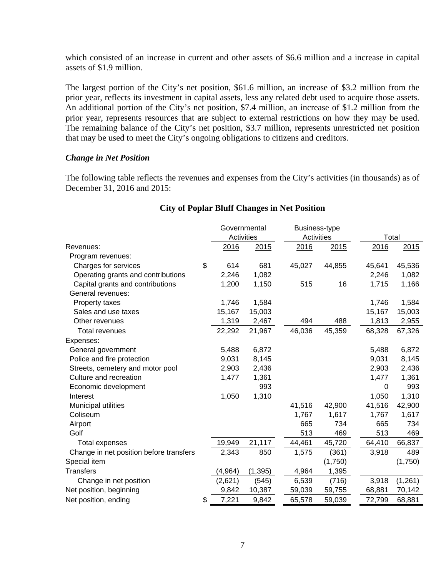which consisted of an increase in current and other assets of \$6.6 million and a increase in capital assets of \$1.9 million.

The largest portion of the City's net position, \$61.6 million, an increase of \$3.2 million from the prior year, reflects its investment in capital assets, less any related debt used to acquire those assets. An additional portion of the City's net position, \$7.4 million, an increase of \$1.2 million from the prior year, represents resources that are subject to external restrictions on how they may be used. The remaining balance of the City's net position, \$3.7 million, represents unrestricted net position that may be used to meet the City's ongoing obligations to citizens and creditors.

#### *Change in Net Position*

The following table reflects the revenues and expenses from the City's activities (in thousands) as of December 31, 2016 and 2015:

|                                         | Governmental      |          | Business-type |            |         |        |         |
|-----------------------------------------|-------------------|----------|---------------|------------|---------|--------|---------|
|                                         | <b>Activities</b> |          |               | Activities |         | Total  |         |
| Revenues:                               | 2016              | 2015     |               | 2016       | 2015    | 2016   | 2015    |
| Program revenues:                       |                   |          |               |            |         |        |         |
| Charges for services                    | \$<br>614         | 681      |               | 45,027     | 44,855  | 45,641 | 45,536  |
| Operating grants and contributions      | 2,246             | 1,082    |               |            |         | 2,246  | 1,082   |
| Capital grants and contributions        | 1,200             | 1,150    |               | 515        | 16      | 1,715  | 1,166   |
| General revenues:                       |                   |          |               |            |         |        |         |
| Property taxes                          | 1,746             | 1,584    |               |            |         | 1,746  | 1,584   |
| Sales and use taxes                     | 15,167            | 15,003   |               |            |         | 15,167 | 15,003  |
| Other revenues                          | 1,319             | 2,467    |               | 494        | 488     | 1,813  | 2,955   |
| <b>Total revenues</b>                   | 22,292            | 21,967   |               | 46,036     | 45,359  | 68,328 | 67,326  |
| Expenses:                               |                   |          |               |            |         |        |         |
| General government                      | 5,488             | 6,872    |               |            |         | 5,488  | 6,872   |
| Police and fire protection              | 9,031             | 8,145    |               |            |         | 9,031  | 8,145   |
| Streets, cemetery and motor pool        | 2,903             | 2,436    |               |            |         | 2,903  | 2,436   |
| Culture and recreation                  | 1,477             | 1,361    |               |            |         | 1,477  | 1,361   |
| Economic development                    |                   | 993      |               |            |         | 0      | 993     |
| Interest                                | 1,050             | 1,310    |               |            |         | 1,050  | 1,310   |
| Municipal utilities                     |                   |          |               | 41,516     | 42,900  | 41,516 | 42,900  |
| Coliseum                                |                   |          |               | 1,767      | 1,617   | 1,767  | 1,617   |
| Airport                                 |                   |          |               | 665        | 734     | 665    | 734     |
| Golf                                    |                   |          |               | 513        | 469     | 513    | 469     |
| <b>Total expenses</b>                   | 19,949            | 21,117   |               | 44,461     | 45,720  | 64,410 | 66,837  |
| Change in net position before transfers | 2,343             | 850      |               | 1,575      | (361)   | 3,918  | 489     |
| Special item                            |                   |          |               |            | (1,750) |        | (1,750) |
| <b>Transfers</b>                        | (4, 964)          | (1, 395) |               | 4,964      | 1,395   |        |         |
| Change in net position                  | (2,621)           | (545)    |               | 6,539      | (716)   | 3,918  | (1,261) |
| Net position, beginning                 | 9,842             | 10,387   |               | 59,039     | 59,755  | 68,881 | 70,142  |
| Net position, ending                    | \$<br>7,221       | 9,842    |               | 65,578     | 59,039  | 72,799 | 68,881  |

## **City of Poplar Bluff Changes in Net Position**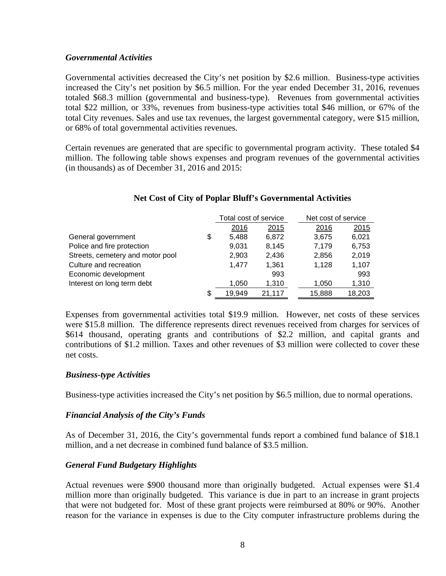# *Governmental Activities*

Governmental activities decreased the City's net position by \$2.6 million. Business-type activities increased the City's net position by \$6.5 million. For the year ended December 31, 2016, revenues totaled \$68.3 million (governmental and business-type). Revenues from governmental activities total \$22 million, or 33%, revenues from business-type activities total \$46 million, or 67% of the total City revenues. Sales and use tax revenues, the largest governmental category, were \$15 million, or 68% of total governmental activities revenues.

Certain revenues are generated that are specific to governmental program activity. These totaled \$4 million. The following table shows expenses and program revenues of the governmental activities (in thousands) as of December 31, 2016 and 2015:

|                                  | Total cost of service |        | Net cost of service |        |  |
|----------------------------------|-----------------------|--------|---------------------|--------|--|
|                                  | 2016                  | 2015   | 2016                | 2015   |  |
| General government               | \$<br>5.488           | 6,872  | 3,675               | 6,021  |  |
| Police and fire protection       | 9,031                 | 8,145  | 7.179               | 6,753  |  |
| Streets, cemetery and motor pool | 2,903                 | 2,436  | 2,856               | 2,019  |  |
| Culture and recreation           | 1.477                 | 1.361  | 1,128               | 1,107  |  |
| Economic development             |                       | 993    |                     | 993    |  |
| Interest on long term debt       | 1.050                 | 1,310  | 1,050               | 1,310  |  |
|                                  | \$<br>19,949          | 21.117 | 15.888              | 18,203 |  |

# **Net Cost of City of Poplar Bluff's Governmental Activities**

Expenses from governmental activities total \$19.9 million. However, net costs of these services were \$15.8 million. The difference represents direct revenues received from charges for services of \$614 thousand, operating grants and contributions of \$2.2 million, and capital grants and contributions of \$1.2 million. Taxes and other revenues of \$3 million were collected to cover these net costs.

## *Business-type Activities*

Business-type activities increased the City's net position by \$6.5 million, due to normal operations.

# *Financial Analysis of the City's Funds*

As of December 31, 2016, the City's governmental funds report a combined fund balance of \$18.1 million, and a net decrease in combined fund balance of \$3.5 million.

# *General Fund Budgetary Highlights*

Actual revenues were \$900 thousand more than originally budgeted. Actual expenses were \$1.4 million more than originally budgeted. This variance is due in part to an increase in grant projects that were not budgeted for. Most of these grant projects were reimbursed at 80% or 90%. Another reason for the variance in expenses is due to the City computer infrastructure problems during the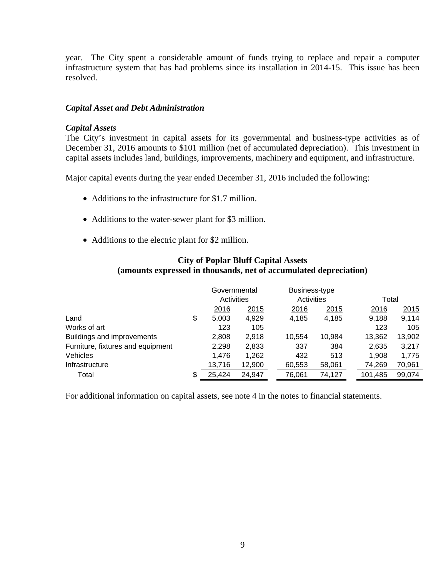year. The City spent a considerable amount of funds trying to replace and repair a computer infrastructure system that has had problems since its installation in 2014-15. This issue has been resolved.

## *Capital Asset and Debt Administration*

#### *Capital Assets*

The City's investment in capital assets for its governmental and business-type activities as of December 31, 2016 amounts to \$101 million (net of accumulated depreciation). This investment in capital assets includes land, buildings, improvements, machinery and equipment, and infrastructure.

Major capital events during the year ended December 31, 2016 included the following:

- Additions to the infrastructure for \$1.7 million.
- Additions to the water-sewer plant for \$3 million.
- Additions to the electric plant for \$2 million.

| City of I optail Digit Capital Assets<br>(amounts expressed in thousands, net of accumulated depreciation) |    |                            |        |                             |        |        |        |  |  |  |  |
|------------------------------------------------------------------------------------------------------------|----|----------------------------|--------|-----------------------------|--------|--------|--------|--|--|--|--|
|                                                                                                            |    | Governmental<br>Activities |        | Business-type<br>Activities |        | Total  |        |  |  |  |  |
|                                                                                                            |    | 2016                       | 2015   | 2016                        | 2015   | 2016   | 2015   |  |  |  |  |
| Land                                                                                                       | \$ | 5,003                      | 4,929  | 4,185                       | 4,185  | 9,188  | 9,114  |  |  |  |  |
| Works of art                                                                                               |    | 123                        | 105    |                             |        | 123    | 105    |  |  |  |  |
| <b>Buildings and improvements</b>                                                                          |    | 2,808                      | 2,918  | 10.554                      | 10,984 | 13,362 | 13,902 |  |  |  |  |
| Furniture, fixtures and equipment                                                                          |    | 2,298                      | 2,833  | 337                         | 384    | 2,635  | 3,217  |  |  |  |  |
| Vehicles                                                                                                   |    | 1,476                      | 1,262  | 432                         | 513    | 1,908  | 1,775  |  |  |  |  |
| Infrastructure                                                                                             |    | 13,716                     | 12.900 | 60,553                      | 58.061 | 74,269 | 70,961 |  |  |  |  |

Total \$ 25,424 24,947 76,061 74,127 101,485 99,074

# **City of Poplar Bluff Capital Assets**

For additional information on capital assets, see note 4 in the notes to financial statements.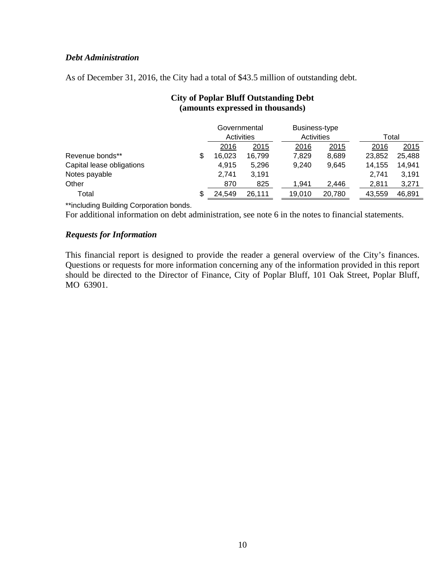# *Debt Administration*

As of December 31, 2016, the City had a total of \$43.5 million of outstanding debt.

|                           | Governmental<br>Activities |        | Business-type<br>Activities |        | Total  |        |
|---------------------------|----------------------------|--------|-----------------------------|--------|--------|--------|
|                           | 2016                       | 2015   | 2016                        | 2015   | 2016   | 2015   |
| Revenue bonds**           | \$<br>16,023               | 16,799 | 7,829                       | 8,689  | 23,852 | 25,488 |
| Capital lease obligations | 4,915                      | 5.296  | 9.240                       | 9,645  | 14,155 | 14,941 |
| Notes payable             | 2,741                      | 3.191  |                             |        | 2.741  | 3,191  |
| Other                     | 870                        | 825    | 1,941                       | 2.446  | 2,811  | 3,271  |
| Total                     | \$<br>24.549               | 26.111 | 19.010                      | 20,780 | 43,559 | 46,891 |

# **City of Poplar Bluff Outstanding Debt (amounts expressed in thousands)**

\*\*including Building Corporation bonds.

For additional information on debt administration, see note 6 in the notes to financial statements.

# *Requests for Information*

This financial report is designed to provide the reader a general overview of the City's finances. Questions or requests for more information concerning any of the information provided in this report should be directed to the Director of Finance, City of Poplar Bluff, 101 Oak Street, Poplar Bluff, MO 63901.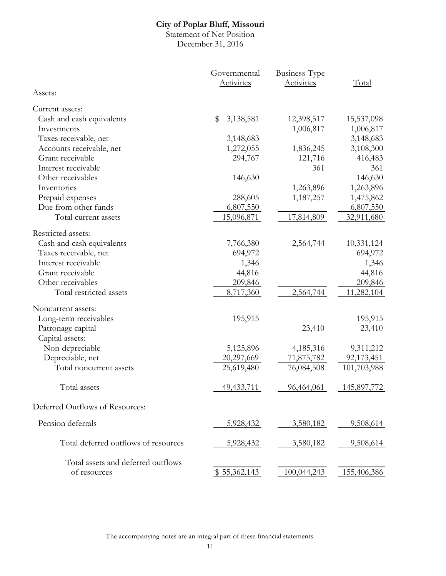Statement of Net Position December 31, 2016

|                                                 | Governmental    | Business-Type     |             |
|-------------------------------------------------|-----------------|-------------------|-------------|
|                                                 | Activities      | <b>Activities</b> | Total       |
| Assets:                                         |                 |                   |             |
| Current assets:                                 |                 |                   |             |
| Cash and cash equivalents                       | \$<br>3,138,581 | 12,398,517        | 15,537,098  |
| Investments                                     |                 | 1,006,817         | 1,006,817   |
| Taxes receivable, net                           | 3,148,683       |                   | 3,148,683   |
| Accounts receivable, net                        | 1,272,055       | 1,836,245         | 3,108,300   |
| Grant receivable                                | 294,767         | 121,716           | 416,483     |
| Interest receivable                             |                 | 361               | 361         |
| Other receivables                               | 146,630         |                   | 146,630     |
| Inventories                                     |                 | 1,263,896         | 1,263,896   |
| Prepaid expenses                                | 288,605         | 1,187,257         | 1,475,862   |
| Due from other funds                            | 6,807,550       |                   | 6,807,550   |
| Total current assets                            | 15,096,871      | 17,814,809        | 32,911,680  |
|                                                 |                 |                   |             |
| Restricted assets:<br>Cash and cash equivalents | 7,766,380       | 2,564,744         | 10,331,124  |
| Taxes receivable, net                           | 694,972         |                   | 694,972     |
| Interest receivable                             | 1,346           |                   | 1,346       |
| Grant receivable                                | 44,816          |                   | 44,816      |
| Other receivables                               | 209,846         |                   | 209,846     |
| Total restricted assets                         | 8,717,360       | 2,564,744         | 11,282,104  |
|                                                 |                 |                   |             |
| Noncurrent assets:                              |                 |                   |             |
| Long-term receivables                           | 195,915         |                   | 195,915     |
| Patronage capital                               |                 | 23,410            | 23,410      |
| Capital assets:                                 |                 |                   |             |
| Non-depreciable                                 | 5,125,896       | 4,185,316         | 9,311,212   |
| Depreciable, net                                | 20,297,669      | 71,875,782        | 92,173,451  |
| Total noncurrent assets                         | 25,619,480      | 76,084,508        | 101,703,988 |
| Total assets                                    | 49, 433, 711    | 96,464,061        | 145,897,772 |
| Deferred Outflows of Resources:                 |                 |                   |             |
| Pension deferrals                               | 5,928,432       | 3,580,182         | 9,508,614   |
|                                                 |                 |                   |             |
| Total deferred outflows of resources            | 5,928,432       | 3,580,182         | 9,508,614   |
| Total assets and deferred outflows              |                 |                   |             |
| of resources                                    | \$55,362,143    | 100,044,243       | 155,406,386 |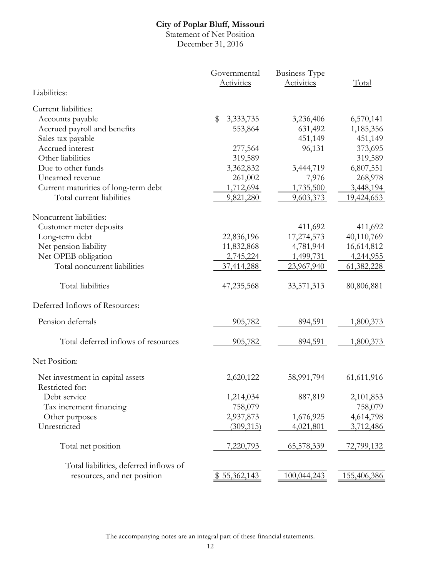Statement of Net Position December 31, 2016

|                                        | Governmental      | Business-Type     |             |
|----------------------------------------|-------------------|-------------------|-------------|
|                                        | <b>Activities</b> | <b>Activities</b> | Total       |
| Liabilities:                           |                   |                   |             |
| Current liabilities:                   |                   |                   |             |
| Accounts payable                       | \$<br>3,333,735   | 3,236,406         | 6,570,141   |
| Accrued payroll and benefits           | 553,864           | 631,492           | 1,185,356   |
| Sales tax payable                      |                   | 451,149           | 451,149     |
| Accrued interest                       | 277,564           | 96,131            | 373,695     |
| Other liabilities                      | 319,589           |                   | 319,589     |
| Due to other funds                     | 3,362,832         | 3,444,719         | 6,807,551   |
| Unearned revenue                       | 261,002           | 7,976             | 268,978     |
| Current maturities of long-term debt   | 1,712,694         | 1,735,500         | 3,448,194   |
| Total current liabilities              | 9,821,280         | 9,603,373         | 19,424,653  |
| Noncurrent liabilities:                |                   |                   |             |
| Customer meter deposits                |                   | 411,692           | 411,692     |
| Long-term debt                         | 22,836,196        | 17,274,573        | 40,110,769  |
| Net pension liability                  | 11,832,868        | 4,781,944         | 16,614,812  |
| Net OPEB obligation                    | 2,745,224         | 1,499,731         | 4,244,955   |
| Total noncurrent liabilities           | 37,414,288        | 23,967,940        | 61,382,228  |
| Total liabilities                      | 47,235,568        | 33,571,313        | 80,806,881  |
| Deferred Inflows of Resources:         |                   |                   |             |
| Pension deferrals                      | 905,782           | 894,591           | 1,800,373   |
| Total deferred inflows of resources    | 905,782           | 894,591           | 1,800,373   |
| Net Position:                          |                   |                   |             |
| Net investment in capital assets       | 2,620,122         | 58,991,794        | 61,611,916  |
| Restricted for:                        |                   |                   |             |
| Debt service                           | 1,214,034         | 887,819           | 2,101,853   |
| Tax increment financing                | 758,079           |                   | 758,079     |
| Other purposes                         | 2,937,873         | 1,676,925         | 4,614,798   |
| Unrestricted                           | (309, 315)        | 4,021,801         | 3,712,486   |
| Total net position                     | 7,220,793         | 65,578,339        | 72,799,132  |
| Total liabilities, deferred inflows of |                   |                   |             |
| resources, and net position            | \$55,362,143      | 100,044,243       | 155,406,386 |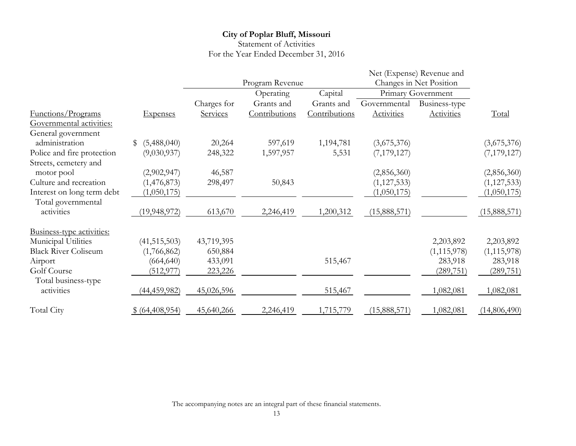#### Statement of Activities For the Year Ended December 31, 2016

|                                                  |                 |                         | Program Revenue             |                             |                                   | Net (Expense) Revenue and<br>Changes in Net Position |               |
|--------------------------------------------------|-----------------|-------------------------|-----------------------------|-----------------------------|-----------------------------------|------------------------------------------------------|---------------|
|                                                  |                 |                         | Operating                   | Capital                     |                                   | Primary Government                                   |               |
| Functions/Programs                               | <b>Expenses</b> | Charges for<br>Services | Grants and<br>Contributions | Grants and<br>Contributions | Governmental<br><b>Activities</b> | Business-type<br><b>Activities</b>                   | Total         |
| Governmental activities:                         |                 |                         |                             |                             |                                   |                                                      |               |
| General government                               |                 |                         |                             |                             |                                   |                                                      |               |
| administration                                   | (5,488,040)     | 20,264                  | 597,619                     | 1,194,781                   | (3,675,376)                       |                                                      | (3,675,376)   |
| Police and fire protection                       | (9,030,937)     | 248,322                 | 1,597,957                   | 5,531                       | (7,179,127)                       |                                                      | (7,179,127)   |
| Streets, cemetery and                            |                 |                         |                             |                             |                                   |                                                      |               |
| motor pool                                       | (2,902,947)     | 46,587                  |                             |                             | (2,856,360)                       |                                                      | (2,856,360)   |
| Culture and recreation                           | (1,476,873)     | 298,497                 | 50,843                      |                             | (1, 127, 533)                     |                                                      | (1, 127, 533) |
| Interest on long term debt<br>Total governmental | (1,050,175)     |                         |                             |                             | (1,050,175)                       |                                                      | (1,050,175)   |
| activities                                       | (19, 948, 972)  | 613,670                 | 2,246,419                   | 1,200,312                   | (15,888,571)                      |                                                      | (15,888,571)  |
| Business-type activities:                        |                 |                         |                             |                             |                                   |                                                      |               |
| Municipal Utilities                              | (41, 515, 503)  | 43,719,395              |                             |                             |                                   | 2,203,892                                            | 2,203,892     |
| <b>Black River Coliseum</b>                      | (1,766,862)     | 650,884                 |                             |                             |                                   | (1, 115, 978)                                        | (1, 115, 978) |
| Airport                                          | (664, 640)      | 433,091                 |                             | 515,467                     |                                   | 283,918                                              | 283,918       |
| Golf Course                                      | (512, 977)      | 223,226                 |                             |                             |                                   | (289, 751)                                           | (289, 751)    |
| Total business-type                              |                 |                         |                             |                             |                                   |                                                      |               |
| activities                                       | (44, 459, 982)  | 45,026,596              |                             | 515,467                     |                                   | 1,082,081                                            | 1,082,081     |
| Total City                                       | \$(64,408,954)  | 45,640,266              | 2,246,419                   | 1,715,779                   | (15,888,571)                      | 1,082,081                                            | (14,806,490)  |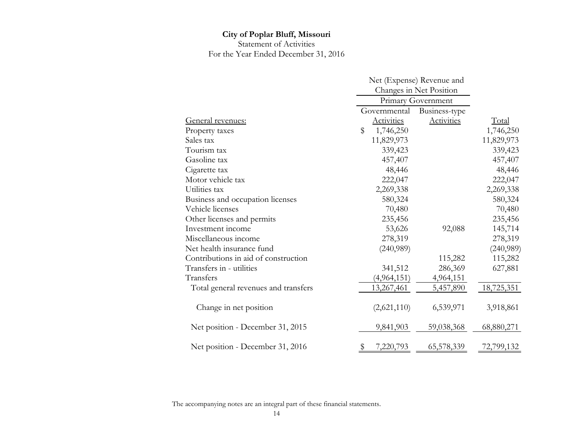Statement of Activities For the Year Ended December 31, 2016

|                                      | Net (Expense) Revenue and |                         |            |  |  |  |  |
|--------------------------------------|---------------------------|-------------------------|------------|--|--|--|--|
|                                      |                           | Changes in Net Position |            |  |  |  |  |
|                                      |                           | Primary Government      |            |  |  |  |  |
|                                      | Governmental              | Business-type           |            |  |  |  |  |
| General revenues:                    | <b>Activities</b>         | <b>Activities</b>       | Total      |  |  |  |  |
| Property taxes                       | \$<br>1,746,250           |                         | 1,746,250  |  |  |  |  |
| Sales tax                            | 11,829,973                |                         | 11,829,973 |  |  |  |  |
| Tourism tax                          | 339,423                   |                         | 339,423    |  |  |  |  |
| Gasoline tax                         | 457,407                   |                         | 457,407    |  |  |  |  |
| Cigarette tax                        | 48,446                    |                         | 48,446     |  |  |  |  |
| Motor vehicle tax                    | 222,047                   |                         | 222,047    |  |  |  |  |
| Utilities tax                        | 2,269,338                 |                         | 2,269,338  |  |  |  |  |
| Business and occupation licenses     | 580,324                   |                         | 580,324    |  |  |  |  |
| Vehicle licenses                     | 70,480                    |                         | 70,480     |  |  |  |  |
| Other licenses and permits           | 235,456                   |                         | 235,456    |  |  |  |  |
| Investment income                    | 53,626                    | 92,088                  | 145,714    |  |  |  |  |
| Miscellaneous income                 | 278,319                   |                         | 278,319    |  |  |  |  |
| Net health insurance fund            | (240,989)                 |                         | (240,989)  |  |  |  |  |
| Contributions in aid of construction |                           | 115,282                 | 115,282    |  |  |  |  |
| Transfers in - utilities             | 341,512                   | 286,369                 | 627,881    |  |  |  |  |
| Transfers                            | (4,964,151)               | 4,964,151               |            |  |  |  |  |
| Total general revenues and transfers | 13,267,461                | 5,457,890               | 18,725,351 |  |  |  |  |
| Change in net position               | (2,621,110)               | 6,539,971               | 3,918,861  |  |  |  |  |
| Net position - December 31, 2015     | 9,841,903                 | 59,038,368              | 68,880,271 |  |  |  |  |
| Net position - December 31, 2016     | \$<br>7,220,793           | 65,578,339              | 72,799,132 |  |  |  |  |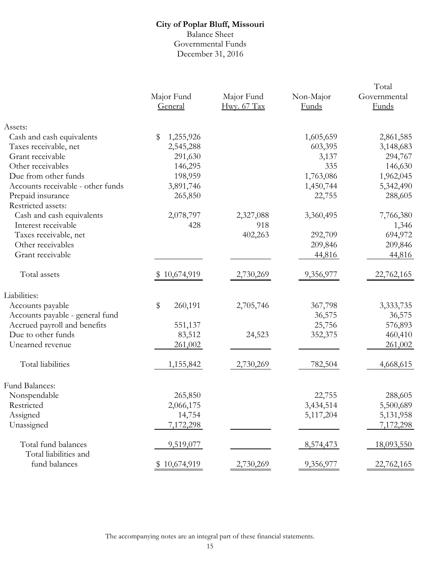Balance Sheet Governmental Funds December 31, 2016

|                                              |                 |             |              | Total        |
|----------------------------------------------|-----------------|-------------|--------------|--------------|
|                                              | Major Fund      | Major Fund  | Non-Major    | Governmental |
|                                              | General         | Hwy. 67 Tax | <b>Funds</b> | <b>Funds</b> |
| Assets:                                      |                 |             |              |              |
| Cash and cash equivalents                    | \$<br>1,255,926 |             | 1,605,659    | 2,861,585    |
| Taxes receivable, net                        | 2,545,288       |             | 603,395      | 3,148,683    |
| Grant receivable                             | 291,630         |             | 3,137        | 294,767      |
| Other receivables                            | 146,295         |             | 335          | 146,630      |
| Due from other funds                         | 198,959         |             | 1,763,086    | 1,962,045    |
| Accounts receivable - other funds            | 3,891,746       |             | 1,450,744    | 5,342,490    |
| Prepaid insurance                            | 265,850         |             | 22,755       | 288,605      |
| Restricted assets:                           |                 |             |              |              |
| Cash and cash equivalents                    | 2,078,797       | 2,327,088   | 3,360,495    | 7,766,380    |
| Interest receivable                          | 428             | 918         |              | 1,346        |
| Taxes receivable, net                        |                 | 402,263     | 292,709      | 694,972      |
| Other receivables                            |                 |             | 209,846      | 209,846      |
| Grant receivable                             |                 |             | 44,816       | 44,816       |
| Total assets                                 | 10,674,919      | 2,730,269   | 9,356,977    | 22,762,165   |
| Liabilities:                                 |                 |             |              |              |
| Accounts payable                             | \$<br>260,191   | 2,705,746   | 367,798      | 3,333,735    |
| Accounts payable - general fund              |                 |             | 36,575       | 36,575       |
| Accrued payroll and benefits                 | 551,137         |             | 25,756       | 576,893      |
| Due to other funds                           | 83,512          | 24,523      | 352,375      | 460,410      |
| Unearned revenue                             | 261,002         |             |              | 261,002      |
| Total liabilities                            | 1,155,842       | 2,730,269   | 782,504      | 4,668,615    |
| Fund Balances:                               |                 |             |              |              |
| Nonspendable                                 | 265,850         |             | 22,755       | 288,605      |
| Restricted                                   | 2,066,175       |             | 3,434,514    | 5,500,689    |
| Assigned                                     | 14,754          |             | 5,117,204    | 5,131,958    |
| Unassigned                                   | 7,172,298       |             |              | 7,172,298    |
| Total fund balances<br>Total liabilities and | 9,519,077       |             | 8,574,473    | 18,093,550   |
| fund balances                                | \$10,674,919    | 2,730,269   | 9,356,977    | 22,762,165   |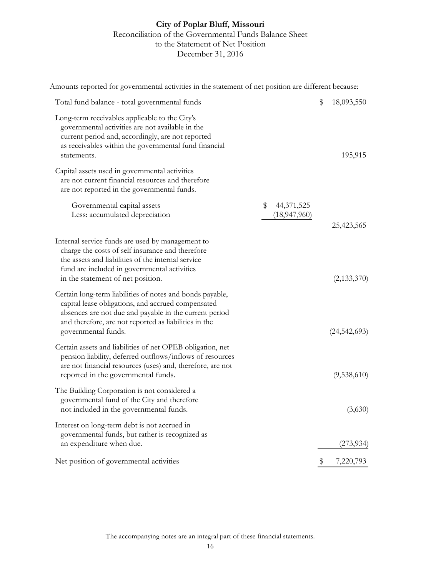# **City of Poplar Bluff, Missouri** Reconciliation of the Governmental Funds Balance Sheet to the Statement of Net Position December 31, 2016

| Amounts reported for governmental activities in the statement of net position are different because:                                                                                                                                                      |                                      |                  |
|-----------------------------------------------------------------------------------------------------------------------------------------------------------------------------------------------------------------------------------------------------------|--------------------------------------|------------------|
| Total fund balance - total governmental funds                                                                                                                                                                                                             |                                      | \$<br>18,093,550 |
| Long-term receivables applicable to the City's<br>governmental activities are not available in the<br>current period and, accordingly, are not reported<br>as receivables within the governmental fund financial<br>statements.                           |                                      | 195,915          |
| Capital assets used in governmental activities<br>are not current financial resources and therefore<br>are not reported in the governmental funds.                                                                                                        |                                      |                  |
| Governmental capital assets<br>Less: accumulated depreciation                                                                                                                                                                                             | \$<br>44, 371, 525<br>(18, 947, 960) | 25,423,565       |
| Internal service funds are used by management to<br>charge the costs of self insurance and therefore<br>the assets and liabilities of the internal service<br>fund are included in governmental activities<br>in the statement of net position.           |                                      | (2, 133, 370)    |
| Certain long-term liabilities of notes and bonds payable,<br>capital lease obligations, and accrued compensated<br>absences are not due and payable in the current period<br>and therefore, are not reported as liabilities in the<br>governmental funds. |                                      | (24, 542, 693)   |
| Certain assets and liabilities of net OPEB obligation, net<br>pension liability, deferred outflows/inflows of resources<br>are not financial resources (uses) and, therefore, are not<br>reported in the governmental funds.                              |                                      | (9,538,610)      |
| The Building Corporation is not considered a<br>governmental fund of the City and therefore<br>not included in the governmental funds.                                                                                                                    |                                      | (3,630)          |
| Interest on long-term debt is not accrued in<br>governmental funds, but rather is recognized as<br>an expenditure when due.                                                                                                                               |                                      | (273, 934)       |
| Net position of governmental activities                                                                                                                                                                                                                   |                                      | \$<br>7,220,793  |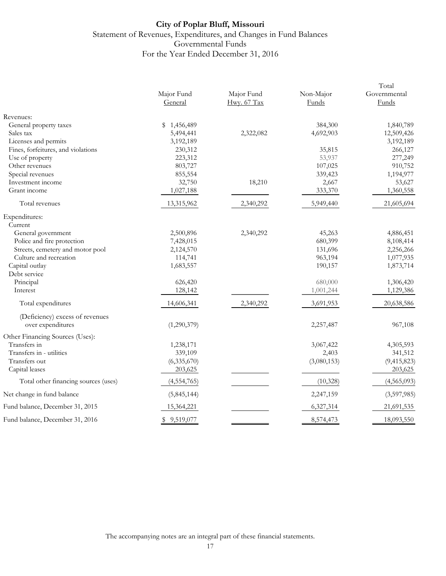# **City of Poplar Bluff, Missouri** Statement of Revenues, Expenditures, and Changes in Fund Balances Governmental Funds For the Year Ended December 31, 2016

|                                      |                  |             |              | Total         |
|--------------------------------------|------------------|-------------|--------------|---------------|
|                                      | Major Fund       | Major Fund  | Non-Major    | Governmental  |
|                                      | General          | Hwy. 67 Tax | <b>Funds</b> | Funds         |
| Revenues:                            |                  |             |              |               |
| General property taxes               | \$1,456,489      |             | 384,300      | 1,840,789     |
| Sales tax                            | 5,494,441        | 2,322,082   | 4,692,903    | 12,509,426    |
| Licenses and permits                 | 3,192,189        |             |              | 3,192,189     |
| Fines, forfeitures, and violations   | 230,312          |             | 35,815       | 266,127       |
| Use of property                      | 223,312          |             | 53,937       | 277,249       |
| Other revenues                       | 803,727          |             | 107,025      | 910,752       |
| Special revenues                     | 855,554          |             | 339,423      | 1,194,977     |
| Investment income                    | 32,750           | 18,210      | 2,667        | 53,627        |
| Grant income                         | 1,027,188        |             | 333,370      | 1,360,558     |
| Total revenues                       | 13,315,962       | 2,340,292   | 5,949,440    | 21,605,694    |
| Expenditures:                        |                  |             |              |               |
| Current                              |                  |             |              |               |
| General government                   | 2,500,896        | 2,340,292   | 45,263       | 4,886,451     |
| Police and fire protection           | 7,428,015        |             | 680,399      | 8,108,414     |
| Streets, cemetery and motor pool     | 2,124,570        |             | 131,696      | 2,256,266     |
| Culture and recreation               | 114,741          |             | 963,194      | 1,077,935     |
| Capital outlay                       | 1,683,557        |             | 190,157      | 1,873,714     |
| Debt service                         |                  |             |              |               |
| Principal                            | 626,420          |             | 680,000      | 1,306,420     |
| Interest                             | 128,142          |             | 1,001,244    | 1,129,386     |
| Total expenditures                   | 14,606,341       | 2,340,292   | 3,691,953    | 20,638,586    |
| (Deficiency) excess of revenues      |                  |             |              |               |
| over expenditures                    | (1,290,379)      |             | 2,257,487    | 967,108       |
| Other Financing Sources (Uses):      |                  |             |              |               |
| Transfers in                         | 1,238,171        |             | 3,067,422    | 4,305,593     |
| Transfers in - utilities             | 339,109          |             | 2,403        | 341,512       |
| Transfers out                        | (6,335,670)      |             | (3,080,153)  | (9,415,823)   |
| Capital leases                       | 203,625          |             |              | 203,625       |
| Total other financing sources (uses) | (4, 554, 765)    |             | (10, 328)    | (4, 565, 093) |
| Net change in fund balance           | (5,845,144)      |             | 2,247,159    | (3,597,985)   |
| Fund balance, December 31, 2015      | 15,364,221       |             | 6,327,314    | 21,691,535    |
| Fund balance, December 31, 2016      | 9,519,077<br>\$. |             | 8,574,473    | 18,093,550    |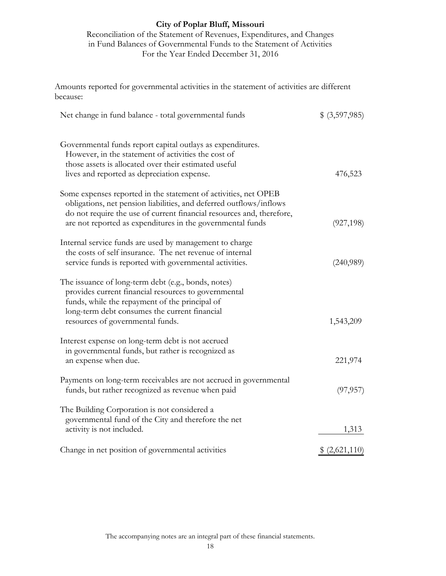Reconciliation of the Statement of Revenues, Expenditures, and Changes in Fund Balances of Governmental Funds to the Statement of Activities For the Year Ended December 31, 2016

Amounts reported for governmental activities in the statement of activities are different because:

| Net change in fund balance - total governmental funds                                                                                                                                                                                                                         | \$(3,597,985) |
|-------------------------------------------------------------------------------------------------------------------------------------------------------------------------------------------------------------------------------------------------------------------------------|---------------|
| Governmental funds report capital outlays as expenditures.<br>However, in the statement of activities the cost of<br>those assets is allocated over their estimated useful<br>lives and reported as depreciation expense.                                                     | 476,523       |
| Some expenses reported in the statement of activities, net OPEB<br>obligations, net pension liabilities, and deferred outflows/inflows<br>do not require the use of current financial resources and, therefore,<br>are not reported as expenditures in the governmental funds | (927, 198)    |
| Internal service funds are used by management to charge<br>the costs of self insurance. The net revenue of internal<br>service funds is reported with governmental activities.                                                                                                | (240,989)     |
| The issuance of long-term debt (e.g., bonds, notes)<br>provides current financial resources to governmental<br>funds, while the repayment of the principal of<br>long-term debt consumes the current financial<br>resources of governmental funds.                            | 1,543,209     |
| Interest expense on long-term debt is not accrued<br>in governmental funds, but rather is recognized as<br>an expense when due.                                                                                                                                               | 221,974       |
| Payments on long-term receivables are not accrued in governmental<br>funds, but rather recognized as revenue when paid                                                                                                                                                        | (97, 957)     |
| The Building Corporation is not considered a<br>governmental fund of the City and therefore the net<br>activity is not included.                                                                                                                                              | 1,313         |
| Change in net position of governmental activities                                                                                                                                                                                                                             | (2,621,110)   |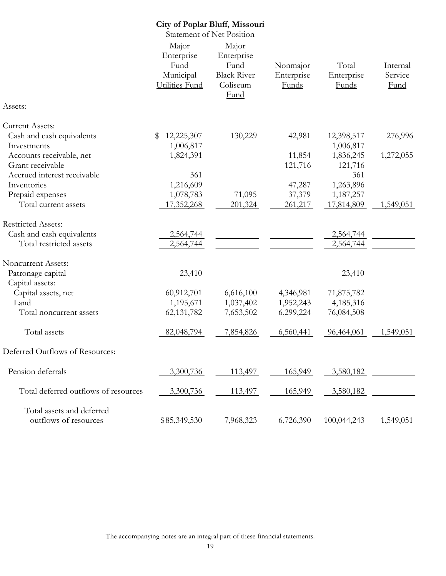|                                                                                                |                                                                   | City of Poplar Bluff, Missouri<br><b>Statement of Net Position</b>    |                                        |                                      |                             |
|------------------------------------------------------------------------------------------------|-------------------------------------------------------------------|-----------------------------------------------------------------------|----------------------------------------|--------------------------------------|-----------------------------|
|                                                                                                | Major<br>Enterprise<br>Fund<br>Municipal<br><b>Utilities Fund</b> | Major<br>Enterprise<br>Fund<br><b>Black River</b><br>Coliseum<br>Fund | Nonmajor<br>Enterprise<br><b>Funds</b> | Total<br>Enterprise<br><b>Funds</b>  | Internal<br>Service<br>Fund |
| Assets:                                                                                        |                                                                   |                                                                       |                                        |                                      |                             |
| <b>Current Assets:</b><br>Cash and cash equivalents<br>Investments<br>Accounts receivable, net | 12,225,307<br>S<br>1,006,817<br>1,824,391                         | 130,229                                                               | 42,981<br>11,854                       | 12,398,517<br>1,006,817<br>1,836,245 | 276,996<br>1,272,055        |
| Grant receivable<br>Accrued interest receivable<br>Inventories                                 | 361<br>1,216,609                                                  |                                                                       | 121,716<br>47,287                      | 121,716<br>361<br>1,263,896          |                             |
| Prepaid expenses<br>Total current assets                                                       | 1,078,783<br>17,352,268                                           | 71,095<br>201,324                                                     | 37,379<br>261,217                      | 1,187,257<br>17,814,809              | 1,549,051                   |
| <b>Restricted Assets:</b>                                                                      |                                                                   |                                                                       |                                        |                                      |                             |
| Cash and cash equivalents<br>Total restricted assets                                           | 2,564,744<br>2,564,744                                            |                                                                       |                                        | 2,564,744<br>2,564,744               |                             |
| Noncurrent Assets:                                                                             |                                                                   |                                                                       |                                        |                                      |                             |
| Patronage capital<br>Capital assets:                                                           | 23,410                                                            |                                                                       |                                        | 23,410                               |                             |
| Capital assets, net<br>Land                                                                    | 60,912,701<br>1,195,671                                           | 6,616,100<br>1,037,402                                                | 4,346,981<br>1,952,243                 | 71,875,782<br>4,185,316              |                             |
| Total noncurrent assets                                                                        | 62, 131, 782                                                      | 7,653,502                                                             | 6,299,224                              | 76,084,508                           |                             |
| Total assets                                                                                   | 82,048,794                                                        | 7,854,826                                                             | 6,560,441                              | 96,464,061                           | 1,549,051                   |
| Deferred Outflows of Resources:                                                                |                                                                   |                                                                       |                                        |                                      |                             |
| Pension deferrals                                                                              | 3,300,736                                                         | 113,497                                                               | 165,949                                | 3,580,182                            |                             |
| Total deferred outflows of resources                                                           | 3,300,736                                                         | 113,497                                                               | 165,949                                | 3,580,182                            |                             |
| Total assets and deferred<br>outflows of resources                                             | \$85,349,530                                                      | 7,968,323                                                             | 6,726,390                              | 100,044,243                          | 1,549,051                   |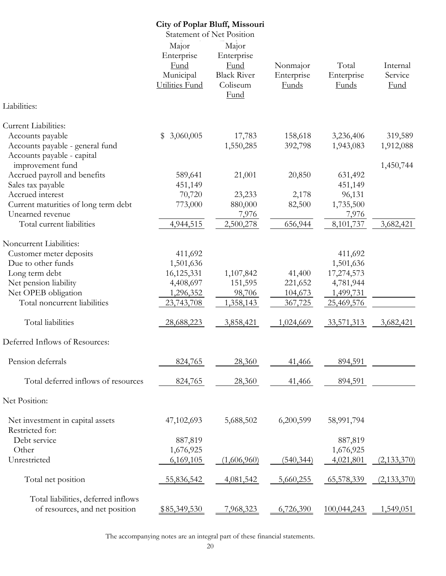|                                                                                                                                                                                                 |                                                                                          | City of Poplar Bluff, Missouri<br><b>Statement of Net Position</b>    |                                                      |                                                                                          |                                    |
|-------------------------------------------------------------------------------------------------------------------------------------------------------------------------------------------------|------------------------------------------------------------------------------------------|-----------------------------------------------------------------------|------------------------------------------------------|------------------------------------------------------------------------------------------|------------------------------------|
|                                                                                                                                                                                                 | Major<br>Enterprise<br><b>Fund</b><br>Municipal<br><b>Utilities Fund</b>                 | Major<br>Enterprise<br>Fund<br><b>Black River</b><br>Coliseum<br>Fund | Nonmajor<br>Enterprise<br><b>Funds</b>               | Total<br>Enterprise<br><b>Funds</b>                                                      | Internal<br>Service<br><b>Fund</b> |
| Liabilities:                                                                                                                                                                                    |                                                                                          |                                                                       |                                                      |                                                                                          |                                    |
| <b>Current Liabilities:</b><br>Accounts payable<br>Accounts payable - general fund<br>Accounts payable - capital                                                                                | 3,060,005<br>\$                                                                          | 17,783<br>1,550,285                                                   | 158,618<br>392,798                                   | 3,236,406<br>1,943,083                                                                   | 319,589<br>1,912,088               |
| improvement fund<br>Accrued payroll and benefits<br>Sales tax payable<br>Accrued interest<br>Current maturities of long term debt                                                               | 589,641<br>451,149<br>70,720<br>773,000                                                  | 21,001<br>23,233<br>880,000                                           | 20,850<br>2,178<br>82,500                            | 631,492<br>451,149<br>96,131<br>1,735,500                                                | 1,450,744                          |
| Unearned revenue<br>Total current liabilities                                                                                                                                                   | 4,944,515                                                                                | 7,976<br>2,500,278                                                    | 656,944                                              | 7,976<br>8,101,737                                                                       | 3,682,421                          |
| Noncurrent Liabilities:<br>Customer meter deposits<br>Due to other funds<br>Long term debt<br>Net pension liability<br>Net OPEB obligation<br>Total noncurrent liabilities<br>Total liabilities | 411,692<br>1,501,636<br>16,125,331<br>4,408,697<br>1,296,352<br>23,743,708<br>28,688,223 | 1,107,842<br>151,595<br>98,706<br>1,358,143<br>3,858,421              | 41,400<br>221,652<br>104,673<br>367,725<br>1,024,669 | 411,692<br>1,501,636<br>17,274,573<br>4,781,944<br>1,499,731<br>25,469,576<br>33,571,313 | 3,682,421                          |
| Deferred Inflows of Resources:                                                                                                                                                                  |                                                                                          |                                                                       |                                                      |                                                                                          |                                    |
| Pension deferrals                                                                                                                                                                               | 824,765                                                                                  | 28,360                                                                | 41,466                                               | 894,591                                                                                  |                                    |
| Total deferred inflows of resources                                                                                                                                                             | 824,765                                                                                  | 28,360                                                                | 41,466                                               | 894,591                                                                                  |                                    |
| Net Position:                                                                                                                                                                                   |                                                                                          |                                                                       |                                                      |                                                                                          |                                    |
| Net investment in capital assets<br>Restricted for:                                                                                                                                             | 47,102,693                                                                               | 5,688,502                                                             | 6,200,599                                            | 58,991,794                                                                               |                                    |
| Debt service<br>Other<br>Unrestricted                                                                                                                                                           | 887,819<br>1,676,925<br>6,169,105                                                        | (1,606,960)                                                           | (540, 344)                                           | 887,819<br>1,676,925<br>4,021,801                                                        | (2, 133, 370)                      |
| Total net position                                                                                                                                                                              | 55,836,542                                                                               | 4,081,542                                                             | 5,660,255                                            | 65,578,339                                                                               | (2, 133, 370)                      |
| Total liabilities, deferred inflows<br>of resources, and net position                                                                                                                           | <u>\$85,349,530</u>                                                                      | 7,968,323                                                             | 6,726,390                                            | 100,044,243                                                                              | 1,549,051                          |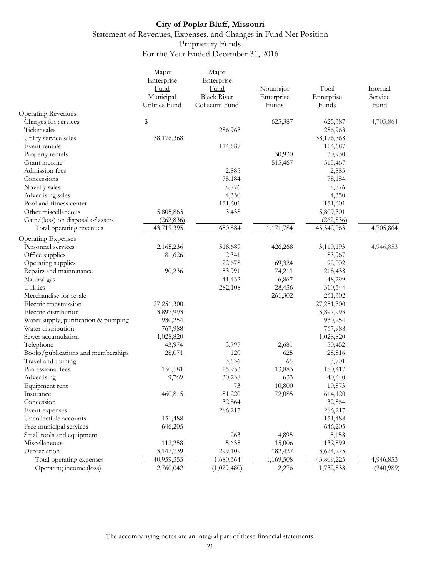# **City of Poplar Bluff, Missouri** Statement of Revenues, Expenses, and Changes in Fund Net Position Proprietary Funds

For the Year Ended December 31, 2016

|                                      | Major                 | Major              |              |              |             |
|--------------------------------------|-----------------------|--------------------|--------------|--------------|-------------|
|                                      | Enterprise            | Enterprise         |              |              |             |
|                                      | Fund                  | <u>Fund</u>        | Nonmajor     | Total        | Internal    |
|                                      | Municipal             | <b>Black River</b> | Enterprise   | Enterprise   | Service     |
|                                      | <b>Utilities Fund</b> | Coliseum Fund      | <u>Funds</u> | <u>Funds</u> | <b>Fund</b> |
| Operating Revenues:                  |                       |                    |              |              |             |
| Charges for services                 | \$                    |                    | 625,387      | 625,387      | 4,705,864   |
| Ticket sales                         |                       | 286,963            |              | 286,963      |             |
| Utility service sales                | 38,176,368            |                    |              | 38,176,368   |             |
| Event rentals                        |                       | 114,687            |              | 114,687      |             |
| Property rentals                     |                       |                    | 30,930       | 30,930       |             |
| Grant income                         |                       |                    | 515,467      | 515,467      |             |
| Admission fees                       |                       | 2,885              |              | 2,885        |             |
| Concessions                          |                       | 78,184             |              | 78,184       |             |
| Novelty sales                        |                       | 8,776              |              | 8,776        |             |
| Advertising sales                    |                       | 4,350              |              | 4,350        |             |
| Pool and fitness center              |                       | 151,601            |              | 151,601      |             |
| Other miscellaneous                  | 5,805,863             | 3,438              |              | 5,809,301    |             |
| Gain/(loss) on disposal of assets    | (262, 836)            |                    |              | (262, 836)   |             |
| Total operating revenues             |                       | 650,884            | 1,171,784    | 45,542,063   | 4,705,864   |
|                                      | 43,719,395            |                    |              |              |             |
| Operating Expenses:                  |                       |                    |              |              |             |
| Personnel services                   | 2,165,236             | 518,689            | 426,268      | 3,110,193    | 4,946,853   |
| Office supplies                      | 81,626                | 2,341              |              | 83,967       |             |
| Operating supplies                   |                       | 22,678             | 69,324       | 92,002       |             |
| Repairs and maintenance              | 90,236                | 53,991             | 74,211       | 218,438      |             |
| Natural gas                          |                       | 41,432             | 6,867        | 48,299       |             |
| Utilities                            |                       | 282,108            | 28,436       | 310,544      |             |
| Merchandise for resale               |                       |                    | 261,302      | 261,302      |             |
| Electric transmission                | 27,251,300            |                    |              | 27,251,300   |             |
| Electric distribution                | 3,897,993             |                    |              | 3,897,993    |             |
| Water supply, purification & pumping | 930,254               |                    |              | 930,254      |             |
| Water distribution                   | 767,988               |                    |              | 767,988      |             |
| Sewer accumulation                   | 1,028,820             |                    |              | 1,028,820    |             |
| Telephone                            | 43,974                | 3,797              | 2,681        | 50,452       |             |
| Books/publications and memberships   | 28,071                | 120                | 625          | 28,816       |             |
| Travel and training                  |                       | 3,636              | 65           | 3,701        |             |
| Professional fees                    | 150,581               | 15,953             | 13,883       | 180,417      |             |
| Advertising                          | 9,769                 | 30,238             | 633          | 40,640       |             |
| Equipment rent                       |                       | 73                 | 10,800       | 10,873       |             |
| Insurance                            | 460,815               | 81,220             | 72,085       | 614,120      |             |
| Concession                           |                       | 32,864             |              | 32,864       |             |
| Event expenses                       |                       | 286,217            |              | 286,217      |             |
| Uncollectible accounts               | 151,488               |                    |              | 151,488      |             |
| Free municipal services              | 646,205               |                    |              | 646,205      |             |
| Small tools and equipment            |                       | 263                | 4,895        | 5,158        |             |
| Miscellaneous                        | 112,258               | 5,635              | 15,006       | 132,899      |             |
| Depreciation                         | 3,142,739             | 299,109            | 182,427      | 3,624,275    |             |
| Total operating expenses             | 40,959,353            | 1,680,364          | 1,169,508    | 43,809,225   | 4,946,853   |
| Operating income (loss)              | 2,760,042             | (1,029,480)        | 2,276        | 1,732,838    | (240,989)   |
|                                      |                       |                    |              |              |             |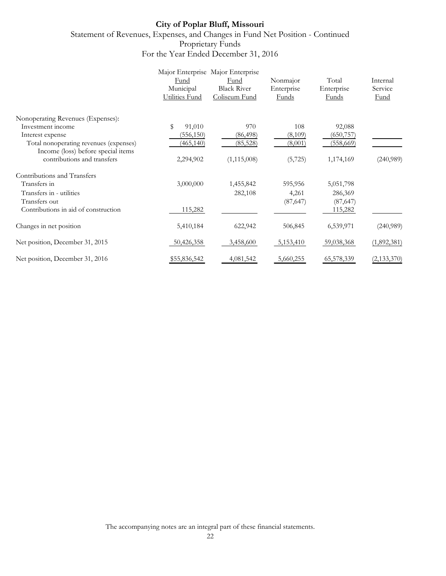# Statement of Revenues, Expenses, and Changes in Fund Net Position - Continued Proprietary Funds For the Year Ended December 31, 2016

|                                                                              |                | Major Enterprise Major Enterprise |              |            |               |
|------------------------------------------------------------------------------|----------------|-----------------------------------|--------------|------------|---------------|
|                                                                              | Fund           | Fund                              | Nonmajor     | Total      | Internal      |
|                                                                              | Municipal      | <b>Black River</b>                | Enterprise   | Enterprise | Service       |
|                                                                              | Utilities Fund | Coliseum Fund                     | <b>Funds</b> | Funds      | Fund          |
| Nonoperating Revenues (Expenses):                                            |                |                                   |              |            |               |
| Investment income                                                            | \$<br>91,010   | 970                               | 108          | 92,088     |               |
| Interest expense                                                             | (556, 150)     | (86, 498)                         | (8,109)      | (650, 757) |               |
| Total nonoperating revenues (expenses)<br>Income (loss) before special items | (465, 140)     | (85, 528)                         | (8,001)      | (558,669)  |               |
| contributions and transfers                                                  | 2,294,902      | (1, 115, 008)                     | (5,725)      | 1,174,169  | (240,989)     |
| Contributions and Transfers                                                  |                |                                   |              |            |               |
| Transfers in                                                                 | 3,000,000      | 1,455,842                         | 595,956      | 5,051,798  |               |
| Transfers in - utilities                                                     |                | 282,108                           | 4,261        | 286,369    |               |
| Transfers out                                                                |                |                                   | (87, 647)    | (87, 647)  |               |
| Contributions in aid of construction                                         | 115,282        |                                   |              | 115,282    |               |
| Changes in net position                                                      | 5,410,184      | 622,942                           | 506,845      | 6,539,971  | (240,989)     |
| Net position, December 31, 2015                                              | 50,426,358     | 3,458,600                         | 5,153,410    | 59,038,368 | (1,892,381)   |
| Net position, December 31, 2016                                              | \$55,836,542   | 4,081,542                         | 5,660,255    | 65,578,339 | (2, 133, 370) |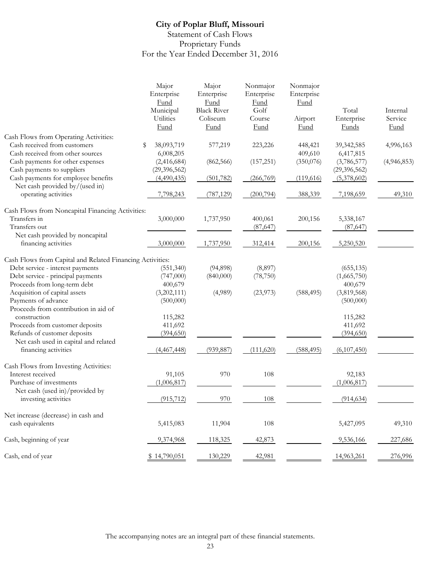Statement of Cash Flows Proprietary Funds For the Year Ended December 31, 2016

|                                                           |   | Major          | Major              | Nonmajor   | Nonmajor   |                |             |
|-----------------------------------------------------------|---|----------------|--------------------|------------|------------|----------------|-------------|
|                                                           |   | Enterprise     | Enterprise         | Enterprise | Enterprise |                |             |
|                                                           |   | Fund           | Fund               | Fund       | Fund       |                |             |
|                                                           |   | Municipal      | <b>Black River</b> | Golf       |            | Total          | Internal    |
|                                                           |   | Utilities      | Coliseum           | Course     | Airport    | Enterprise     | Service     |
|                                                           |   | Fund           | Fund               | Fund       | Fund       | Funds          | Fund        |
|                                                           |   |                |                    |            |            |                |             |
| Cash Flows from Operating Activities:                     |   |                |                    |            |            |                |             |
| Cash received from customers                              | S | 38,093,719     | 577,219            | 223,226    | 448,421    | 39, 342, 585   | 4,996,163   |
| Cash received from other sources                          |   | 6,008,205      |                    |            | 409,610    | 6,417,815      |             |
| Cash payments for other expenses                          |   | (2,416,684)    | (862, 566)         | (157,251)  | (350,076)  | (3,786,577)    | (4,946,853) |
| Cash payments to suppliers                                |   | (29, 396, 562) |                    |            |            | (29, 396, 562) |             |
| Cash payments for employee benefits                       |   | (4,490,435)    | (501, 782)         | (266, 769) | (119, 616) | (5,378,602)    |             |
| Net cash provided by/(used in)                            |   |                |                    |            |            |                |             |
| operating activities                                      |   | 7,798,243      | (787, 129)         | (200, 794) | 388,339    | 7,198,659      | 49,310      |
| Cash Flows from Noncapital Financing Activities:          |   |                |                    |            |            |                |             |
| Transfers in                                              |   | 3,000,000      | 1,737,950          | 400,061    | 200,156    | 5,338,167      |             |
| Transfers out                                             |   |                |                    | (87, 647)  |            | (87, 647)      |             |
| Net cash provided by noncapital                           |   |                |                    |            |            |                |             |
| financing activities                                      |   | 3,000,000      | 1,737,950          | 312,414    | 200,156    | 5,250,520      |             |
| Cash Flows from Capital and Related Financing Activities: |   |                |                    |            |            |                |             |
| Debt service - interest payments                          |   | (551,340)      | (94,898)           | (8,897)    |            | (655, 135)     |             |
| Debt service - principal payments                         |   | (747,000)      | (840,000)          | (78, 750)  |            | (1,665,750)    |             |
| Proceeds from long-term debt                              |   | 400,679        |                    |            |            | 400,679        |             |
| Acquisition of capital assets                             |   | (3,202,111)    | (4,989)            | (23,973)   | (588, 495) | (3,819,568)    |             |
| Payments of advance                                       |   |                |                    |            |            | (500,000)      |             |
| Proceeds from contribution in aid of                      |   | (500,000)      |                    |            |            |                |             |
|                                                           |   |                |                    |            |            |                |             |
| construction                                              |   | 115,282        |                    |            |            | 115,282        |             |
| Proceeds from customer deposits                           |   | 411,692        |                    |            |            | 411,692        |             |
| Refunds of customer deposits                              |   | (394, 650)     |                    |            |            | (394, 650)     |             |
| Net cash used in capital and related                      |   |                |                    |            |            |                |             |
| financing activities                                      |   | (4,467,448)    | (939, 887)         | (111,620)  | (588, 495) | (6,107,450)    |             |
| Cash Flows from Investing Activities:                     |   |                |                    |            |            |                |             |
| Interest received                                         |   | 91,105         | 970                | 108        |            | 92,183         |             |
| Purchase of investments                                   |   | (1,006,817)    |                    |            |            | (1,006,817)    |             |
| Net cash (used in)/provided by                            |   |                |                    |            |            |                |             |
| investing activities                                      |   | (915, 712)     | 970                | 108        |            | (914, 634)     |             |
| Net increase (decrease) in cash and                       |   |                |                    |            |            |                |             |
| cash equivalents                                          |   | 5,415,083      | 11,904             | 108        |            | 5,427,095      | 49,310      |
| Cash, beginning of year                                   |   | 9,374,968      | 118,325            | 42,873     |            | 9,536,166      | 227,686     |
| Cash, end of year                                         |   | \$14,790,051   | 130,229            | 42,981     |            | 14,963,261     | 276,996     |
|                                                           |   |                |                    |            |            |                |             |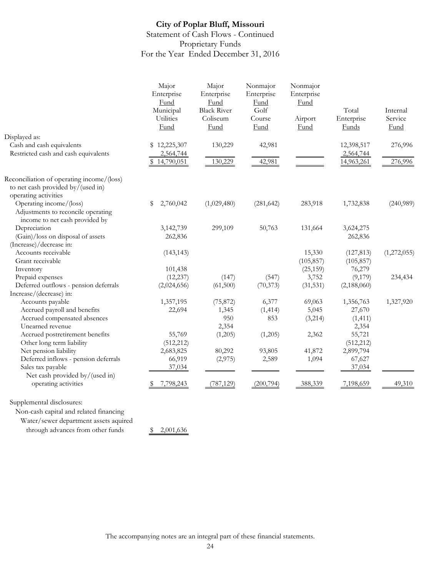Statement of Cash Flows - Continued Proprietary Funds For the Year Ended December 31, 2016

| Displayed as:                                                                                          | Major<br>Enterprise<br>Fund<br>Municipal<br>Utilities<br>Fund | Major<br>Enterprise<br>Fund<br><b>Black River</b><br>Coliseum<br>Fund | Nonmajor<br>Enterprise<br>Fund<br>Golf<br>Course<br>Fund | Nonmajor<br>Enterprise<br>Fund<br>Airport<br>Fund | Total<br>Enterprise<br><b>Funds</b> | Internal<br>Service<br><b>Fund</b> |
|--------------------------------------------------------------------------------------------------------|---------------------------------------------------------------|-----------------------------------------------------------------------|----------------------------------------------------------|---------------------------------------------------|-------------------------------------|------------------------------------|
| Cash and cash equivalents                                                                              | \$12,225,307                                                  | 130,229                                                               | 42,981                                                   |                                                   | 12,398,517                          | 276,996                            |
| Restricted cash and cash equivalents                                                                   | 2,564,744<br>14,790,051                                       | 130,229                                                               | 42,981                                                   |                                                   | 2,564,744<br>14,963,261             | 276,996                            |
| Reconciliation of operating income/(loss)<br>to net cash provided by/(used in)<br>operating activities |                                                               |                                                                       |                                                          |                                                   |                                     |                                    |
| Operating income/(loss)<br>Adjustments to reconcile operating<br>income to net cash provided by        | \$<br>2,760,042                                               | (1,029,480)                                                           | (281, 642)                                               | 283,918                                           | 1,732,838                           | (240,989)                          |
| Depreciation                                                                                           | 3,142,739                                                     | 299,109                                                               | 50,763                                                   | 131,664                                           | 3,624,275                           |                                    |
| (Gain)/loss on disposal of assets                                                                      | 262,836                                                       |                                                                       |                                                          |                                                   | 262,836                             |                                    |
| (Increase)/decrease in:                                                                                |                                                               |                                                                       |                                                          |                                                   |                                     |                                    |
| Accounts receivable                                                                                    | (143, 143)                                                    |                                                                       |                                                          | 15,330                                            | (127, 813)                          | (1,272,055)                        |
| Grant receivable                                                                                       |                                                               |                                                                       |                                                          | (105, 857)                                        | (105, 857)                          |                                    |
| Inventory                                                                                              | 101,438                                                       |                                                                       |                                                          | (25, 159)                                         | 76,279                              |                                    |
| Prepaid expenses                                                                                       | (12, 237)                                                     | (147)                                                                 | (547)                                                    | 3,752                                             | (9,179)                             | 234,434                            |
| Deferred outflows - pension deferrals                                                                  | (2,024,656)                                                   | (61,500)                                                              | (70, 373)                                                | (31, 531)                                         | (2,188,060)                         |                                    |
| Increase/(decrease) in:                                                                                |                                                               |                                                                       |                                                          |                                                   |                                     |                                    |
| Accounts payable                                                                                       | 1,357,195                                                     | (75, 872)                                                             | 6,377                                                    | 69,063                                            | 1,356,763                           | 1,327,920                          |
| Accrued payroll and benefits                                                                           | 22,694                                                        | 1,345                                                                 | (1, 414)                                                 | 5,045                                             | 27,670                              |                                    |
| Accrued compensated absences                                                                           |                                                               | 950                                                                   | 853                                                      | (3,214)                                           | (1, 411)                            |                                    |
| Unearned revenue                                                                                       |                                                               | 2,354                                                                 |                                                          |                                                   | 2,354                               |                                    |
| Accrued postretirement benefits                                                                        | 55,769                                                        | (1,205)                                                               | (1,205)                                                  | 2,362                                             | 55,721                              |                                    |
| Other long term liability                                                                              | (512, 212)                                                    |                                                                       |                                                          |                                                   | (512, 212)                          |                                    |
| Net pension liability                                                                                  | 2,683,825                                                     | 80,292                                                                | 93,805                                                   | 41,872                                            | 2,899,794                           |                                    |
| Deferred inflows - pension deferrals                                                                   | 66,919                                                        | (2,975)                                                               | 2,589                                                    | 1,094                                             | 67,627                              |                                    |
| Sales tax payable                                                                                      | 37,034                                                        |                                                                       |                                                          |                                                   | 37,034                              |                                    |
| Net cash provided by/(used in)                                                                         |                                                               |                                                                       |                                                          |                                                   |                                     |                                    |
| operating activities                                                                                   | 7,798,243                                                     | (787, 129)                                                            | (200, 794)                                               | 388,339                                           | 7,198,659                           | 49,310                             |

Supplemental disclosures:

Non-cash capital and related financing

Water/sewer department assets aquired

through advances from other funds \$ 2,001,636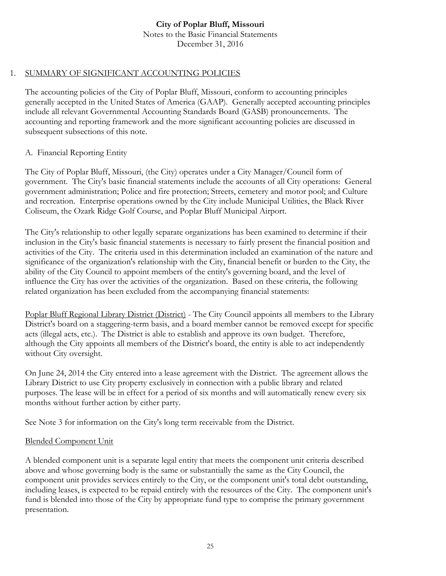# **City of Poplar Bluff, Missouri** Notes to the Basic Financial Statements December 31, 2016

# 1. SUMMARY OF SIGNIFICANT ACCOUNTING POLICIES

The accounting policies of the City of Poplar Bluff, Missouri, conform to accounting principles generally accepted in the United States of America (GAAP). Generally accepted accounting principles include all relevant Governmental Accounting Standards Board (GASB) pronouncements. The accounting and reporting framework and the more significant accounting policies are discussed in subsequent subsections of this note.

# A. Financial Reporting Entity

The City of Poplar Bluff, Missouri, (the City) operates under a City Manager/Council form of government. The City's basic financial statements include the accounts of all City operations: General government administration; Police and fire protection; Streets, cemetery and motor pool; and Culture and recreation. Enterprise operations owned by the City include Municipal Utilities, the Black River Coliseum, the Ozark Ridge Golf Course, and Poplar Bluff Municipal Airport.

The City's relationship to other legally separate organizations has been examined to determine if their inclusion in the City's basic financial statements is necessary to fairly present the financial position and activities of the City. The criteria used in this determination included an examination of the nature and significance of the organization's relationship with the City, financial benefit or burden to the City, the ability of the City Council to appoint members of the entity's governing board, and the level of influence the City has over the activities of the organization. Based on these criteria, the following related organization has been excluded from the accompanying financial statements:

Poplar Bluff Regional Library District (District) - The City Council appoints all members to the Library District's board on a staggering-term basis, and a board member cannot be removed except for specific acts (illegal acts, etc.). The District is able to establish and approve its own budget. Therefore, although the City appoints all members of the District's board, the entity is able to act independently without City oversight.

On June 24, 2014 the City entered into a lease agreement with the District. The agreement allows the Library District to use City property exclusively in connection with a public library and related purposes. The lease will be in effect for a period of six months and will automatically renew every six months without further action by either party.

See Note 3 for information on the City's long term receivable from the District.

## Blended Component Unit

A blended component unit is a separate legal entity that meets the component unit criteria described above and whose governing body is the same or substantially the same as the City Council, the component unit provides services entirely to the City, or the component unit's total debt outstanding, including leases, is expected to be repaid entirely with the resources of the City. The component unit's fund is blended into those of the City by appropriate fund type to comprise the primary government presentation.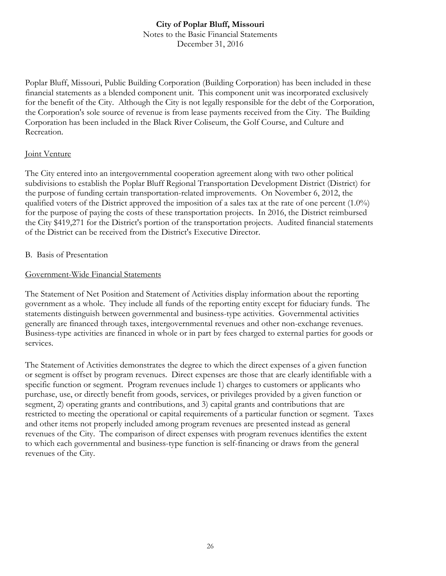# **City of Poplar Bluff, Missouri** Notes to the Basic Financial Statements December 31, 2016

Poplar Bluff, Missouri, Public Building Corporation (Building Corporation) has been included in these financial statements as a blended component unit. This component unit was incorporated exclusively for the benefit of the City. Although the City is not legally responsible for the debt of the Corporation, the Corporation's sole source of revenue is from lease payments received from the City. The Building Corporation has been included in the Black River Coliseum, the Golf Course, and Culture and Recreation.

# Joint Venture

The City entered into an intergovernmental cooperation agreement along with two other political subdivisions to establish the Poplar Bluff Regional Transportation Development District (District) for the purpose of funding certain transportation-related improvements. On November 6, 2012, the qualified voters of the District approved the imposition of a sales tax at the rate of one percent  $(1.0\%)$ for the purpose of paying the costs of these transportation projects. In 2016, the District reimbursed the City \$419,271 for the District's portion of the transportation projects. Audited financial statements of the District can be received from the District's Executive Director.

# B. Basis of Presentation

# Government-Wide Financial Statements

The Statement of Net Position and Statement of Activities display information about the reporting government as a whole. They include all funds of the reporting entity except for fiduciary funds. The statements distinguish between governmental and business-type activities. Governmental activities generally are financed through taxes, intergovernmental revenues and other non-exchange revenues. Business-type activities are financed in whole or in part by fees charged to external parties for goods or services.

The Statement of Activities demonstrates the degree to which the direct expenses of a given function or segment is offset by program revenues. Direct expenses are those that are clearly identifiable with a specific function or segment. Program revenues include 1) charges to customers or applicants who purchase, use, or directly benefit from goods, services, or privileges provided by a given function or segment, 2) operating grants and contributions, and 3) capital grants and contributions that are restricted to meeting the operational or capital requirements of a particular function or segment. Taxes and other items not properly included among program revenues are presented instead as general revenues of the City. The comparison of direct expenses with program revenues identifies the extent to which each governmental and business-type function is self-financing or draws from the general revenues of the City.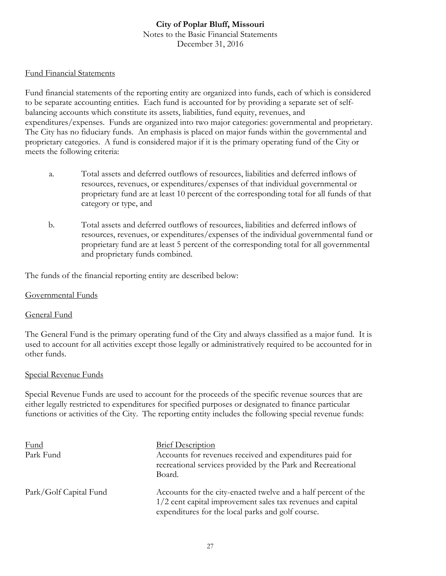Notes to the Basic Financial Statements December 31, 2016

#### Fund Financial Statements

Fund financial statements of the reporting entity are organized into funds, each of which is considered to be separate accounting entities. Each fund is accounted for by providing a separate set of selfbalancing accounts which constitute its assets, liabilities, fund equity, revenues, and expenditures/expenses. Funds are organized into two major categories: governmental and proprietary. The City has no fiduciary funds. An emphasis is placed on major funds within the governmental and proprietary categories. A fund is considered major if it is the primary operating fund of the City or meets the following criteria:

- a. Total assets and deferred outflows of resources, liabilities and deferred inflows of resources, revenues, or expenditures/expenses of that individual governmental or proprietary fund are at least 10 percent of the corresponding total for all funds of that category or type, and
- b. Total assets and deferred outflows of resources, liabilities and deferred inflows of resources, revenues, or expenditures/expenses of the individual governmental fund or proprietary fund are at least 5 percent of the corresponding total for all governmental and proprietary funds combined.

The funds of the financial reporting entity are described below:

## Governmental Funds

#### General Fund

The General Fund is the primary operating fund of the City and always classified as a major fund. It is used to account for all activities except those legally or administratively required to be accounted for in other funds.

#### Special Revenue Funds

Special Revenue Funds are used to account for the proceeds of the specific revenue sources that are either legally restricted to expenditures for specified purposes or designated to finance particular functions or activities of the City. The reporting entity includes the following special revenue funds:

| <b>Fund</b>            | <b>Brief Description</b>                                                                                                                                                             |
|------------------------|--------------------------------------------------------------------------------------------------------------------------------------------------------------------------------------|
| Park Fund              | Accounts for revenues received and expenditures paid for<br>recreational services provided by the Park and Recreational<br>Board.                                                    |
| Park/Golf Capital Fund | Accounts for the city-enacted twelve and a half percent of the<br>$1/2$ cent capital improvement sales tax revenues and capital<br>expenditures for the local parks and golf course. |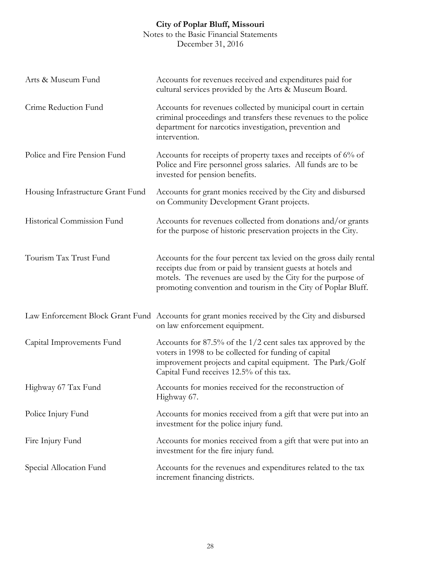Notes to the Basic Financial Statements December 31, 2016

| Arts & Museum Fund                | Accounts for revenues received and expenditures paid for<br>cultural services provided by the Arts & Museum Board.                                                                                                                                                 |
|-----------------------------------|--------------------------------------------------------------------------------------------------------------------------------------------------------------------------------------------------------------------------------------------------------------------|
| Crime Reduction Fund              | Accounts for revenues collected by municipal court in certain<br>criminal proceedings and transfers these revenues to the police<br>department for narcotics investigation, prevention and<br>intervention.                                                        |
| Police and Fire Pension Fund      | Accounts for receipts of property taxes and receipts of 6% of<br>Police and Fire personnel gross salaries. All funds are to be<br>invested for pension benefits.                                                                                                   |
| Housing Infrastructure Grant Fund | Accounts for grant monies received by the City and disbursed<br>on Community Development Grant projects.                                                                                                                                                           |
| Historical Commission Fund        | Accounts for revenues collected from donations and/or grants<br>for the purpose of historic preservation projects in the City.                                                                                                                                     |
| Tourism Tax Trust Fund            | Accounts for the four percent tax levied on the gross daily rental<br>receipts due from or paid by transient guests at hotels and<br>motels. The revenues are used by the City for the purpose of<br>promoting convention and tourism in the City of Poplar Bluff. |
|                                   | Law Enforcement Block Grant Fund Accounts for grant monies received by the City and disbursed<br>on law enforcement equipment.                                                                                                                                     |
| Capital Improvements Fund         | Accounts for 87.5% of the 1/2 cent sales tax approved by the<br>voters in 1998 to be collected for funding of capital<br>improvement projects and capital equipment. The Park/Golf<br>Capital Fund receives 12.5% of this tax.                                     |
| Highway 67 Tax Fund               | Accounts for monies received for the reconstruction of<br>Highway 67.                                                                                                                                                                                              |
| Police Injury Fund                | Accounts for monies received from a gift that were put into an<br>investment for the police injury fund.                                                                                                                                                           |
| Fire Injury Fund                  | Accounts for monies received from a gift that were put into an<br>investment for the fire injury fund.                                                                                                                                                             |
| Special Allocation Fund           | Accounts for the revenues and expenditures related to the tax<br>increment financing districts.                                                                                                                                                                    |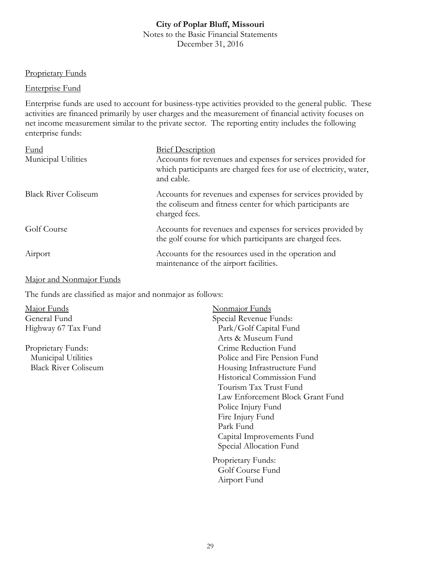Notes to the Basic Financial Statements December 31, 2016

#### Proprietary Funds

#### Enterprise Fund

Enterprise funds are used to account for business-type activities provided to the general public. These activities are financed primarily by user charges and the measurement of financial activity focuses on net income measurement similar to the private sector. The reporting entity includes the following enterprise funds:

| Fund<br>Municipal Utilities | <b>Brief Description</b><br>Accounts for revenues and expenses for services provided for<br>which participants are charged fees for use of electricity, water,<br>and cable. |
|-----------------------------|------------------------------------------------------------------------------------------------------------------------------------------------------------------------------|
| <b>Black River Coliseum</b> | Accounts for revenues and expenses for services provided by<br>the colliseum and fitness center for which participants are<br>charged fees.                                  |
| Golf Course                 | Accounts for revenues and expenses for services provided by<br>the golf course for which participants are charged fees.                                                      |
| Airport                     | Accounts for the resources used in the operation and<br>maintenance of the airport facilities.                                                                               |

#### Major and Nonmajor Funds

The funds are classified as major and nonmajor as follows:

Major Funds Nonmajor Funds

General Fund Special Revenue Funds: Highway 67 Tax Fund Park/Golf Capital Fund Arts & Museum Fund Proprietary Funds: Crime Reduction Fund Municipal Utilities **Police and Fire Pension Fund** Black River Coliseum Housing Infrastructure Fund Historical Commission Fund Tourism Tax Trust Fund Law Enforcement Block Grant Fund Police Injury Fund Fire Injury Fund Park Fund Capital Improvements Fund Special Allocation Fund

> Proprietary Funds: Golf Course Fund Airport Fund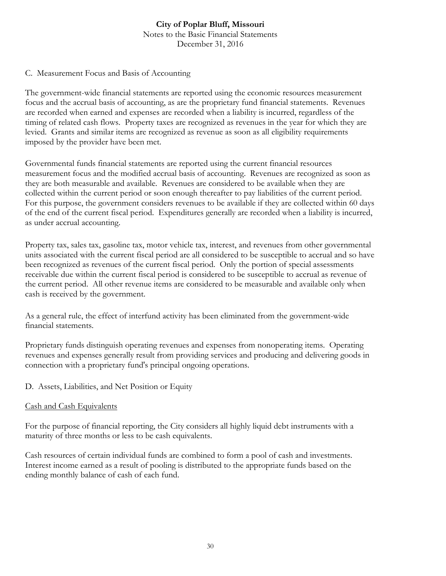# **City of Poplar Bluff, Missouri** Notes to the Basic Financial Statements December 31, 2016

# C. Measurement Focus and Basis of Accounting

The government-wide financial statements are reported using the economic resources measurement focus and the accrual basis of accounting, as are the proprietary fund financial statements. Revenues are recorded when earned and expenses are recorded when a liability is incurred, regardless of the timing of related cash flows. Property taxes are recognized as revenues in the year for which they are levied. Grants and similar items are recognized as revenue as soon as all eligibility requirements imposed by the provider have been met.

Governmental funds financial statements are reported using the current financial resources measurement focus and the modified accrual basis of accounting. Revenues are recognized as soon as they are both measurable and available. Revenues are considered to be available when they are collected within the current period or soon enough thereafter to pay liabilities of the current period. For this purpose, the government considers revenues to be available if they are collected within 60 days of the end of the current fiscal period. Expenditures generally are recorded when a liability is incurred, as under accrual accounting.

Property tax, sales tax, gasoline tax, motor vehicle tax, interest, and revenues from other governmental units associated with the current fiscal period are all considered to be susceptible to accrual and so have been recognized as revenues of the current fiscal period. Only the portion of special assessments receivable due within the current fiscal period is considered to be susceptible to accrual as revenue of the current period. All other revenue items are considered to be measurable and available only when cash is received by the government.

As a general rule, the effect of interfund activity has been eliminated from the government-wide financial statements.

Proprietary funds distinguish operating revenues and expenses from nonoperating items. Operating revenues and expenses generally result from providing services and producing and delivering goods in connection with a proprietary fund's principal ongoing operations.

## D. Assets, Liabilities, and Net Position or Equity

## Cash and Cash Equivalents

For the purpose of financial reporting, the City considers all highly liquid debt instruments with a maturity of three months or less to be cash equivalents.

Cash resources of certain individual funds are combined to form a pool of cash and investments. Interest income earned as a result of pooling is distributed to the appropriate funds based on the ending monthly balance of cash of each fund.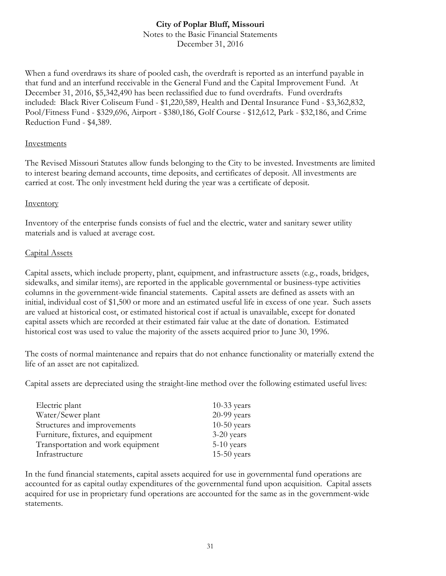Notes to the Basic Financial Statements December 31, 2016

When a fund overdraws its share of pooled cash, the overdraft is reported as an interfund payable in that fund and an interfund receivable in the General Fund and the Capital Improvement Fund. At December 31, 2016, \$5,342,490 has been reclassified due to fund overdrafts. Fund overdrafts included: Black River Coliseum Fund - \$1,220,589, Health and Dental Insurance Fund - \$3,362,832, Pool/Fitness Fund - \$329,696, Airport - \$380,186, Golf Course - \$12,612, Park - \$32,186, and Crime Reduction Fund - \$4,389.

#### Investments

The Revised Missouri Statutes allow funds belonging to the City to be invested. Investments are limited to interest bearing demand accounts, time deposits, and certificates of deposit. All investments are carried at cost. The only investment held during the year was a certificate of deposit.

## **Inventory**

Inventory of the enterprise funds consists of fuel and the electric, water and sanitary sewer utility materials and is valued at average cost.

# Capital Assets

Capital assets, which include property, plant, equipment, and infrastructure assets (e.g., roads, bridges, sidewalks, and similar items), are reported in the applicable governmental or business-type activities columns in the government-wide financial statements. Capital assets are defined as assets with an initial, individual cost of \$1,500 or more and an estimated useful life in excess of one year. Such assets are valued at historical cost, or estimated historical cost if actual is unavailable, except for donated capital assets which are recorded at their estimated fair value at the date of donation. Estimated historical cost was used to value the majority of the assets acquired prior to June 30, 1996.

The costs of normal maintenance and repairs that do not enhance functionality or materially extend the life of an asset are not capitalized.

Capital assets are depreciated using the straight-line method over the following estimated useful lives:

| $10-33$ years |
|---------------|
| $20-99$ years |
| $10-50$ years |
| 3-20 years    |
| $5-10$ years  |
| 15-50 years   |
|               |

In the fund financial statements, capital assets acquired for use in governmental fund operations are accounted for as capital outlay expenditures of the governmental fund upon acquisition. Capital assets acquired for use in proprietary fund operations are accounted for the same as in the government-wide statements.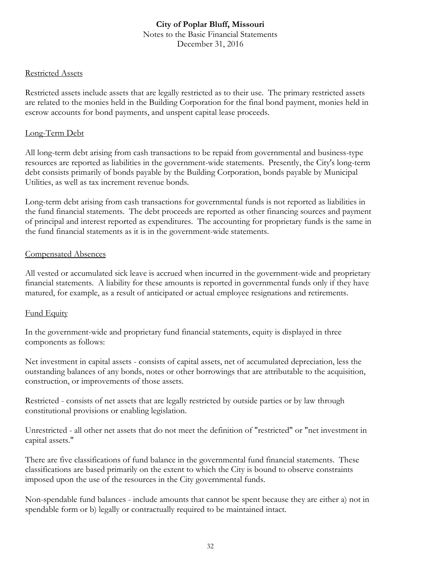# **City of Poplar Bluff, Missouri** Notes to the Basic Financial Statements December 31, 2016

## Restricted Assets

Restricted assets include assets that are legally restricted as to their use. The primary restricted assets are related to the monies held in the Building Corporation for the final bond payment, monies held in escrow accounts for bond payments, and unspent capital lease proceeds.

#### Long-Term Debt

All long-term debt arising from cash transactions to be repaid from governmental and business-type resources are reported as liabilities in the government-wide statements. Presently, the City's long-term debt consists primarily of bonds payable by the Building Corporation, bonds payable by Municipal Utilities, as well as tax increment revenue bonds.

Long-term debt arising from cash transactions for governmental funds is not reported as liabilities in the fund financial statements. The debt proceeds are reported as other financing sources and payment of principal and interest reported as expenditures. The accounting for proprietary funds is the same in the fund financial statements as it is in the government-wide statements.

#### Compensated Absences

All vested or accumulated sick leave is accrued when incurred in the government-wide and proprietary financial statements. A liability for these amounts is reported in governmental funds only if they have matured, for example, as a result of anticipated or actual employee resignations and retirements.

## Fund Equity

In the government-wide and proprietary fund financial statements, equity is displayed in three components as follows:

Net investment in capital assets - consists of capital assets, net of accumulated depreciation, less the outstanding balances of any bonds, notes or other borrowings that are attributable to the acquisition, construction, or improvements of those assets.

Restricted - consists of net assets that are legally restricted by outside parties or by law through constitutional provisions or enabling legislation.

Unrestricted - all other net assets that do not meet the definition of "restricted" or "net investment in capital assets."

There are five classifications of fund balance in the governmental fund financial statements. These classifications are based primarily on the extent to which the City is bound to observe constraints imposed upon the use of the resources in the City governmental funds.

Non-spendable fund balances - include amounts that cannot be spent because they are either a) not in spendable form or b) legally or contractually required to be maintained intact.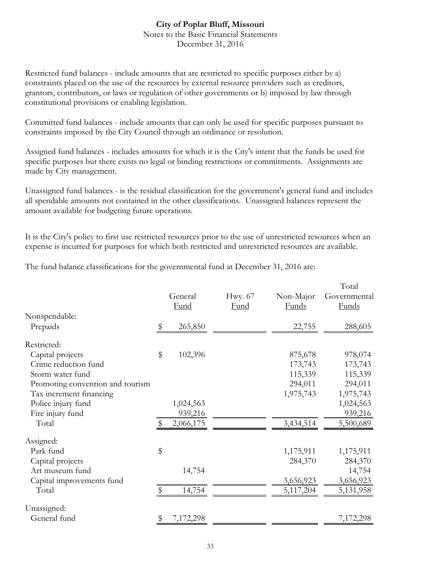Notes to the Basic Financial Statements December 31, 2016

Restricted fund balances - include amounts that are restricted to specific purposes either by a) constraints placed on the use of the resources by external resource providers such as creditors, grantors, contributors, or laws or regulation of other governments or b) imposed by law through constitutional provisions or enabling legislation.

Committed fund balances - include amounts that can only be used for specific purposes pursuant to constraints imposed by the City Council through an ordinance or resolution.

Assigned fund balances - includes amounts for which it is the City's intent that the funds be used for specific purposes but there exists no legal or binding restrictions or commitments. Assignments are made by City management.

Unassigned fund balances - is the residual classification for the government's general fund and includes all spendable amounts not contained in the other classifications. Unassigned balances represent the amount available for budgeting future operations.

It is the City's policy to first use restricted resources prior to the use of unrestricted resources when an expense is incurred for purposes for which both restricted and unrestricted resources are available.

The fund balance classifications for the governmental fund at December 31, 2016 are:

| Nonspendable:                                                                                                                                                                                 |          | General<br>Fund                              | Hwy. 67<br>Fund | Non-Major<br><b>Funds</b>                                          | Total<br>Governmental<br><b>Funds</b>                                                      |
|-----------------------------------------------------------------------------------------------------------------------------------------------------------------------------------------------|----------|----------------------------------------------|-----------------|--------------------------------------------------------------------|--------------------------------------------------------------------------------------------|
| Prepaids                                                                                                                                                                                      |          | 265,850                                      |                 | 22,755                                                             | 288,605                                                                                    |
| Restricted:<br>Capital projects<br>Crime reduction fund<br>Storm water fund<br>Promoting convention and tourism<br>Tax increment financing<br>Police injury fund<br>Fire injury fund<br>Total | \$       | 102,396<br>1,024,563<br>939,216<br>2,066,175 |                 | 875,678<br>173,743<br>115,339<br>294,011<br>1,975,743<br>3,434,514 | 978,074<br>173,743<br>115,339<br>294,011<br>1,975,743<br>1,024,563<br>939,216<br>5,500,689 |
| Assigned:<br>Park fund<br>Capital projects<br>Art museum fund<br>Capital improvements fund<br>Total                                                                                           | \$<br>\$ | 14,754<br>14,754                             |                 | 1,175,911<br>284,370<br>3,656,923<br>5,117,204                     | 1,175,911<br>284,370<br>14,754<br>3,656,923<br>5, 131, 958                                 |
| Unassigned:<br>General fund                                                                                                                                                                   |          | 7,172,298                                    |                 |                                                                    | 7,172,298                                                                                  |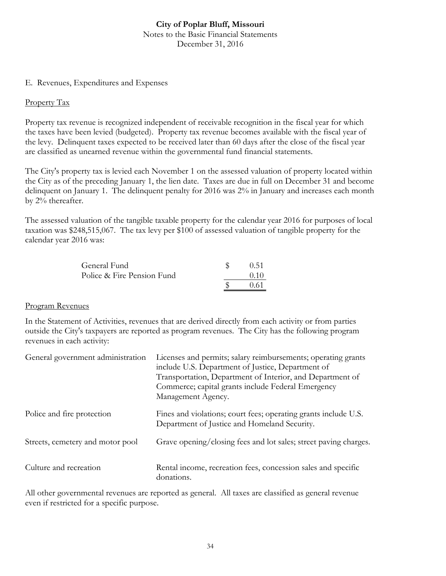Notes to the Basic Financial Statements December 31, 2016

#### E. Revenues, Expenditures and Expenses

#### Property Tax

Property tax revenue is recognized independent of receivable recognition in the fiscal year for which the taxes have been levied (budgeted). Property tax revenue becomes available with the fiscal year of the levy. Delinquent taxes expected to be received later than 60 days after the close of the fiscal year are classified as unearned revenue within the governmental fund financial statements.

The City's property tax is levied each November 1 on the assessed valuation of property located within the City as of the preceding January 1, the lien date. Taxes are due in full on December 31 and become delinquent on January 1. The delinquent penalty for 2016 was 2% in January and increases each month by 2% thereafter.

The assessed valuation of the tangible taxable property for the calendar year 2016 for purposes of local taxation was \$248,515,067. The tax levy per \$100 of assessed valuation of tangible property for the calendar year 2016 was:

| - General Fund             | (0.51) |
|----------------------------|--------|
| Police & Fire Pension Fund | 0.10   |
|                            | 0.61   |

#### Program Revenues

In the Statement of Activities, revenues that are derived directly from each activity or from parties outside the City's taxpayers are reported as program revenues. The City has the following program revenues in each activity:

| General government administration | Licenses and permits; salary reimbursements; operating grants<br>include U.S. Department of Justice, Department of<br>Transportation, Department of Interior, and Department of<br>Commerce; capital grants include Federal Emergency<br>Management Agency. |
|-----------------------------------|-------------------------------------------------------------------------------------------------------------------------------------------------------------------------------------------------------------------------------------------------------------|
| Police and fire protection        | Fines and violations; court fees; operating grants include U.S.<br>Department of Justice and Homeland Security.                                                                                                                                             |
| Streets, cemetery and motor pool  | Grave opening/closing fees and lot sales; street paving charges.                                                                                                                                                                                            |
| Culture and recreation            | Rental income, recreation fees, concession sales and specific<br>donations.                                                                                                                                                                                 |

All other governmental revenues are reported as general. All taxes are classified as general revenue even if restricted for a specific purpose.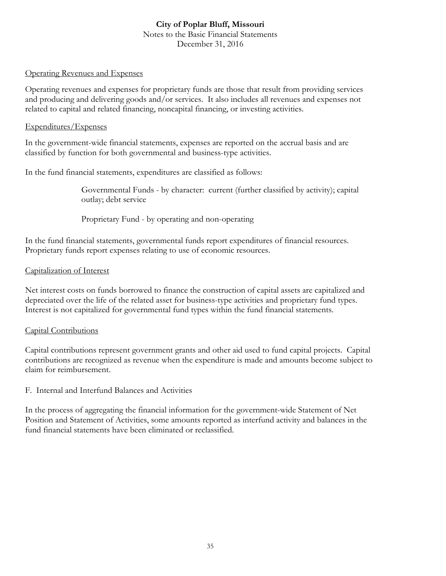#### Operating Revenues and Expenses

Operating revenues and expenses for proprietary funds are those that result from providing services and producing and delivering goods and/or services. It also includes all revenues and expenses not related to capital and related financing, noncapital financing, or investing activities.

#### Expenditures/Expenses

In the government-wide financial statements, expenses are reported on the accrual basis and are classified by function for both governmental and business-type activities.

In the fund financial statements, expenditures are classified as follows:

Governmental Funds - by character: current (further classified by activity); capital outlay; debt service

Proprietary Fund - by operating and non-operating

In the fund financial statements, governmental funds report expenditures of financial resources. Proprietary funds report expenses relating to use of economic resources.

### Capitalization of Interest

Net interest costs on funds borrowed to finance the construction of capital assets are capitalized and depreciated over the life of the related asset for business-type activities and proprietary fund types. Interest is not capitalized for governmental fund types within the fund financial statements.

### Capital Contributions

Capital contributions represent government grants and other aid used to fund capital projects. Capital contributions are recognized as revenue when the expenditure is made and amounts become subject to claim for reimbursement.

F. Internal and Interfund Balances and Activities

In the process of aggregating the financial information for the government-wide Statement of Net Position and Statement of Activities, some amounts reported as interfund activity and balances in the fund financial statements have been eliminated or reclassified.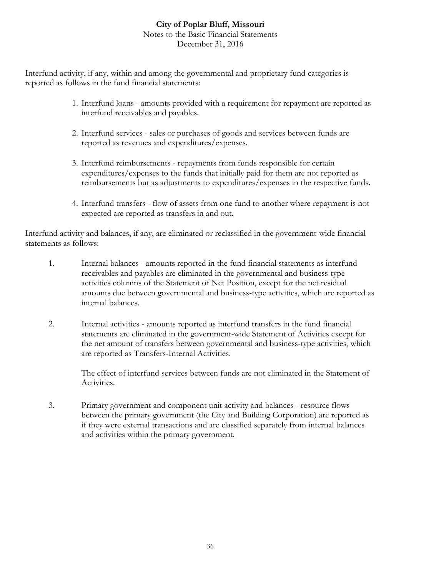December 31, 2016

Interfund activity, if any, within and among the governmental and proprietary fund categories is reported as follows in the fund financial statements:

- 1. Interfund loans amounts provided with a requirement for repayment are reported as interfund receivables and payables.
- 2. Interfund services sales or purchases of goods and services between funds are reported as revenues and expenditures/expenses.
- 3. Interfund reimbursements repayments from funds responsible for certain expenditures/expenses to the funds that initially paid for them are not reported as reimbursements but as adjustments to expenditures/expenses in the respective funds.
- 4. Interfund transfers flow of assets from one fund to another where repayment is not expected are reported as transfers in and out.

Interfund activity and balances, if any, are eliminated or reclassified in the government-wide financial statements as follows:

- 1. Internal balances amounts reported in the fund financial statements as interfund receivables and payables are eliminated in the governmental and business-type activities columns of the Statement of Net Position, except for the net residual amounts due between governmental and business-type activities, which are reported as internal balances.
- 2. Internal activities amounts reported as interfund transfers in the fund financial statements are eliminated in the government-wide Statement of Activities except for the net amount of transfers between governmental and business-type activities, which are reported as Transfers-Internal Activities.

The effect of interfund services between funds are not eliminated in the Statement of Activities.

3. Primary government and component unit activity and balances - resource flows between the primary government (the City and Building Corporation) are reported as if they were external transactions and are classified separately from internal balances and activities within the primary government.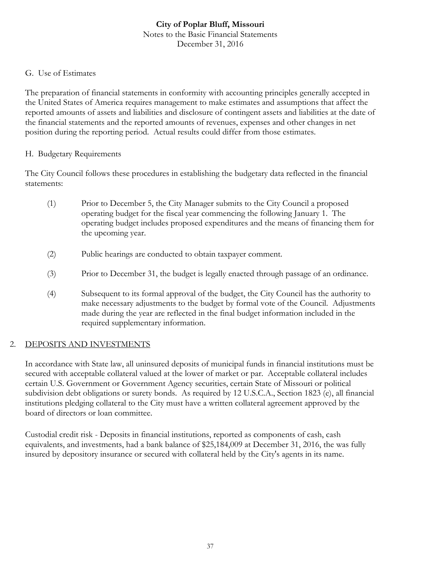### G. Use of Estimates

The preparation of financial statements in conformity with accounting principles generally accepted in the United States of America requires management to make estimates and assumptions that affect the reported amounts of assets and liabilities and disclosure of contingent assets and liabilities at the date of the financial statements and the reported amounts of revenues, expenses and other changes in net position during the reporting period. Actual results could differ from those estimates.

### H. Budgetary Requirements

The City Council follows these procedures in establishing the budgetary data reflected in the financial statements:

- (1) Prior to December 5, the City Manager submits to the City Council a proposed operating budget for the fiscal year commencing the following January 1. The operating budget includes proposed expenditures and the means of financing them for the upcoming year.
- (2) Public hearings are conducted to obtain taxpayer comment.
- (3) Prior to December 31, the budget is legally enacted through passage of an ordinance.
- (4) Subsequent to its formal approval of the budget, the City Council has the authority to make necessary adjustments to the budget by formal vote of the Council. Adjustments made during the year are reflected in the final budget information included in the required supplementary information.

## 2. DEPOSITS AND INVESTMENTS

In accordance with State law, all uninsured deposits of municipal funds in financial institutions must be secured with acceptable collateral valued at the lower of market or par. Acceptable collateral includes certain U.S. Government or Government Agency securities, certain State of Missouri or political subdivision debt obligations or surety bonds. As required by 12 U.S.C.A., Section 1823 (e), all financial institutions pledging collateral to the City must have a written collateral agreement approved by the board of directors or loan committee.

Custodial credit risk - Deposits in financial institutions, reported as components of cash, cash equivalents, and investments, had a bank balance of \$25,184,009 at December 31, 2016, the was fully insured by depository insurance or secured with collateral held by the City's agents in its name.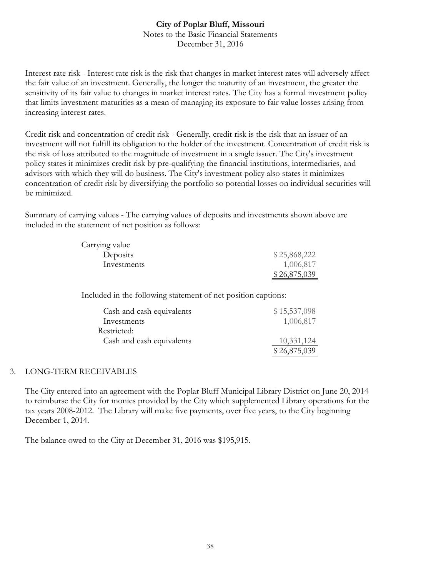Notes to the Basic Financial Statements December 31, 2016

Interest rate risk - Interest rate risk is the risk that changes in market interest rates will adversely affect the fair value of an investment. Generally, the longer the maturity of an investment, the greater the sensitivity of its fair value to changes in market interest rates. The City has a formal investment policy that limits investment maturities as a mean of managing its exposure to fair value losses arising from increasing interest rates.

Credit risk and concentration of credit risk - Generally, credit risk is the risk that an issuer of an investment will not fulfill its obligation to the holder of the investment. Concentration of credit risk is the risk of loss attributed to the magnitude of investment in a single issuer. The City's investment policy states it minimizes credit risk by pre-qualifying the financial institutions, intermediaries, and advisors with which they will do business. The City's investment policy also states it minimizes concentration of credit risk by diversifying the portfolio so potential losses on individual securities will be minimized.

Summary of carrying values - The carrying values of deposits and investments shown above are included in the statement of net position as follows:

| Carrying value |              |
|----------------|--------------|
| Deposits       | \$25,868,222 |
| Investments    | 1,006,817    |
|                | \$26,875,039 |

Included in the following statement of net position captions:

| Cash and cash equivalents | \$15,537,098 |
|---------------------------|--------------|
| Investments               | 1,006,817    |
| Restricted:               |              |
| Cash and cash equivalents | 10,331,124   |
|                           | \$26,875,039 |

### 3. LONG-TERM RECEIVABLES

The City entered into an agreement with the Poplar Bluff Municipal Library District on June 20, 2014 to reimburse the City for monies provided by the City which supplemented Library operations for the tax years 2008-2012. The Library will make five payments, over five years, to the City beginning December 1, 2014.

The balance owed to the City at December 31, 2016 was \$195,915.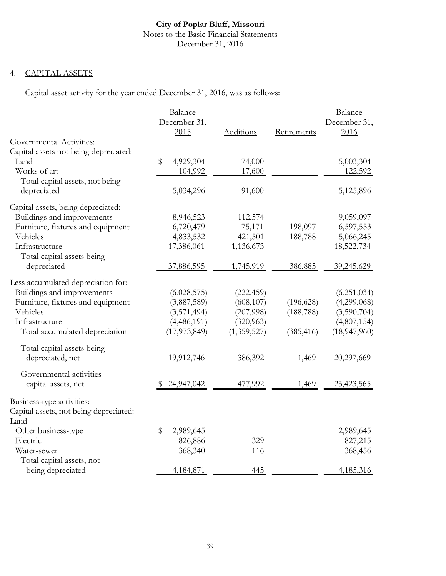Notes to the Basic Financial Statements December 31, 2016

# 4. CAPITAL ASSETS

Capital asset activity for the year ended December 31, 2016, was as follows:

|                                        | Balance                  |                  |             | Balance        |
|----------------------------------------|--------------------------|------------------|-------------|----------------|
|                                        | December 31,             |                  |             | December 31,   |
|                                        | 2015                     | <b>Additions</b> | Retirements | 2016           |
| Governmental Activities:               |                          |                  |             |                |
| Capital assets not being depreciated:  |                          |                  |             |                |
| Land                                   | $\mathbb S$<br>4,929,304 | 74,000           |             | 5,003,304      |
| Works of art                           | 104,992                  | 17,600           |             | 122,592        |
| Total capital assets, not being        |                          |                  |             |                |
| depreciated                            | 5,034,296                | 91,600           |             | 5,125,896      |
| Capital assets, being depreciated:     |                          |                  |             |                |
| Buildings and improvements             | 8,946,523                | 112,574          |             | 9,059,097      |
| Furniture, fixtures and equipment      | 6,720,479                | 75,171           | 198,097     | 6,597,553      |
| Vehicles                               | 4,833,532                | 421,501          | 188,788     | 5,066,245      |
| Infrastructure                         | 17,386,061               | 1,136,673        |             | 18,522,734     |
| Total capital assets being             |                          |                  |             |                |
| depreciated                            | 37,886,595               | 1,745,919        | 386,885     | 39,245,629     |
| Less accumulated depreciation for:     |                          |                  |             |                |
| Buildings and improvements             | (6,028,575)              | (222, 459)       |             | (6,251,034)    |
| Furniture, fixtures and equipment      | (3,887,589)              | (608, 107)       | (196, 628)  | (4,299,068)    |
| Vehicles                               | (3,571,494)              | (207,998)        | (188, 788)  | (3,590,704)    |
| Infrastructure                         | (4, 486, 191)            | (320, 963)       |             | (4,807,154)    |
| Total accumulated depreciation         | (17, 973, 849)           | (1,359,527)      | (385, 416)  | (18, 947, 960) |
| Total capital assets being             |                          |                  |             |                |
| depreciated, net                       | 19,912,746               | 386,392          | 1,469       | 20,297,669     |
| Governmental activities                |                          |                  |             |                |
| capital assets, net                    | 24,947,042<br>Y.         | 477,992          | 1,469       | 25,423,565     |
| Business-type activities:              |                          |                  |             |                |
| Capital assets, not being depreciated: |                          |                  |             |                |
| Land                                   |                          |                  |             |                |
| Other business-type                    | \$<br>2,989,645          |                  |             | 2,989,645      |
| Electric                               | 826,886                  | 329              |             | 827,215        |
| Water-sewer                            | 368,340                  | 116              |             | 368,456        |
| Total capital assets, not              |                          |                  |             |                |
| being depreciated                      | 4,184,871                | 445              |             | 4,185,316      |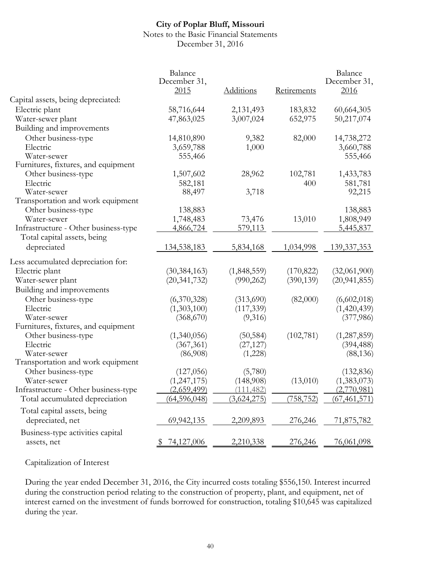Notes to the Basic Financial Statements December 31, 2016

|                                      | Balance<br>December 31, |                  |             | Balance<br>December 31, |
|--------------------------------------|-------------------------|------------------|-------------|-------------------------|
|                                      | 2015                    | <b>Additions</b> | Retirements | 2016                    |
| Capital assets, being depreciated:   |                         |                  |             |                         |
| Electric plant                       | 58,716,644              | 2,131,493        | 183,832     | 60,664,305              |
| Water-sewer plant                    | 47,863,025              | 3,007,024        | 652,975     | 50,217,074              |
| Building and improvements            |                         |                  |             |                         |
| Other business-type                  | 14,810,890              | 9,382            | 82,000      | 14,738,272              |
| Electric                             | 3,659,788               | 1,000            |             | 3,660,788               |
| Water-sewer                          | 555,466                 |                  |             | 555,466                 |
| Furnitures, fixtures, and equipment  |                         |                  |             |                         |
| Other business-type                  | 1,507,602               | 28,962           | 102,781     | 1,433,783               |
| Electric                             | 582,181                 |                  | 400         | 581,781                 |
| Water-sewer                          | 88,497                  | 3,718            |             | 92,215                  |
| Transportation and work equipment    |                         |                  |             |                         |
| Other business-type                  | 138,883                 |                  |             | 138,883                 |
| Water-sewer                          | 1,748,483               | 73,476           | 13,010      | 1,808,949               |
| Infrastructure - Other business-type | 4,866,724               | 579,113          |             | 5,445,837               |
| Total capital assets, being          |                         |                  |             |                         |
| depreciated                          | 134,538,183             | 5,834,168        | 1,034,998   | 139, 337, 353           |
|                                      |                         |                  |             |                         |
| Less accumulated depreciation for:   |                         |                  |             |                         |
| Electric plant                       | (30, 384, 163)          | (1,848,559)      | (170, 822)  | (32,061,900)            |
| Water-sewer plant                    | (20, 341, 732)          | (990, 262)       | (390, 139)  | (20, 941, 855)          |
| Building and improvements            |                         |                  |             |                         |
| Other business-type                  | (6,370,328)             | (313,690)        | (82,000)    | (6,602,018)             |
| Electric                             | (1,303,100)             | (117, 339)       |             | (1,420,439)             |
| Water-sewer                          | (368,670)               | (9,316)          |             | (377,986)               |
| Furnitures, fixtures, and equipment  |                         |                  |             |                         |
| Other business-type                  | (1,340,056)             | (50, 584)        | (102, 781)  | (1, 287, 859)           |
| Electric                             | (367, 361)              | (27, 127)        |             | (394, 488)              |
| Water-sewer                          | (86,908)                | (1,228)          |             | (88, 136)               |
| Transportation and work equipment    |                         |                  |             |                         |
| Other business-type                  | (127,056)               | (5,780)          |             | (132, 836)              |
| Water-sewer                          | (1, 247, 175)           | (148,908)        | (13,010)    | (1,383,073)             |
| Infrastructure - Other business-type | (2,659,499)             | (111, 482)       |             | (2,770,981)             |
| Total accumulated depreciation       | (64, 596, 048)          | (3,624,275)      | (758, 752)  | (67, 461, 571)          |
| Total capital assets, being          |                         |                  |             |                         |
| depreciated, net                     | 69,942,135              | 2,209,893        | 276,246     | 71,875,782              |
| Business-type activities capital     |                         |                  |             |                         |
| assets, net                          | 74,127,006<br>\$        | 2,210,338        | 276,246     | 76,061,098              |

# Capitalization of Interest

During the year ended December 31, 2016, the City incurred costs totaling \$556,150. Interest incurred during the construction period relating to the construction of property, plant, and equipment, net of interest earned on the investment of funds borrowed for construction, totaling \$10,645 was capitalized during the year.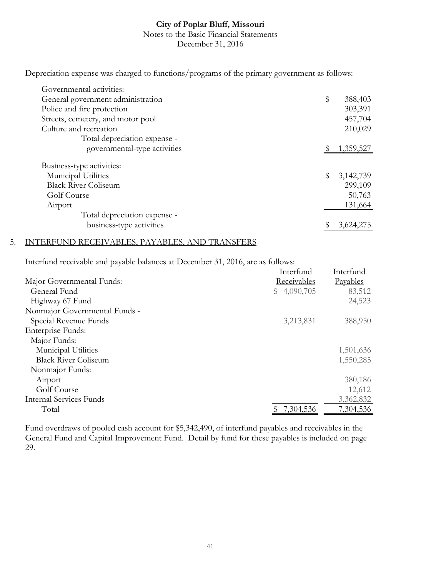#### Notes to the Basic Financial Statements December 31, 2016

Depreciation expense was charged to functions/programs of the primary government as follows:

| Governmental activities:          |                   |
|-----------------------------------|-------------------|
| General government administration | \$<br>388,403     |
| Police and fire protection        | 303,391           |
| Streets, cemetery, and motor pool | 457,704           |
| Culture and recreation            | 210,029           |
| Total depreciation expense -      |                   |
| governmental-type activities      | 1,359,527         |
| Business-type activities:         |                   |
| Municipal Utilities               | \$<br>3, 142, 739 |
| <b>Black River Coliseum</b>       | 299,109           |
| Golf Course                       | 50,763            |
| Airport                           | 131,664           |
| Total depreciation expense -      |                   |
| business-type activities          | 3.624.275         |
|                                   |                   |

#### 5. INTERFUND RECEIVABLES, PAYABLES, AND TRANSFERS

Interfund receivable and payable balances at December 31, 2016, are as follows:

|                               | Interfund   | Interfund |
|-------------------------------|-------------|-----------|
| Major Governmental Funds:     | Receivables | Payables  |
| General Fund                  | \$4,090,705 | 83,512    |
| Highway 67 Fund               |             | 24,523    |
| Nonmajor Governmental Funds - |             |           |
| Special Revenue Funds         | 3,213,831   | 388,950   |
| Enterprise Funds:             |             |           |
| Major Funds:                  |             |           |
| Municipal Utilities           |             | 1,501,636 |
| <b>Black River Coliseum</b>   |             | 1,550,285 |
| Nonmajor Funds:               |             |           |
| Airport                       |             | 380,186   |
| Golf Course                   |             | 12,612    |
| Internal Services Funds       |             | 3,362,832 |
| Total                         | 7,304,536   | 7,304,536 |

Fund overdraws of pooled cash account for \$5,342,490, of interfund payables and receivables in the General Fund and Capital Improvement Fund. Detail by fund for these payables is included on page 29.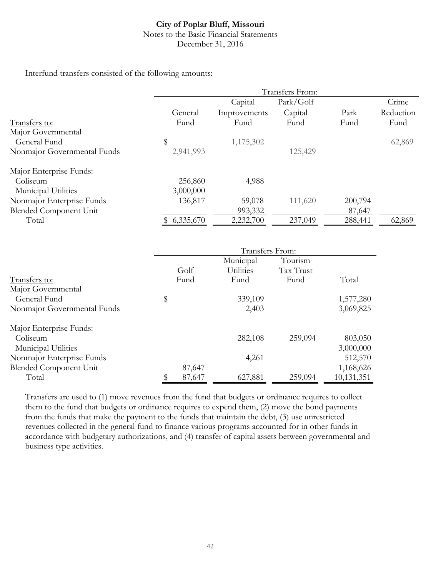#### Notes to the Basic Financial Statements December 31, 2016

Interfund transfers consisted of the following amounts:

|                               | Transfers From: |              |           |         |           |
|-------------------------------|-----------------|--------------|-----------|---------|-----------|
|                               |                 | Capital      | Park/Golf |         | Crime     |
|                               | General         | Improvements | Capital   | Park    | Reduction |
| Transfers to:                 | Fund            | Fund         | Fund      | Fund    | Fund      |
| Major Governmental            |                 |              |           |         |           |
| General Fund                  | \$              | 1,175,302    |           |         | 62,869    |
| Nonmajor Governmental Funds   | 2,941,993       |              | 125,429   |         |           |
| Major Enterprise Funds:       |                 |              |           |         |           |
| Coliseum                      | 256,860         | 4,988        |           |         |           |
| Municipal Utilities           | 3,000,000       |              |           |         |           |
| Nonmajor Enterprise Funds     | 136,817         | 59,078       | 111,620   | 200,794 |           |
| <b>Blended Component Unit</b> |                 | 993,332      |           | 87,647  |           |
| Total                         | 6,335,670       | 2,232,700    | 237,049   | 288,441 | 62,869    |

|                               | Transfers From: |        |                  |           |            |
|-------------------------------|-----------------|--------|------------------|-----------|------------|
|                               |                 |        | Municipal        | Tourism   |            |
|                               |                 | Golf   | <b>Utilities</b> | Tax Trust |            |
| Transfers to:                 |                 | Fund   | Fund             | Fund      | Total      |
| Major Governmental            |                 |        |                  |           |            |
| General Fund                  | \$              |        | 339,109          |           | 1,577,280  |
| Nonmajor Governmental Funds   |                 |        | 2,403            |           | 3,069,825  |
| Major Enterprise Funds:       |                 |        |                  |           |            |
| Coliseum                      |                 |        | 282,108          | 259,094   | 803,050    |
| Municipal Utilities           |                 |        |                  |           | 3,000,000  |
| Nonmajor Enterprise Funds     |                 |        | 4,261            |           | 512,570    |
| <b>Blended Component Unit</b> |                 | 87,647 |                  |           | 1,168,626  |
| Total                         |                 | 87,647 | 627,881          | 259,094   | 10,131,351 |

Transfers are used to (1) move revenues from the fund that budgets or ordinance requires to collect them to the fund that budgets or ordinance requires to expend them, (2) move the bond payments from the funds that make the payment to the funds that maintain the debt, (3) use unrestricted revenues collected in the general fund to finance various programs accounted for in other funds in accordance with budgetary authorizations, and (4) transfer of capital assets between governmental and business type activities.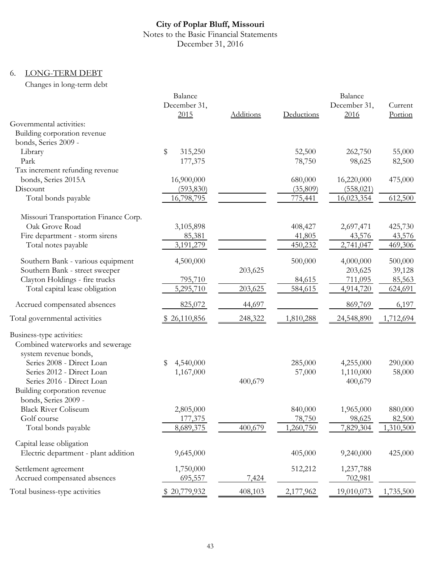# Notes to the Basic Financial Statements December 31, 2016

# 6. LONG-TERM DEBT

Changes in long-term debt

|                                       | Balance         |                  |            | Balance      |           |
|---------------------------------------|-----------------|------------------|------------|--------------|-----------|
|                                       | December 31,    |                  |            | December 31, | Current   |
|                                       | 2015            | <b>Additions</b> | Deductions | 2016         | Portion   |
| Governmental activities:              |                 |                  |            |              |           |
| Building corporation revenue          |                 |                  |            |              |           |
| bonds, Series 2009 -                  |                 |                  |            |              |           |
| Library                               | \$<br>315,250   |                  | 52,500     | 262,750      | 55,000    |
| Park                                  | 177,375         |                  | 78,750     | 98,625       | 82,500    |
| Tax increment refunding revenue       |                 |                  |            |              |           |
| bonds, Series 2015A                   | 16,900,000      |                  | 680,000    | 16,220,000   | 475,000   |
| Discount                              | (593, 830)      |                  | (35,809)   | (558, 021)   |           |
| Total bonds payable                   | 16,798,795      |                  | 775,441    | 16,023,354   | 612,500   |
| Missouri Transportation Finance Corp. |                 |                  |            |              |           |
| Oak Grove Road                        | 3,105,898       |                  | 408,427    | 2,697,471    | 425,730   |
| Fire department - storm sirens        | 85,381          |                  | 41,805     | 43,576       | 43,576    |
| Total notes payable                   | 3,191,279       |                  | 450,232    | 2,741,047    | 469,306   |
| Southern Bank - various equipment     | 4,500,000       |                  | 500,000    | 4,000,000    | 500,000   |
| Southern Bank - street sweeper        |                 | 203,625          |            | 203,625      | 39,128    |
| Clayton Holdings - fire trucks        | 795,710         |                  | 84,615     | 711,095      | 85,563    |
| Total capital lease obligation        | 5,295,710       | 203,625          | 584,615    | 4,914,720    | 624,691   |
| Accrued compensated absences          | 825,072         | 44,697           |            | 869,769      | 6,197     |
| Total governmental activities         | \$26,110,856    | 248,322          | 1,810,288  | 24,548,890   | 1,712,694 |
| Business-type activities:             |                 |                  |            |              |           |
| Combined waterworks and sewerage      |                 |                  |            |              |           |
| system revenue bonds,                 |                 |                  |            |              |           |
| Series 2008 - Direct Loan             | 4,540,000<br>\$ |                  | 285,000    | 4,255,000    | 290,000   |
| Series 2012 - Direct Loan             | 1,167,000       |                  | 57,000     | 1,110,000    | 58,000    |
| Series 2016 - Direct Loan             |                 | 400,679          |            | 400,679      |           |
| Building corporation revenue          |                 |                  |            |              |           |
| bonds, Series 2009 -                  |                 |                  |            |              |           |
| <b>Black River Coliseum</b>           | 2,805,000       |                  | 840,000    | 1,965,000    | 880,000   |
| Golf course                           | 177,375         |                  | 78,750     | 98,625       | 82,500    |
| Total bonds payable                   | 8,689,375       | 400,679          | 1,260,750  | 7,829,304    | 1,310,500 |
| Capital lease obligation              |                 |                  |            |              |           |
| Electric department - plant addition  | 9,645,000       |                  | 405,000    | 9,240,000    | 425,000   |
| Settlement agreement                  | 1,750,000       |                  | 512,212    | 1,237,788    |           |
| Accrued compensated absences          | 695,557         | 7,424            |            | 702,981      |           |
| Total business-type activities        | \$20,779,932    | 408,103          | 2,177,962  | 19,010,073   | 1,735,500 |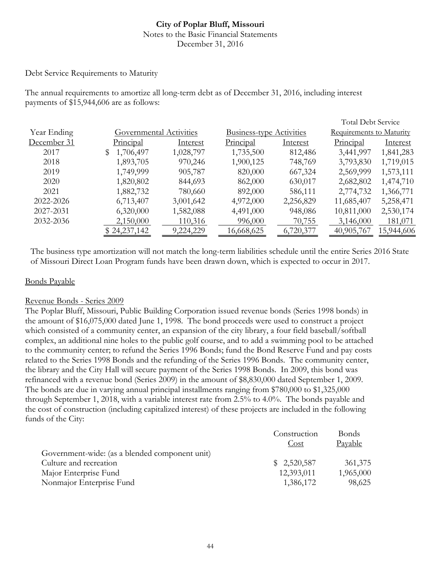Notes to the Basic Financial Statements December 31, 2016

#### Debt Service Requirements to Maturity

The annual requirements to amortize all long-term debt as of December 31, 2016, including interest payments of \$15,944,606 are as follows:

|             |                         |           |                                 |                 | <b>Total Debt Service</b>       |            |
|-------------|-------------------------|-----------|---------------------------------|-----------------|---------------------------------|------------|
| Year Ending | Governmental Activities |           | <b>Business-type Activities</b> |                 | <b>Requirements to Maturity</b> |            |
| December 31 | <b>Principal</b>        | Interest  | Principal                       | <u>Interest</u> | Principal                       | Interest   |
| 2017        | 1,706,497<br>SS.        | 1,028,797 | 1,735,500                       | 812,486         | 3,441,997                       | 1,841,283  |
| 2018        | 1,893,705               | 970,246   | 1,900,125                       | 748,769         | 3,793,830                       | 1,719,015  |
| 2019        | 1,749,999               | 905,787   | 820,000                         | 667,324         | 2,569,999                       | 1,573,111  |
| 2020        | 1,820,802               | 844,693   | 862,000                         | 630,017         | 2,682,802                       | 1,474,710  |
| 2021        | 1,882,732               | 780,660   | 892,000                         | 586,111         | 2,774,732                       | 1,366,771  |
| 2022-2026   | 6,713,407               | 3,001,642 | 4,972,000                       | 2,256,829       | 11,685,407                      | 5,258,471  |
| 2027-2031   | 6,320,000               | 1,582,088 | 4,491,000                       | 948,086         | 10,811,000                      | 2,530,174  |
| 2032-2036   | 2,150,000               | 110,316   | 996,000                         | 70,755          | 3,146,000                       | 181,071    |
|             | \$24,237,142            | 9,224,229 | 16,668,625                      | 6,720,377       | 40,905,767                      | 15,944,606 |
|             |                         |           |                                 |                 |                                 |            |

The business type amortization will not match the long-term liabilities schedule until the entire Series 2016 State of Missouri Direct Loan Program funds have been drawn down, which is expected to occur in 2017.

#### Bonds Payable

#### Revenue Bonds - Series 2009

The Poplar Bluff, Missouri, Public Building Corporation issued revenue bonds (Series 1998 bonds) in the amount of \$16,075,000 dated June 1, 1998. The bond proceeds were used to construct a project which consisted of a community center, an expansion of the city library, a four field baseball/softball complex, an additional nine holes to the public golf course, and to add a swimming pool to be attached to the community center; to refund the Series 1996 Bonds; fund the Bond Reserve Fund and pay costs related to the Series 1998 Bonds and the refunding of the Series 1996 Bonds. The community center, the library and the City Hall will secure payment of the Series 1998 Bonds. In 2009, this bond was refinanced with a revenue bond (Series 2009) in the amount of \$8,830,000 dated September 1, 2009. The bonds are due in varying annual principal installments ranging from \$780,000 to \$1,325,000 through September 1, 2018, with a variable interest rate from 2.5% to 4.0%. The bonds payable and the cost of construction (including capitalized interest) of these projects are included in the following funds of the City:

|                                                | Construction | Bonds          |
|------------------------------------------------|--------------|----------------|
|                                                | Cost         | <b>Payable</b> |
| Government-wide: (as a blended component unit) |              |                |
| Culture and recreation                         | \$2,520,587  | 361,375        |
| Major Enterprise Fund                          | 12,393,011   | 1,965,000      |
| Nonmajor Enterprise Fund                       | 1,386,172    | 98,625         |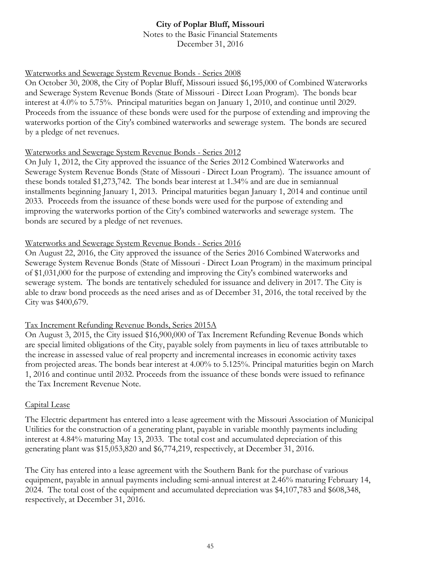Notes to the Basic Financial Statements December 31, 2016

### Waterworks and Sewerage System Revenue Bonds - Series 2008

On October 30, 2008, the City of Poplar Bluff, Missouri issued \$6,195,000 of Combined Waterworks and Sewerage System Revenue Bonds (State of Missouri - Direct Loan Program). The bonds bear interest at 4.0% to 5.75%. Principal maturities began on January 1, 2010, and continue until 2029. Proceeds from the issuance of these bonds were used for the purpose of extending and improving the waterworks portion of the City's combined waterworks and sewerage system. The bonds are secured by a pledge of net revenues.

### Waterworks and Sewerage System Revenue Bonds - Series 2012

On July 1, 2012, the City approved the issuance of the Series 2012 Combined Waterworks and Sewerage System Revenue Bonds (State of Missouri - Direct Loan Program). The issuance amount of these bonds totaled \$1,273,742. The bonds bear interest at 1.34% and are due in semiannual installments beginning January 1, 2013. Principal maturities began January 1, 2014 and continue until 2033. Proceeds from the issuance of these bonds were used for the purpose of extending and improving the waterworks portion of the City's combined waterworks and sewerage system. The bonds are secured by a pledge of net revenues.

### Waterworks and Sewerage System Revenue Bonds - Series 2016

On August 22, 2016, the City approved the issuance of the Series 2016 Combined Waterworks and Sewerage System Revenue Bonds (State of Missouri - Direct Loan Program) in the maximum principal of \$1,031,000 for the purpose of extending and improving the City's combined waterworks and sewerage system. The bonds are tentatively scheduled for issuance and delivery in 2017. The City is able to draw bond proceeds as the need arises and as of December 31, 2016, the total received by the City was \$400,679.

## Tax Increment Refunding Revenue Bonds, Series 2015A

On August 3, 2015, the City issued \$16,900,000 of Tax Increment Refunding Revenue Bonds which are special limited obligations of the City, payable solely from payments in lieu of taxes attributable to the increase in assessed value of real property and incremental increases in economic activity taxes from projected areas. The bonds bear interest at 4.00% to 5.125%. Principal maturities begin on March 1, 2016 and continue until 2032. Proceeds from the issuance of these bonds were issued to refinance the Tax Increment Revenue Note.

## Capital Lease

The Electric department has entered into a lease agreement with the Missouri Association of Municipal Utilities for the construction of a generating plant, payable in variable monthly payments including interest at 4.84% maturing May 13, 2033. The total cost and accumulated depreciation of this generating plant was \$15,053,820 and \$6,774,219, respectively, at December 31, 2016.

The City has entered into a lease agreement with the Southern Bank for the purchase of various equipment, payable in annual payments including semi-annual interest at 2.46% maturing February 14, 2024. The total cost of the equipment and accumulated depreciation was \$4,107,783 and \$608,348, respectively, at December 31, 2016.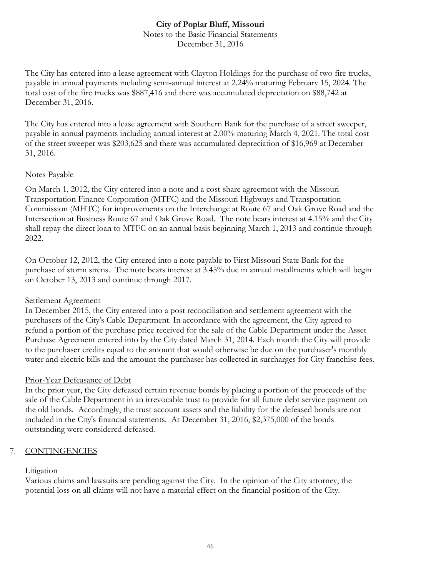Notes to the Basic Financial Statements December 31, 2016

The City has entered into a lease agreement with Clayton Holdings for the purchase of two fire trucks, payable in annual payments including semi-annual interest at 2.24% maturing February 15, 2024. The total cost of the fire trucks was \$887,416 and there was accumulated depreciation on \$88,742 at December 31, 2016.

The City has entered into a lease agreement with Southern Bank for the purchase of a street sweeper, payable in annual payments including annual interest at 2.00% maturing March 4, 2021. The total cost of the street sweeper was \$203,625 and there was accumulated depreciation of \$16,969 at December 31, 2016.

### Notes Payable

On March 1, 2012, the City entered into a note and a cost-share agreement with the Missouri Transportation Finance Corporation (MTFC) and the Missouri Highways and Transportation Commission (MHTC) for improvements on the Interchange at Route 67 and Oak Grove Road and the Intersection at Business Route 67 and Oak Grove Road. The note bears interest at 4.15% and the City shall repay the direct loan to MTFC on an annual basis beginning March 1, 2013 and continue through 2022.

On October 12, 2012, the City entered into a note payable to First Missouri State Bank for the purchase of storm sirens. The note bears interest at 3.45% due in annual installments which will begin on October 13, 2013 and continue through 2017.

## Settlement Agreement

In December 2015, the City entered into a post reconciliation and settlement agreement with the purchasers of the City's Cable Department. In accordance with the agreement, the City agreed to refund a portion of the purchase price received for the sale of the Cable Department under the Asset Purchase Agreement entered into by the City dated March 31, 2014. Each month the City will provide to the purchaser credits equal to the amount that would otherwise be due on the purchaser's monthly water and electric bills and the amount the purchaser has collected in surcharges for City franchise fees.

### Prior-Year Defeasance of Debt

In the prior year, the City defeased certain revenue bonds by placing a portion of the proceeds of the sale of the Cable Department in an irrevocable trust to provide for all future debt service payment on the old bonds. Accordingly, the trust account assets and the liability for the defeased bonds are not included in the City's financial statements. At December 31, 2016, \$2,375,000 of the bonds outstanding were considered defeased.

## 7. CONTINGENCIES

## **Litigation**

Various claims and lawsuits are pending against the City. In the opinion of the City attorney, the potential loss on all claims will not have a material effect on the financial position of the City.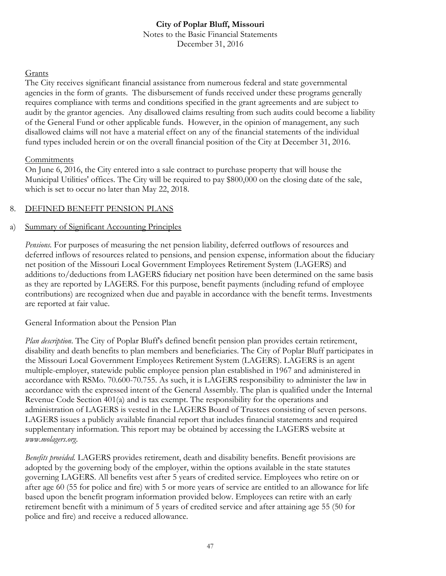December 31, 2016

### Grants

The City receives significant financial assistance from numerous federal and state governmental agencies in the form of grants. The disbursement of funds received under these programs generally requires compliance with terms and conditions specified in the grant agreements and are subject to audit by the grantor agencies. Any disallowed claims resulting from such audits could become a liability of the General Fund or other applicable funds. However, in the opinion of management, any such disallowed claims will not have a material effect on any of the financial statements of the individual fund types included herein or on the overall financial position of the City at December 31, 2016.

### **Commitments**

On June 6, 2016, the City entered into a sale contract to purchase property that will house the Municipal Utilities' offices. The City will be required to pay \$800,000 on the closing date of the sale, which is set to occur no later than May 22, 2018.

### 8. DEFINED BENEFIT PENSION PLANS

### a) Summary of Significant Accounting Principles

*Pensions.* For purposes of measuring the net pension liability, deferred outflows of resources and deferred inflows of resources related to pensions, and pension expense, information about the fiduciary net position of the Missouri Local Government Employees Retirement System (LAGERS) and additions to/deductions from LAGERS fiduciary net position have been determined on the same basis as they are reported by LAGERS. For this purpose, benefit payments (including refund of employee contributions) are recognized when due and payable in accordance with the benefit terms. Investments are reported at fair value.

### General Information about the Pension Plan

*Plan description*. The City of Poplar Bluff's defined benefit pension plan provides certain retirement, disability and death benefits to plan members and beneficiaries. The City of Poplar Bluff participates in the Missouri Local Government Employees Retirement System (LAGERS). LAGERS is an agent multiple-employer, statewide public employee pension plan established in 1967 and administered in accordance with RSMo. 70.600-70.755. As such, it is LAGERS responsibility to administer the law in accordance with the expressed intent of the General Assembly. The plan is qualified under the Internal Revenue Code Section 401(a) and is tax exempt. The responsibility for the operations and administration of LAGERS is vested in the LAGERS Board of Trustees consisting of seven persons. LAGERS issues a publicly available financial report that includes financial statements and required supplementary information. This report may be obtained by accessing the LAGERS website at *www.molagers.org*.

*Benefits provided.* LAGERS provides retirement, death and disability benefits. Benefit provisions are adopted by the governing body of the employer, within the options available in the state statutes governing LAGERS. All benefits vest after 5 years of credited service. Employees who retire on or after age 60 (55 for police and fire) with 5 or more years of service are entitled to an allowance for life based upon the benefit program information provided below. Employees can retire with an early retirement benefit with a minimum of 5 years of credited service and after attaining age 55 (50 for police and fire) and receive a reduced allowance.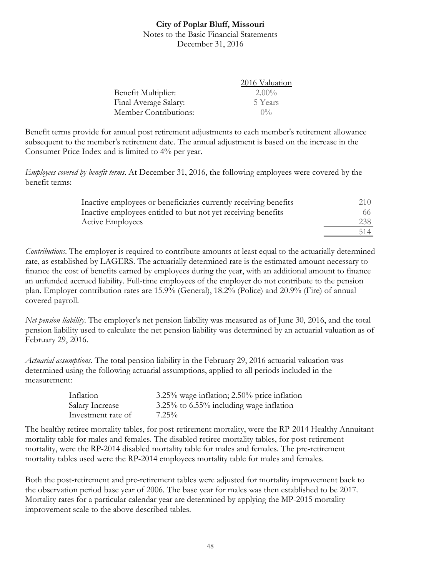Notes to the Basic Financial Statements December 31, 2016

2016 Valuation

| 2016 Valuation |
|----------------|
| $2.00\%$       |
| 5 Years        |
| $0\%$          |
|                |

Benefit terms provide for annual post retirement adjustments to each member's retirement allowance subsequent to the member's retirement date. The annual adjustment is based on the increase in the Consumer Price Index and is limited to 4% per year.

*Employees covered by benefit terms*. At December 31, 2016, the following employees were covered by the benefit terms:

| Inactive employees or beneficiaries currently receiving benefits | 210  |
|------------------------------------------------------------------|------|
| Inactive employees entitled to but not yet receiving benefits    | 66.  |
| <b>Active Employees</b>                                          | 238  |
|                                                                  | 514. |

*Contributions*. The employer is required to contribute amounts at least equal to the actuarially determined rate, as established by LAGERS. The actuarially determined rate is the estimated amount necessary to finance the cost of benefits earned by employees during the year, with an additional amount to finance an unfunded accrued liability. Full-time employees of the employer do not contribute to the pension plan. Employer contribution rates are 15.9% (General), 18.2% (Police) and 20.9% (Fire) of annual covered payroll.

*Net pension liability*. The employer's net pension liability was measured as of June 30, 2016, and the total pension liability used to calculate the net pension liability was determined by an actuarial valuation as of February 29, 2016.

*Actuarial assumptions*. The total pension liability in the February 29, 2016 actuarial valuation was determined using the following actuarial assumptions, applied to all periods included in the measurement:

| Inflation          | $3.25\%$ wage inflation; 2.50% price inflation |
|--------------------|------------------------------------------------|
| Salary Increase    | $3.25\%$ to 6.55% including wage inflation     |
| Investment rate of | $7.25\%$                                       |

The healthy retiree mortality tables, for post-retirement mortality, were the RP-2014 Healthy Annuitant mortality table for males and females. The disabled retiree mortality tables, for post-retirement mortality, were the RP-2014 disabled mortality table for males and females. The pre-retirement mortality tables used were the RP-2014 employees mortality table for males and females.

Both the post-retirement and pre-retirement tables were adjusted for mortality improvement back to the observation period base year of 2006. The base year for males was then established to be 2017. Mortality rates for a particular calendar year are determined by applying the MP-2015 mortality improvement scale to the above described tables.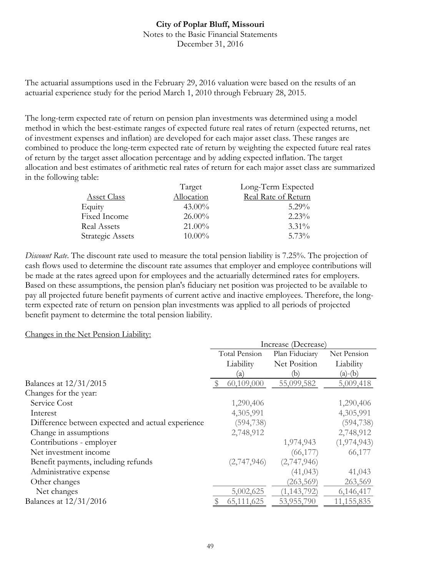The actuarial assumptions used in the February 29, 2016 valuation were based on the results of an actuarial experience study for the period March 1, 2010 through February 28, 2015.

The long-term expected rate of return on pension plan investments was determined using a model method in which the best-estimate ranges of expected future real rates of return (expected returns, net of investment expenses and inflation) are developed for each major asset class. These ranges are combined to produce the long-term expected rate of return by weighting the expected future real rates of return by the target asset allocation percentage and by adding expected inflation. The target allocation and best estimates of arithmetic real rates of return for each major asset class are summarized in the following table:

|                     | Target     | Long-Term Expected  |
|---------------------|------------|---------------------|
| <b>Asset Class</b>  | Allocation | Real Rate of Return |
| Equity              | $43.00\%$  | $5.29\%$            |
| <b>Fixed Income</b> | $26.00\%$  | $2.23\%$            |
| Real Assets         | 21.00%     | $3.31\%$            |
| Strategic Assets    | $10.00\%$  | 5.73%               |

*Discount Rate*. The discount rate used to measure the total pension liability is 7.25%. The projection of cash flows used to determine the discount rate assumes that employer and employee contributions will be made at the rates agreed upon for employees and the actuarially determined rates for employers. Based on these assumptions, the pension plan's fiduciary net position was projected to be available to pay all projected future benefit payments of current active and inactive employees. Therefore, the longterm expected rate of return on pension plan investments was applied to all periods of projected benefit payment to determine the total pension liability.

### Changes in the Net Pension Liability:

|                                                   | Increase (Decrease)                    |             |               |             |
|---------------------------------------------------|----------------------------------------|-------------|---------------|-------------|
|                                                   | <b>Total Pension</b><br>Plan Fiduciary |             | Net Pension   |             |
|                                                   |                                        | Liability   | Net Position  | Liability   |
|                                                   |                                        | (a)         | (b)           | $(a)-(b)$   |
| Balances at $12/31/2015$                          |                                        | 60,109,000  | 55,099,582    | 5,009,418   |
| Changes for the year:                             |                                        |             |               |             |
| Service Cost                                      |                                        | 1,290,406   |               | 1,290,406   |
| Interest                                          |                                        | 4,305,991   |               | 4,305,991   |
| Difference between expected and actual experience |                                        | (594, 738)  |               | (594, 738)  |
| Change in assumptions                             |                                        | 2,748,912   |               | 2,748,912   |
| Contributions - employer                          |                                        |             | 1,974,943     | (1,974,943) |
| Net investment income                             |                                        |             | (66, 177)     | 66,177      |
| Benefit payments, including refunds               |                                        | (2,747,946) | (2,747,946)   |             |
| Administrative expense                            |                                        |             | (41, 043)     | 41,043      |
| Other changes                                     |                                        |             | (263, 569)    | 263,569     |
| Net changes                                       |                                        | 5,002,625   | (1, 143, 792) | 6,146,417   |
| Balances at $12/31/2016$                          |                                        | 65,111,625  | 53,955,790    | 11,155,835  |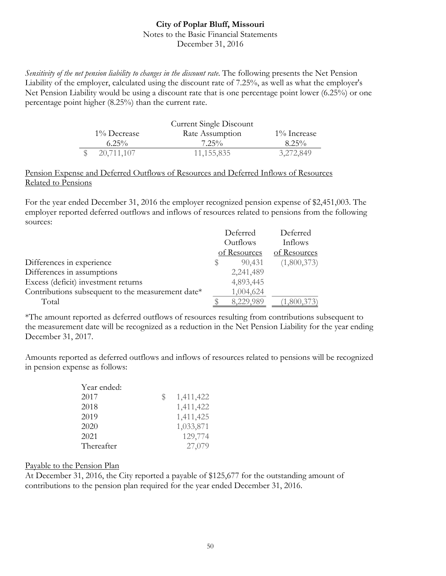Notes to the Basic Financial Statements December 31, 2016

*Sensitivity of the net pension liability to changes in the discount rate*. The following presents the Net Pension Liability of the employer, calculated using the discount rate of 7.25%, as well as what the employer's Net Pension Liability would be using a discount rate that is one percentage point lower (6.25%) or one percentage point higher (8.25%) than the current rate.

|             | <b>Current Single Discount</b> |                |
|-------------|--------------------------------|----------------|
| 1% Decrease | Rate Assumption                | $1\%$ Increase |
| $6.25\%$    | $7.25\%$                       | $8.25\%$       |
| 20,711,107  | 11, 155, 835                   | 3,272,849      |

### Pension Expense and Deferred Outflows of Resources and Deferred Inflows of Resources Related to Pensions

For the year ended December 31, 2016 the employer recognized pension expense of \$2,451,003. The employer reported deferred outflows and inflows of resources related to pensions from the following sources:

|                                                   | Deferred     | Deferred     |
|---------------------------------------------------|--------------|--------------|
|                                                   | Outflows     | Inflows      |
|                                                   | of Resources | of Resources |
| Differences in experience                         | 90,431<br>S  | (1,800,373)  |
| Differences in assumptions                        | 2,241,489    |              |
| Excess (deficit) investment returns               | 4,893,445    |              |
| Contributions subsequent to the measurement date* | 1,004,624    |              |
| Total                                             | 8,229,989    | 1,800,3/3    |

\*The amount reported as deferred outflows of resources resulting from contributions subsequent to the measurement date will be recognized as a reduction in the Net Pension Liability for the year ending December 31, 2017.

Amounts reported as deferred outflows and inflows of resources related to pensions will be recognized in pension expense as follows:

| Year ended: |    |           |
|-------------|----|-----------|
| 2017        | S. | 1,411,422 |
| 2018        |    | 1,411,422 |
| 2019        |    | 1,411,425 |
| 2020        |    | 1,033,871 |
| 2021        |    | 129,774   |
| Thereafter  |    | 27,079    |

### Payable to the Pension Plan

At December 31, 2016, the City reported a payable of \$125,677 for the outstanding amount of contributions to the pension plan required for the year ended December 31, 2016.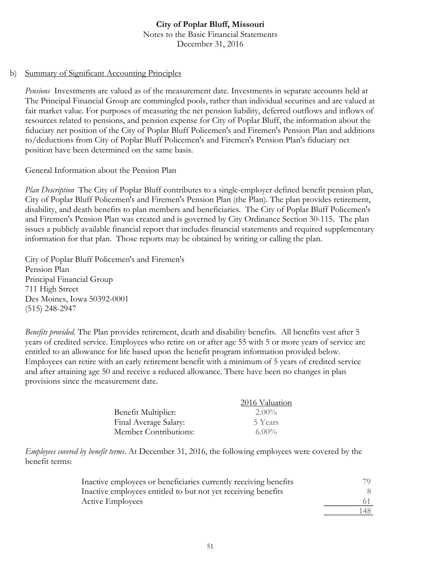#### b) Summary of Significant Accounting Principles

*Pensions* Investments are valued as of the measurement date. Investments in separate accounts held at The Principal Financial Group are commingled pools, rather than individual securities and are valued at fair market value. For purposes of measuring the net pension liability, deferred outflows and inflows of resources related to pensions, and pension expense for City of Poplar Bluff, the information about the fiduciary net position of the City of Poplar Bluff Policemen's and Firemen's Pension Plan and additions to/deductions from City of Poplar Bluff Policemen's and Firemen's Pension Plan's fiduciary net position have been determined on the same basis.

General Information about the Pension Plan

*Plan Description* The City of Poplar Bluff contributes to a single-employer defined benefit pension plan, City of Poplar Bluff Policemen's and Firemen's Pension Plan (the Plan). The plan provides retirement, disability, and death benefits to plan members and beneficiaries. The City of Poplar Bluff Policemen's and Firemen's Pension Plan was created and is governed by City Ordinance Section 30-115. The plan issues a publicly available financial report that includes financial statements and required supplementary information for that plan. Those reports may be obtained by writing or calling the plan.

City of Poplar Bluff Policemen's and Firemen's Pension Plan Principal Financial Group 711 High Street Des Moines, Iowa 50392-0001 (515) 248-2947

*Benefits provided.* The Plan provides retirement, death and disability benefits. All benefits vest after 5 years of credited service. Employees who retire on or after age 55 with 5 or more years of service are entitled to an allowance for life based upon the benefit program information provided below. Employees can retire with an early retirement benefit with a minimum of 5 years of credited service and after attaining age 50 and receive a reduced allowance. There have been no changes in plan provisions since the measurement date.

|                       | 2016 Valuation |
|-----------------------|----------------|
| Benefit Multiplier:   | $2.00\%$       |
| Final Average Salary: | 5 Years        |
| Member Contributions: | $6.00\%$       |

*Employees covered by benefit terms*. At December 31, 2016, the following employees were covered by the benefit terms:

| Inactive employees or beneficiaries currently receiving benefits |  |
|------------------------------------------------------------------|--|
| Inactive employees entitled to but not yet receiving benefits    |  |
| <b>Active Employees</b>                                          |  |
|                                                                  |  |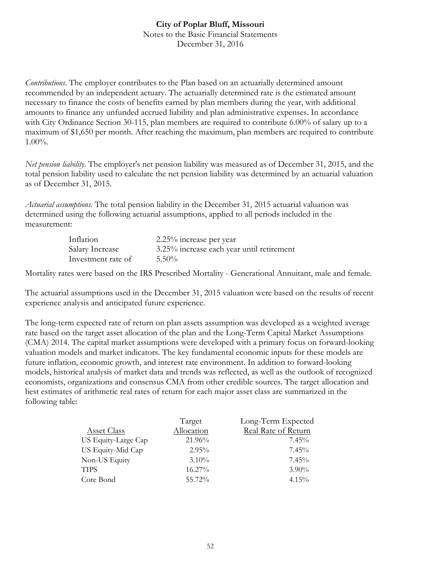*Contributions*. The employer contributes to the Plan based on an actuarially determined amount recommended by an independent actuary. The actuarially determined rate is the estimated amount necessary to finance the costs of benefits earned by plan members during the year, with additional amounts to finance any unfunded accrued liability and plan administrative expenses. In accordance with City Ordinance Section 30-115, plan members are required to contribute 6.00% of salary up to a maximum of \$1,650 per month. After reaching the maximum, plan members are required to contribute 1.00%.

*Net pension liability*. The employer's net pension liability was measured as of December 31, 2015, and the total pension liability used to calculate the net pension liability was determined by an actuarial valuation as of December 31, 2015.

*Actuarial assumptions*. The total pension liability in the December 31, 2015 actuarial valuation was determined using the following actuarial assumptions, applied to all periods included in the measurement:

| Inflation          | $2.25\%$ increase per year                |
|--------------------|-------------------------------------------|
| Salary Increase    | 3.25% increase each year until retirement |
| Investment rate of | $5.50\%$                                  |

Mortality rates were based on the IRS Prescribed Mortality - Generational Annuitant, male and female.

The actuarial assumptions used in the December 31, 2015 valuation were based on the results of recent experience analysis and anticipated future experience.

The long-term expected rate of return on plan assets assumption was developed as a weighted average rate based on the target asset allocation of the plan and the Long-Term Capital Market Assumptions (CMA) 2014. The capital market assumptions were developed with a primary focus on forward-looking valuation models and market indicators. The key fundamental economic inputs for these models are future inflation, economic growth, and interest rate environment. In addition to forward-looking models, historical analysis of market data and trends was reflected, as well as the outlook of recognized economists, organizations and consensus CMA from other credible sources. The target allocation and best estimates of arithmetic real rates of return for each major asset class are summarized in the following table:

| Target     | Long-Term Expected  |
|------------|---------------------|
| Allocation | Real Rate of Return |
| 21.96%     | $7.45\%$            |
| $2.95\%$   | $7.45\%$            |
| $3.10\%$   | 7.45%               |
| 16.27%     | $3.90\%$            |
| 55.72%     | 4.15%               |
|            |                     |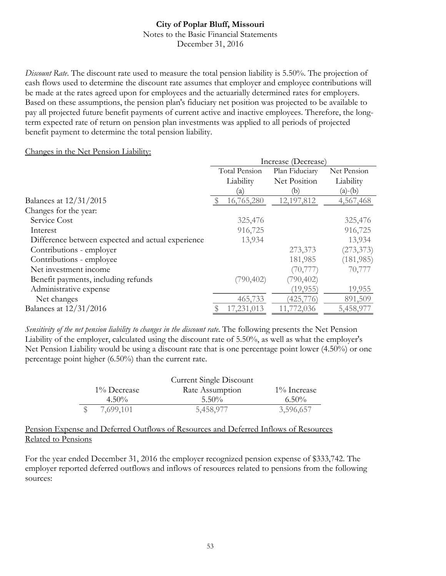Notes to the Basic Financial Statements December 31, 2016

*Discount Rate*. The discount rate used to measure the total pension liability is 5.50%. The projection of cash flows used to determine the discount rate assumes that employer and employee contributions will be made at the rates agreed upon for employees and the actuarially determined rates for employers. Based on these assumptions, the pension plan's fiduciary net position was projected to be available to pay all projected future benefit payments of current active and inactive employees. Therefore, the longterm expected rate of return on pension plan investments was applied to all periods of projected benefit payment to determine the total pension liability.

#### Changes in the Net Pension Liability:

|                                                   | Increase (Decrease)                    |            |              |             |
|---------------------------------------------------|----------------------------------------|------------|--------------|-------------|
|                                                   | <b>Total Pension</b><br>Plan Fiduciary |            |              | Net Pension |
|                                                   |                                        | Liability  | Net Position | Liability   |
|                                                   |                                        | (a)        | (b)          | $(a)-(b)$   |
| Balances at $12/31/2015$                          |                                        | 16,765,280 | 12,197,812   | 4,567,468   |
| Changes for the year:                             |                                        |            |              |             |
| Service Cost                                      |                                        | 325,476    |              | 325,476     |
| Interest                                          |                                        | 916,725    |              | 916,725     |
| Difference between expected and actual experience |                                        | 13,934     |              | 13,934      |
| Contributions - employer                          |                                        |            | 273,373      | (273, 373)  |
| Contributions - employee                          |                                        |            | 181,985      | (181, 985)  |
| Net investment income                             |                                        |            | (70, 777)    | 70,777      |
| Benefit payments, including refunds               |                                        | (790, 402) | (790, 402)   |             |
| Administrative expense                            |                                        |            | (19, 955)    | 19,955      |
| Net changes                                       |                                        | 465,733    | (425,776)    | 891,509     |
| Balances at $12/31/2016$                          |                                        | 17,231,013 | 11,772,036   | 5,458,977   |

*Sensitivity of the net pension liability to changes in the discount rate*. The following presents the Net Pension Liability of the employer, calculated using the discount rate of 5.50%, as well as what the employer's Net Pension Liability would be using a discount rate that is one percentage point lower (4.50%) or one percentage point higher (6.50%) than the current rate.

|             | <b>Current Single Discount</b> |                |
|-------------|--------------------------------|----------------|
| 1% Decrease | Rate Assumption                | $1\%$ Increase |
| $4.50\%$    | $5.50\%$                       | $6.50\%$       |
| 7,699,101   | 5,458,977                      | 3,596,657      |

#### Pension Expense and Deferred Outflows of Resources and Deferred Inflows of Resources Related to Pensions

For the year ended December 31, 2016 the employer recognized pension expense of \$333,742. The employer reported deferred outflows and inflows of resources related to pensions from the following sources: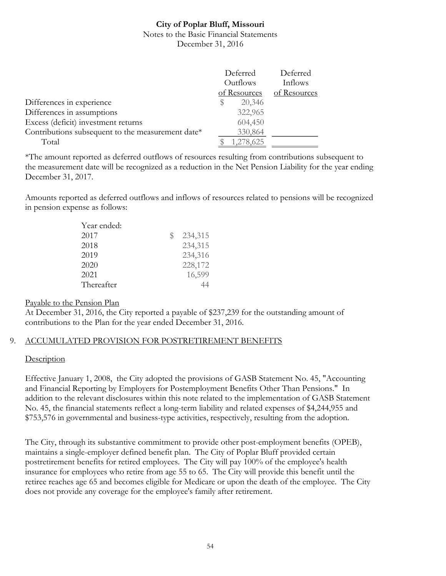Notes to the Basic Financial Statements December 31, 2016

|                                                   | Deferred     | Deferred     |
|---------------------------------------------------|--------------|--------------|
|                                                   | Outflows     | Inflows      |
|                                                   | of Resources | of Resources |
| Differences in experience                         | 20,346<br>S  |              |
| Differences in assumptions                        | 322,965      |              |
| Excess (deficit) investment returns               | 604,450      |              |
| Contributions subsequent to the measurement date* | 330,864      |              |
| Total                                             | 1,278,625    |              |

\*The amount reported as deferred outflows of resources resulting from contributions subsequent to the measurement date will be recognized as a reduction in the Net Pension Liability for the year ending December 31, 2017.

Amounts reported as deferred outflows and inflows of resources related to pensions will be recognized in pension expense as follows:

| Year ended: |    |         |
|-------------|----|---------|
| 2017        | S. | 234,315 |
| 2018        |    | 234,315 |
| 2019        |    | 234,316 |
| 2020        |    | 228,172 |
| 2021        |    | 16,599  |
| Thereafter  |    |         |

### Payable to the Pension Plan

At December 31, 2016, the City reported a payable of \$237,239 for the outstanding amount of contributions to the Plan for the year ended December 31, 2016.

### 9. ACCUMULATED PROVISION FOR POSTRETIREMENT BENEFITS

### **Description**

Effective January 1, 2008, the City adopted the provisions of GASB Statement No. 45, "Accounting and Financial Reporting by Employers for Postemployment Benefits Other Than Pensions." In addition to the relevant disclosures within this note related to the implementation of GASB Statement No. 45, the financial statements reflect a long-term liability and related expenses of \$4,244,955 and \$753,576 in governmental and business-type activities, respectively, resulting from the adoption.

The City, through its substantive commitment to provide other post-employment benefits (OPEB), maintains a single-employer defined benefit plan. The City of Poplar Bluff provided certain postretirement benefits for retired employees. The City will pay 100% of the employee's health insurance for employees who retire from age 55 to 65. The City will provide this benefit until the retiree reaches age 65 and becomes eligible for Medicare or upon the death of the employee. The City does not provide any coverage for the employee's family after retirement.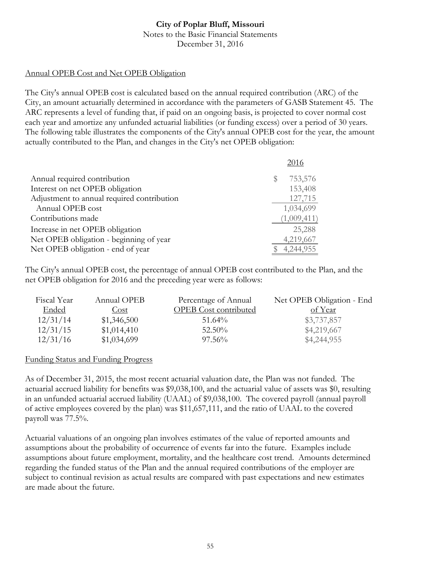#### Annual OPEB Cost and Net OPEB Obligation

The City's annual OPEB cost is calculated based on the annual required contribution (ARC) of the City, an amount actuarially determined in accordance with the parameters of GASB Statement 45. The ARC represents a level of funding that, if paid on an ongoing basis, is projected to cover normal cost each year and amortize any unfunded actuarial liabilities (or funding excess) over a period of 30 years. The following table illustrates the components of the City's annual OPEB cost for the year, the amount actually contributed to the Plan, and changes in the City's net OPEB obligation:

|                                            |   | 2016        |
|--------------------------------------------|---|-------------|
| Annual required contribution               | S | 753,576     |
| Interest on net OPEB obligation            |   | 153,408     |
| Adjustment to annual required contribution |   | 127,715     |
| Annual OPEB cost                           |   | 1,034,699   |
| Contributions made                         |   | (1,009,411) |
| Increase in net OPEB obligation            |   | 25,288      |
| Net OPEB obligation - beginning of year    |   | 4,219,667   |
| Net OPEB obligation - end of year          |   | 4,244,955   |

The City's annual OPEB cost, the percentage of annual OPEB cost contributed to the Plan, and the net OPEB obligation for 2016 and the preceding year were as follows:

| Fiscal Year | Annual OPEB | Percentage of Annual         | Net OPEB Obligation - End |
|-------------|-------------|------------------------------|---------------------------|
| Ended       | Cost        | <b>OPEB</b> Cost contributed | of Year                   |
| 12/31/14    | \$1,346,500 | $51.64\%$                    | \$3,737,857               |
| 12/31/15    | \$1,014,410 | 52.50%                       | \$4,219,667               |
| 12/31/16    | \$1,034,699 | $97.56\%$                    | \$4,244,955               |

#### Funding Status and Funding Progress

As of December 31, 2015, the most recent actuarial valuation date, the Plan was not funded. The actuarial accrued liability for benefits was \$9,038,100, and the actuarial value of assets was \$0, resulting in an unfunded actuarial accrued liability (UAAL) of \$9,038,100. The covered payroll (annual payroll of active employees covered by the plan) was \$11,657,111, and the ratio of UAAL to the covered payroll was 77.5%.

Actuarial valuations of an ongoing plan involves estimates of the value of reported amounts and assumptions about the probability of occurrence of events far into the future. Examples include assumptions about future employment, mortality, and the healthcare cost trend. Amounts determined regarding the funded status of the Plan and the annual required contributions of the employer are subject to continual revision as actual results are compared with past expectations and new estimates are made about the future.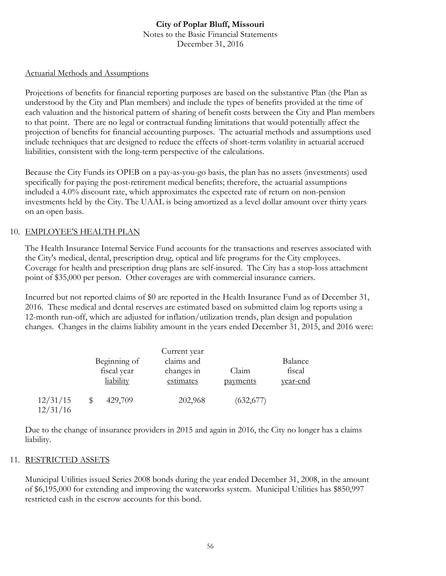### Actuarial Methods and Assumptions

Projections of benefits for financial reporting purposes are based on the substantive Plan (the Plan as understood by the City and Plan members) and include the types of benefits provided at the time of each valuation and the historical pattern of sharing of benefit costs between the City and Plan members to that point. There are no legal or contractual funding limitations that would potentially affect the projection of benefits for financial accounting purposes. The actuarial methods and assumptions used include techniques that are designed to reduce the effects of short-term volatility in actuarial accrued liabilities, consistent with the long-term perspective of the calculations.

Because the City Funds its OPEB on a pay-as-you-go basis, the plan has no assets (investments) used specifically for paying the post-retirement medical benefits; therefore, the actuarial assumptions included a 4.0% discount rate, which approximates the expected rate of return on non-pension investments held by the City. The UAAL is being amortized as a level dollar amount over thirty years on an open basis.

### 10. EMPLOYEE'S HEALTH PLAN

The Health Insurance Internal Service Fund accounts for the transactions and reserves associated with the City's medical, dental, prescription drug, optical and life programs for the City employees. Coverage for health and prescription drug plans are self-insured. The City has a stop-loss attachment point of \$35,000 per person. Other coverages are with commercial insurance carriers.

Incurred but not reported claims of \$0 are reported in the Health Insurance Fund as of December 31, 2016. These medical and dental reserves are estimated based on submitted claim log reports using a 12-month run-off, which are adjusted for inflation/utilization trends, plan design and population changes. Changes in the claims liability amount in the years ended December 31, 2015, and 2016 were:

|                      |   |                                                 | Current year                          |         |                   |                               |
|----------------------|---|-------------------------------------------------|---------------------------------------|---------|-------------------|-------------------------------|
|                      |   | Beginning of<br>fiscal year<br><b>liability</b> | claims and<br>changes in<br>estimates |         | Claim<br>payments | Balance<br>fiscal<br>year-end |
| 12/31/15<br>12/31/16 | S | 429,709                                         |                                       | 202,968 | (632, 677)        |                               |

Due to the change of insurance providers in 2015 and again in 2016, the City no longer has a claims liability.

### 11. RESTRICTED ASSETS

Municipal Utilities issued Series 2008 bonds during the year ended December 31, 2008, in the amount of \$6,195,000 for extending and improving the waterworks system. Municipal Utilities has \$850,997 restricted cash in the escrow accounts for this bond.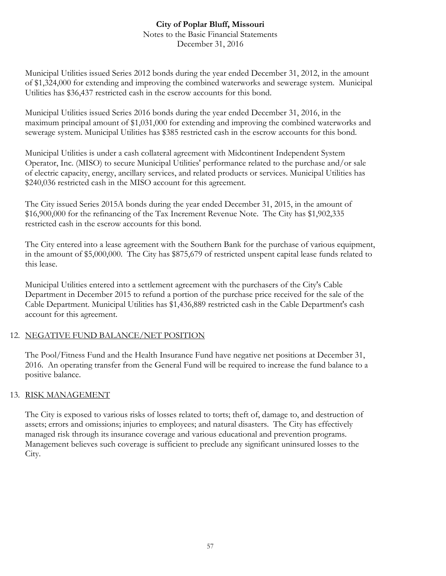Municipal Utilities issued Series 2012 bonds during the year ended December 31, 2012, in the amount of \$1,324,000 for extending and improving the combined waterworks and sewerage system. Municipal Utilities has \$36,437 restricted cash in the escrow accounts for this bond.

Municipal Utilities issued Series 2016 bonds during the year ended December 31, 2016, in the maximum principal amount of \$1,031,000 for extending and improving the combined waterworks and sewerage system. Municipal Utilities has \$385 restricted cash in the escrow accounts for this bond.

Municipal Utilities is under a cash collateral agreement with Midcontinent Independent System Operator, Inc. (MISO) to secure Municipal Utilities' performance related to the purchase and/or sale of electric capacity, energy, ancillary services, and related products or services. Municipal Utilities has \$240,036 restricted cash in the MISO account for this agreement.

The City issued Series 2015A bonds during the year ended December 31, 2015, in the amount of \$16,900,000 for the refinancing of the Tax Increment Revenue Note. The City has \$1,902,335 restricted cash in the escrow accounts for this bond.

The City entered into a lease agreement with the Southern Bank for the purchase of various equipment, in the amount of \$5,000,000. The City has \$875,679 of restricted unspent capital lease funds related to this lease.

Municipal Utilities entered into a settlement agreement with the purchasers of the City's Cable Department in December 2015 to refund a portion of the purchase price received for the sale of the Cable Department. Municipal Utilities has \$1,436,889 restricted cash in the Cable Department's cash account for this agreement.

## 12. NEGATIVE FUND BALANCE/NET POSITION

The Pool/Fitness Fund and the Health Insurance Fund have negative net positions at December 31, 2016. An operating transfer from the General Fund will be required to increase the fund balance to a positive balance.

# 13. RISK MANAGEMENT

The City is exposed to various risks of losses related to torts; theft of, damage to, and destruction of assets; errors and omissions; injuries to employees; and natural disasters. The City has effectively managed risk through its insurance coverage and various educational and prevention programs. Management believes such coverage is sufficient to preclude any significant uninsured losses to the City.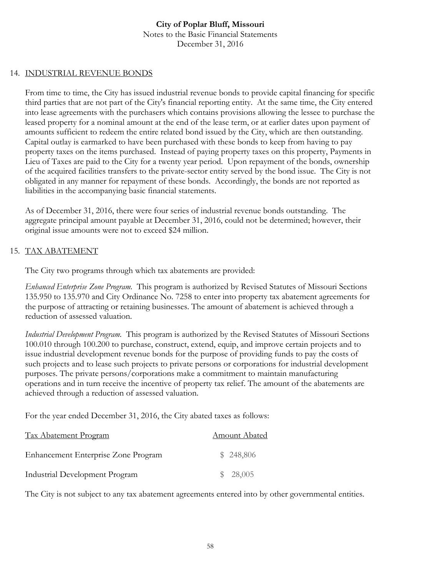#### 14. INDUSTRIAL REVENUE BONDS

From time to time, the City has issued industrial revenue bonds to provide capital financing for specific third parties that are not part of the City's financial reporting entity. At the same time, the City entered into lease agreements with the purchasers which contains provisions allowing the lessee to purchase the leased property for a nominal amount at the end of the lease term, or at earlier dates upon payment of amounts sufficient to redeem the entire related bond issued by the City, which are then outstanding. Capital outlay is earmarked to have been purchased with these bonds to keep from having to pay property taxes on the items purchased. Instead of paying property taxes on this property, Payments in Lieu of Taxes are paid to the City for a twenty year period. Upon repayment of the bonds, ownership of the acquired facilities transfers to the private-sector entity served by the bond issue. The City is not obligated in any manner for repayment of these bonds. Accordingly, the bonds are not reported as liabilities in the accompanying basic financial statements.

As of December 31, 2016, there were four series of industrial revenue bonds outstanding. The aggregate principal amount payable at December 31, 2016, could not be determined; however, their original issue amounts were not to exceed \$24 million.

#### 15. TAX ABATEMENT

The City two programs through which tax abatements are provided:

*Enhanced Enterprise Zone Program.* This program is authorized by Revised Statutes of Missouri Sections 135.950 to 135.970 and City Ordinance No. 7258 to enter into property tax abatement agreements for the purpose of attracting or retaining businesses. The amount of abatement is achieved through a reduction of assessed valuation.

*Industrial Development Program.* This program is authorized by the Revised Statutes of Missouri Sections 100.010 through 100.200 to purchase, construct, extend, equip, and improve certain projects and to issue industrial development revenue bonds for the purpose of providing funds to pay the costs of such projects and to lease such projects to private persons or corporations for industrial development purposes. The private persons/corporations make a commitment to maintain manufacturing operations and in turn receive the incentive of property tax relief. The amount of the abatements are achieved through a reduction of assessed valuation.

For the year ended December 31, 2016, the City abated taxes as follows:

| <b>Tax Abatement Program</b>          | <b>Amount Abated</b> |
|---------------------------------------|----------------------|
| Enhancement Enterprise Zone Program   | \$248,806            |
| <b>Industrial Development Program</b> | \$28,005             |

The City is not subject to any tax abatement agreements entered into by other governmental entities.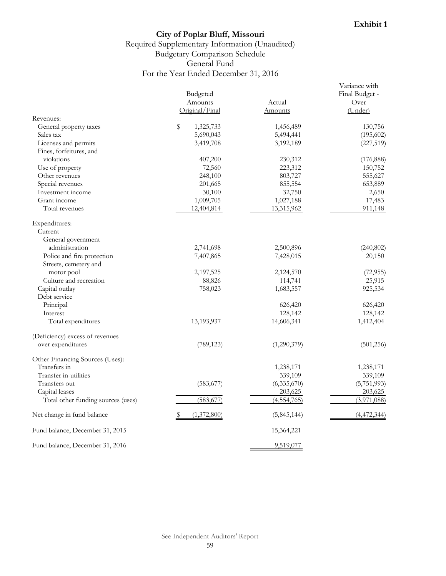### Required Supplementary Information (Unaudited) Budgetary Comparison Schedule

General Fund

For the Year Ended December 31, 2016

|                                    | Budgeted<br>Amounts<br>Original/Final | Actual<br>Amounts | Variance with<br>Final Budget -<br>Over<br>(Under) |
|------------------------------------|---------------------------------------|-------------------|----------------------------------------------------|
| Revenues:                          |                                       |                   |                                                    |
| General property taxes             | \$<br>1,325,733                       | 1,456,489         | 130,756                                            |
| Sales tax                          | 5,690,043                             | 5,494,441         | (195,602)                                          |
| Licenses and permits               | 3,419,708                             | 3,192,189         | (227, 519)                                         |
| Fines, forfeitures, and            |                                       |                   |                                                    |
| violations                         | 407,200                               | 230,312           | (176, 888)                                         |
| Use of property                    | 72,560                                | 223,312           | 150,752                                            |
| Other revenues                     | 248,100                               | 803,727           | 555,627                                            |
| Special revenues                   | 201,665                               | 855,554           | 653,889                                            |
| Investment income                  | 30,100                                | 32,750            | 2,650                                              |
| Grant income                       | 1,009,705                             | 1,027,188         | 17,483                                             |
| Total revenues                     | 12,404,814                            | 13,315,962        | 911,148                                            |
| Expenditures:<br>Current           |                                       |                   |                                                    |
| General government                 |                                       |                   |                                                    |
| administration                     | 2,741,698                             | 2,500,896         | (240, 802)                                         |
| Police and fire protection         |                                       | 7,428,015         | 20,150                                             |
| Streets, cemetery and              | 7,407,865                             |                   |                                                    |
| motor pool                         | 2,197,525                             | 2,124,570         | (72, 955)                                          |
| Culture and recreation             | 88,826                                | 114,741           | 25,915                                             |
| Capital outlay                     | 758,023                               | 1,683,557         | 925,534                                            |
| Debt service                       |                                       |                   |                                                    |
| Principal                          |                                       | 626,420           | 626,420                                            |
| Interest                           |                                       | 128,142           | 128,142                                            |
| Total expenditures                 | 13,193,937                            | 14,606,341        | 1,412,404                                          |
|                                    |                                       |                   |                                                    |
| (Deficiency) excess of revenues    |                                       |                   |                                                    |
| over expenditures                  | (789, 123)                            | (1,290,379)       | (501, 256)                                         |
| Other Financing Sources (Uses):    |                                       |                   |                                                    |
| Transfers in                       |                                       | 1,238,171         | 1,238,171                                          |
| Transfer in-utilities              |                                       | 339,109           | 339,109                                            |
| Transfers out                      | (583, 677)                            | (6,335,670)       | (5,751,993)                                        |
| Capital leases                     |                                       | 203,625           | 203,625                                            |
| Total other funding sources (uses) | (583, 677)                            | (4, 554, 765)     | (3,971,088)                                        |
| Net change in fund balance         | (1,372,800)                           | (5,845,144)       | (4,472,344)                                        |
| Fund balance, December 31, 2015    |                                       | 15,364,221        |                                                    |
| Fund balance, December 31, 2016    |                                       | 9,519,077         |                                                    |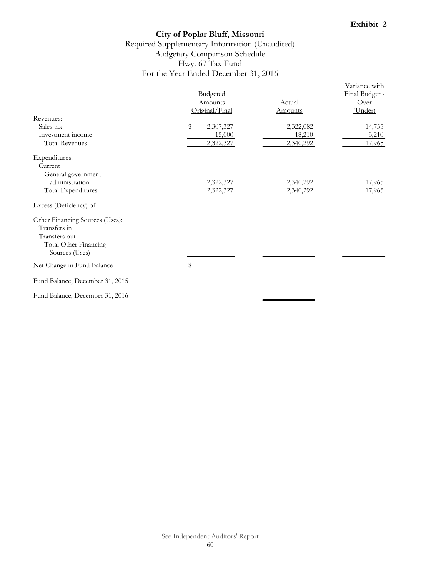### Required Supplementary Information (Unaudited) Budgetary Comparison Schedule Hwy. 67 Tax Fund For the Year Ended December 31, 2016

|                                 | Budgeted<br>Amounts<br>Original/Final | Actual<br>Amounts | Variance with<br>Final Budget -<br>Over<br>(Under) |
|---------------------------------|---------------------------------------|-------------------|----------------------------------------------------|
| Revenues:                       |                                       |                   |                                                    |
| Sales tax                       | \$<br>2,307,327                       | 2,322,082         | 14,755                                             |
| Investment income               | 15,000                                | 18,210            | 3,210                                              |
| <b>Total Revenues</b>           | 2,322,327                             | 2,340,292         | 17,965                                             |
| Expenditures:                   |                                       |                   |                                                    |
| Current                         |                                       |                   |                                                    |
| General government              |                                       |                   |                                                    |
| administration                  | 2,322,327                             | 2,340,292         | 17,965                                             |
| Total Expenditures              | 2,322,327                             | 2,340,292         | 17,965                                             |
| Excess (Deficiency) of          |                                       |                   |                                                    |
| Other Financing Sources (Uses): |                                       |                   |                                                    |
| Transfers in                    |                                       |                   |                                                    |
| Transfers out                   |                                       |                   |                                                    |
| Total Other Financing           |                                       |                   |                                                    |
| Sources (Uses)                  |                                       |                   |                                                    |
| Net Change in Fund Balance      |                                       |                   |                                                    |
|                                 |                                       |                   |                                                    |
| Fund Balance, December 31, 2015 |                                       |                   |                                                    |
| Fund Balance, December 31, 2016 |                                       |                   |                                                    |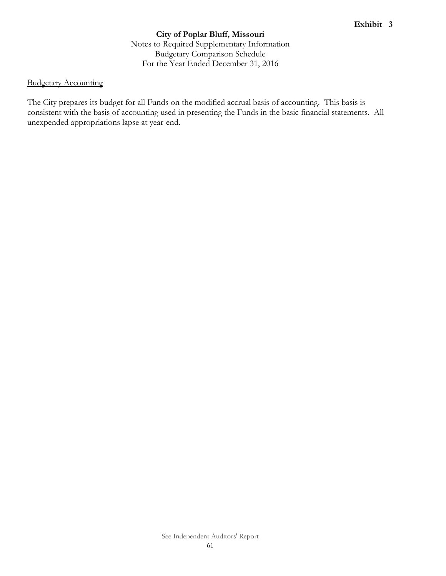### **City of Poplar Bluff, Missouri** Notes to Required Supplementary Information Budgetary Comparison Schedule For the Year Ended December 31, 2016

#### Budgetary Accounting

The City prepares its budget for all Funds on the modified accrual basis of accounting. This basis is consistent with the basis of accounting used in presenting the Funds in the basic financial statements. All unexpended appropriations lapse at year-end.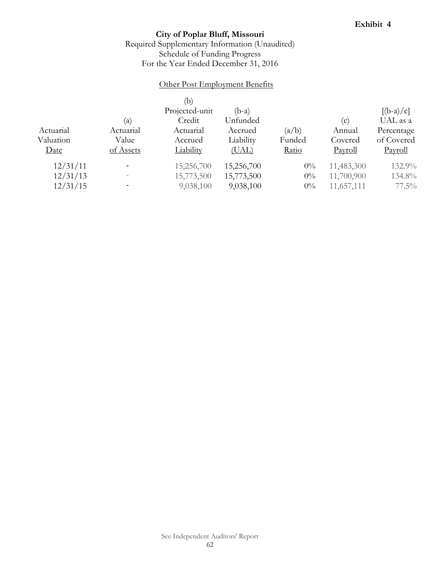Required Supplementary Information (Unaudited) Schedule of Funding Progress For the Year Ended December 31, 2016

# Other Post Employment Benefits

|           |           | (b)            |            |              |            |             |
|-----------|-----------|----------------|------------|--------------|------------|-------------|
|           |           | Projected-unit | $(b-a)$    |              |            | $[(b-a)/c]$ |
|           | (a)       | Credit         | Unfunded   |              | (c)        | UAL as a    |
| Actuarial | Actuarial | Actuarial      | Accrued    | (a/b)        | Annual     | Percentage  |
| Valuation | Value     | Accrued        | Liability  | Funded       | Covered    | of Covered  |
| Date      | of Assets | Liability      | (UAL)      | <u>Ratio</u> | Payroll    | Payroll     |
| 12/31/11  |           | 15,256,700     | 15,256,700 | $0\%$        | 11,483,300 | 132.9%      |
| 12/31/13  |           | 15,773,500     | 15,773,500 | $0\%$        | 11,700,900 | 134.8%      |
| 12/31/15  |           | 9,038,100      | 9,038,100  | $0\%$        | 11,657,111 | $77.5\%$    |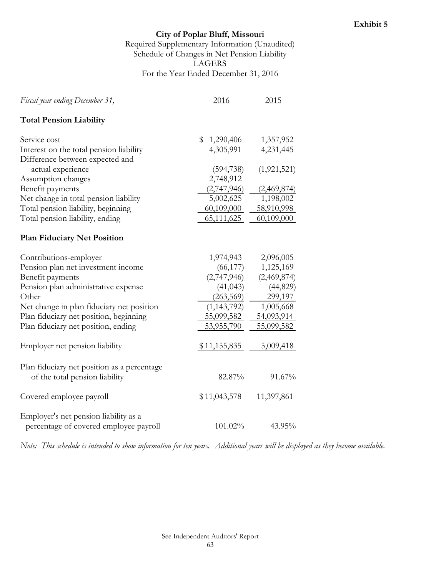Required Supplementary Information (Unaudited) Schedule of Changes in Net Pension Liability LAGERS For the Year Ended December 31, 2016

| Fiscal year ending December 31,             | 2016          | 2015        |
|---------------------------------------------|---------------|-------------|
| <b>Total Pension Liability</b>              |               |             |
| Service cost                                | \$1,290,406   | 1,357,952   |
| Interest on the total pension liability     | 4,305,991     | 4,231,445   |
| Difference between expected and             |               |             |
| actual experience                           | (594, 738)    | (1,921,521) |
| Assumption changes                          | 2,748,912     |             |
| Benefit payments                            | (2,747,946)   | (2,469,874) |
| Net change in total pension liability       | 5,002,625     | 1,198,002   |
| Total pension liability, beginning          | 60,109,000    | 58,910,998  |
| Total pension liability, ending             | 65,111,625    | 60,109,000  |
| <b>Plan Fiduciary Net Position</b>          |               |             |
| Contributions-employer                      | 1,974,943     | 2,096,005   |
| Pension plan net investment income          | (66,177)      | 1,125,169   |
| Benefit payments                            | (2,747,946)   | (2,469,874) |
| Pension plan administrative expense         | (41, 043)     | (44, 829)   |
| Other                                       | (263, 569)    | 299,197     |
| Net change in plan fiduciary net position   | (1, 143, 792) | 1,005,668   |
| Plan fiduciary net position, beginning      | 55,099,582    | 54,093,914  |
| Plan fiduciary net position, ending         | 53,955,790    | 55,099,582  |
| Employer net pension liability              | \$11,155,835  | 5,009,418   |
| Plan fiduciary net position as a percentage |               |             |
| of the total pension liability              | 82.87%        | 91.67%      |
| Covered employee payroll                    | \$11,043,578  | 11,397,861  |
| Employer's net pension liability as a       |               |             |
| percentage of covered employee payroll      | 101.02%       | 43.95%      |

*Note: This schedule is intended to show information for ten years. Additional years will be displayed as they become available.*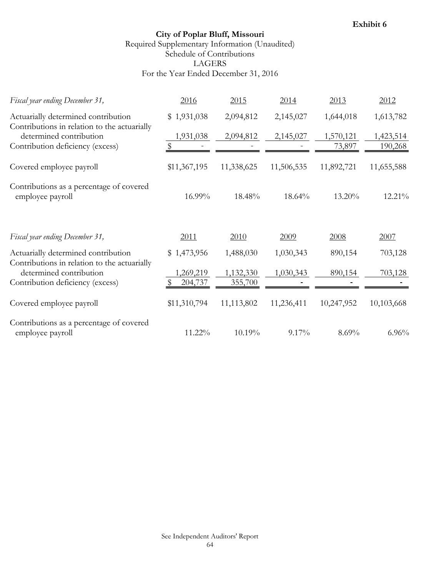### **City of Poplar Bluff, Missouri** Required Supplementary Information (Unaudited) Schedule of Contributions LAGERS For the Year Ended December 31, 2016

| Fiscal year ending December 31,                                         | 2016         | 2015       | 2014       | 2013       | 2012       |
|-------------------------------------------------------------------------|--------------|------------|------------|------------|------------|
| Actuarially determined contribution                                     | \$1,931,038  | 2,094,812  | 2,145,027  | 1,644,018  | 1,613,782  |
| Contributions in relation to the actuarially<br>determined contribution | 1,931,038    | 2,094,812  | 2,145,027  | 1,570,121  | 1,423,514  |
| Contribution deficiency (excess)                                        |              |            |            | 73,897     | 190,268    |
| Covered employee payroll                                                | \$11,367,195 | 11,338,625 | 11,506,535 | 11,892,721 | 11,655,588 |
| Contributions as a percentage of covered<br>employee payroll            | 16.99%       | 18.48%     | 18.64%     | 13.20%     | 12.21%     |
| Fiscal year ending December 31,                                         | 2011         | 2010       | 2009       | 2008       | 2007       |
| Actuarially determined contribution                                     | \$1,473,956  | 1,488,030  | 1,030,343  | 890,154    | 703,128    |
| Contributions in relation to the actuarially<br>determined contribution | 1,269,219    | 1,132,330  | 1,030,343  | 890,154    | 703,128    |
| Contribution deficiency (excess)                                        | 204,737      | 355,700    |            |            |            |
| Covered employee payroll                                                | \$11,310,794 | 11,113,802 | 11,236,411 | 10,247,952 | 10,103,668 |
| Contributions as a percentage of covered<br>employee payroll            | 11.22%       | 10.19%     | 9.17%      | 8.69%      | 6.96%      |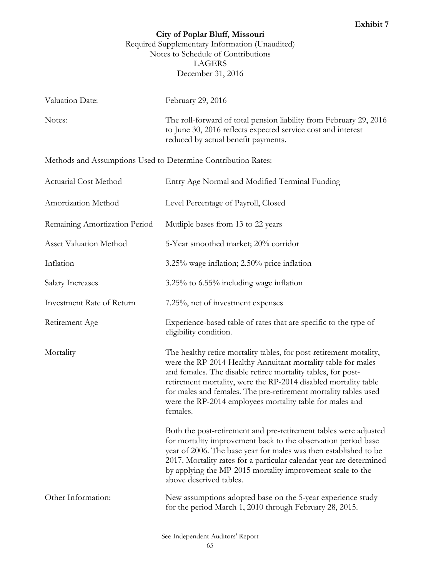### **City of Poplar Bluff, Missouri** Required Supplementary Information (Unaudited) Notes to Schedule of Contributions LAGERS December 31, 2016

| Valuation Date:                                               | February 29, 2016                                                                                                                                                                                                                                                                                                                                                                                                |  |
|---------------------------------------------------------------|------------------------------------------------------------------------------------------------------------------------------------------------------------------------------------------------------------------------------------------------------------------------------------------------------------------------------------------------------------------------------------------------------------------|--|
| Notes:                                                        | The roll-forward of total pension liability from February 29, 2016<br>to June 30, 2016 reflects expected service cost and interest<br>reduced by actual benefit payments.                                                                                                                                                                                                                                        |  |
| Methods and Assumptions Used to Determine Contribution Rates: |                                                                                                                                                                                                                                                                                                                                                                                                                  |  |
| Actuarial Cost Method                                         | Entry Age Normal and Modified Terminal Funding                                                                                                                                                                                                                                                                                                                                                                   |  |
| Amortization Method                                           | Level Percentage of Payroll, Closed                                                                                                                                                                                                                                                                                                                                                                              |  |
| Remaining Amortization Period                                 | Mutliple bases from 13 to 22 years                                                                                                                                                                                                                                                                                                                                                                               |  |
| Asset Valuation Method                                        | 5-Year smoothed market; 20% corridor                                                                                                                                                                                                                                                                                                                                                                             |  |
| Inflation                                                     | 3.25% wage inflation; 2.50% price inflation                                                                                                                                                                                                                                                                                                                                                                      |  |
| <b>Salary Increases</b>                                       | $3.25\%$ to $6.55\%$ including wage inflation                                                                                                                                                                                                                                                                                                                                                                    |  |
| Investment Rate of Return                                     | 7.25%, net of investment expenses                                                                                                                                                                                                                                                                                                                                                                                |  |
| Retirement Age                                                | Experience-based table of rates that are specific to the type of<br>eligibility condition.                                                                                                                                                                                                                                                                                                                       |  |
| Mortality                                                     | The healthy retire mortality tables, for post-retirement motality,<br>were the RP-2014 Healthy Annuitant mortality table for males<br>and females. The disable retiree mortality tables, for post-<br>retirement mortality, were the RP-2014 disabled mortality table<br>for males and females. The pre-retirement mortality tables used<br>were the RP-2014 employees mortality table for males and<br>females. |  |
|                                                               | Both the post-retirement and pre-retirement tables were adjusted<br>for mortality improvement back to the observation period base<br>year of 2006. The base year for males was then established to be<br>2017. Mortality rates for a particular calendar year are determined<br>by applying the MP-2015 mortality improvement scale to the<br>above descrived tables.                                            |  |
| Other Information:                                            | New assumptions adopted base on the 5-year experience study<br>for the period March 1, 2010 through February 28, 2015.                                                                                                                                                                                                                                                                                           |  |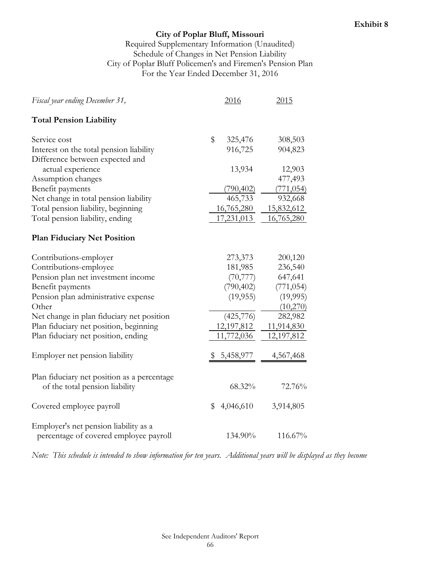### Required Supplementary Information (Unaudited) Schedule of Changes in Net Pension Liability City of Poplar Bluff Policemen's and Firemen's Pension Plan For the Year Ended December 31, 2016

| Fiscal year ending December 31,                                                     | 2016            | 2015       |
|-------------------------------------------------------------------------------------|-----------------|------------|
| <b>Total Pension Liability</b>                                                      |                 |            |
| Service cost                                                                        | \$<br>325,476   | 308,503    |
| Interest on the total pension liability                                             | 916,725         | 904,823    |
| Difference between expected and<br>actual experience                                | 13,934          | 12,903     |
| Assumption changes                                                                  |                 | 477,493    |
| Benefit payments                                                                    | (790, 402)      | (771, 054) |
| Net change in total pension liability                                               | 465,733         | 932,668    |
| Total pension liability, beginning                                                  | 16,765,280      | 15,832,612 |
| Total pension liability, ending                                                     | 17,231,013      | 16,765,280 |
| <b>Plan Fiduciary Net Position</b>                                                  |                 |            |
| Contributions-employer                                                              | 273,373         | 200,120    |
| Contributions-employee                                                              | 181,985         | 236,540    |
| Pension plan net investment income                                                  | (70, 777)       | 647,641    |
| Benefit payments                                                                    | (790, 402)      | (771, 054) |
| Pension plan administrative expense<br>Other                                        | (19, 955)       | (19,995)   |
|                                                                                     | (425,776)       | (10,270)   |
| Net change in plan fiduciary net position<br>Plan fiduciary net position, beginning |                 | 282,982    |
|                                                                                     | 12,197,812      | 11,914,830 |
| Plan fiduciary net position, ending                                                 | 11,772,036      | 12,197,812 |
| Employer net pension liability                                                      | 5,458,977<br>P  | 4,567,468  |
| Plan fiduciary net position as a percentage                                         |                 |            |
| of the total pension liability                                                      | 68.32%          | 72.76%     |
| Covered employee payroll                                                            | 4,046,610<br>\$ | 3,914,805  |
| Employer's net pension liability as a                                               |                 |            |
| percentage of covered employee payroll                                              | 134.90%         | 116.67%    |

*Note: This schedule is intended to show information for ten years. Additional years will be displayed as they become*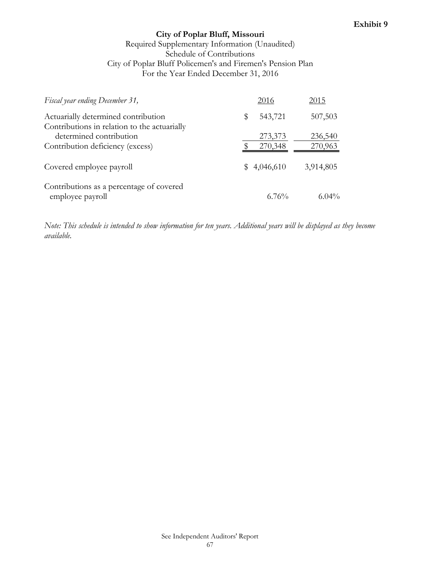### **City of Poplar Bluff, Missouri** Required Supplementary Information (Unaudited) Schedule of Contributions City of Poplar Bluff Policemen's and Firemen's Pension Plan For the Year Ended December 31, 2016

| Fiscal year ending December 31,                                                     | 2016          | 2015      |
|-------------------------------------------------------------------------------------|---------------|-----------|
| Actuarially determined contribution<br>Contributions in relation to the actuarially | \$<br>543,721 | 507,503   |
| determined contribution                                                             | 273,373       | 236,540   |
| Contribution deficiency (excess)                                                    | 270,348       | 270,963   |
| Covered employee payroll                                                            | \$4,046,610   | 3,914,805 |
| Contributions as a percentage of covered<br>employee payroll                        | 6.76%         | $6.04\%$  |

*Note: This schedule is intended to show information for ten years. Additional years will be displayed as they become available.*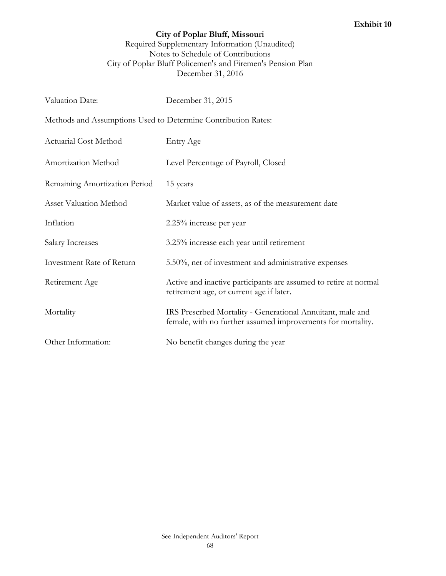### Required Supplementary Information (Unaudited) Notes to Schedule of Contributions City of Poplar Bluff Policemen's and Firemen's Pension Plan December 31, 2016

| Valuation Date:                                               | December 31, 2015                                                                                                         |  |  |
|---------------------------------------------------------------|---------------------------------------------------------------------------------------------------------------------------|--|--|
| Methods and Assumptions Used to Determine Contribution Rates: |                                                                                                                           |  |  |
| Actuarial Cost Method                                         | Entry Age                                                                                                                 |  |  |
| Amortization Method                                           | Level Percentage of Payroll, Closed                                                                                       |  |  |
| Remaining Amortization Period                                 | 15 years                                                                                                                  |  |  |
| Asset Valuation Method                                        | Market value of assets, as of the measurement date                                                                        |  |  |
| Inflation                                                     | 2.25% increase per year                                                                                                   |  |  |
| <b>Salary Increases</b>                                       | 3.25% increase each year until retirement                                                                                 |  |  |
| Investment Rate of Return                                     | 5.50%, net of investment and administrative expenses                                                                      |  |  |
| Retirement Age                                                | Active and inactive participants are assumed to retire at normal<br>retirement age, or current age if later.              |  |  |
| Mortality                                                     | IRS Prescrbed Mortality - Generational Annuitant, male and<br>female, with no further assumed improvements for mortality. |  |  |
| Other Information:                                            | No benefit changes during the year                                                                                        |  |  |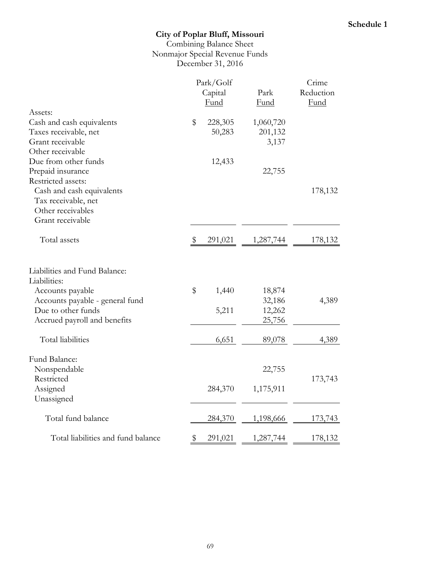Combining Balance Sheet Nonmajor Special Revenue Funds December 31, 2016

|                                               |       | Park/Golf<br>Capital<br>Fund | Park<br><b>Fund</b> | Crime<br>Reduction<br>Fund |  |
|-----------------------------------------------|-------|------------------------------|---------------------|----------------------------|--|
| Assets:<br>Cash and cash equivalents          | \$    | 228,305                      | 1,060,720           |                            |  |
| Taxes receivable, net                         |       | 50,283                       | 201,132             |                            |  |
| Grant receivable                              |       |                              | 3,137               |                            |  |
| Other receivable                              |       |                              |                     |                            |  |
| Due from other funds                          |       | 12,433                       |                     |                            |  |
| Prepaid insurance                             |       |                              | 22,755              |                            |  |
| Restricted assets:                            |       |                              |                     |                            |  |
| Cash and cash equivalents                     |       |                              |                     | 178,132                    |  |
| Tax receivable, net                           |       |                              |                     |                            |  |
| Other receivables                             |       |                              |                     |                            |  |
| Grant receivable                              |       |                              |                     |                            |  |
| Total assets                                  | \$    | 291,021                      | 1,287,744           | 178,132                    |  |
| Liabilities and Fund Balance:<br>Liabilities: |       |                              |                     |                            |  |
| Accounts payable                              | $\$\$ | 1,440                        | 18,874              |                            |  |
| Accounts payable - general fund               |       |                              | 32,186              | 4,389                      |  |
| Due to other funds                            |       | 5,211                        | 12,262              |                            |  |
| Accrued payroll and benefits                  |       |                              | 25,756              |                            |  |
| Total liabilities                             |       | 6,651                        | 89,078              | 4,389                      |  |
| Fund Balance:                                 |       |                              |                     |                            |  |
| Nonspendable                                  |       |                              | 22,755              |                            |  |
| Restricted                                    |       |                              |                     | 173,743                    |  |
| Assigned                                      |       | 284,370                      | 1,175,911           |                            |  |
| Unassigned                                    |       |                              |                     |                            |  |
| Total fund balance                            |       | 284,370                      | 1,198,666           | 173,743                    |  |
| Total liabilities and fund balance            | \$    | 291,021                      | 1,287,744           | 178,132                    |  |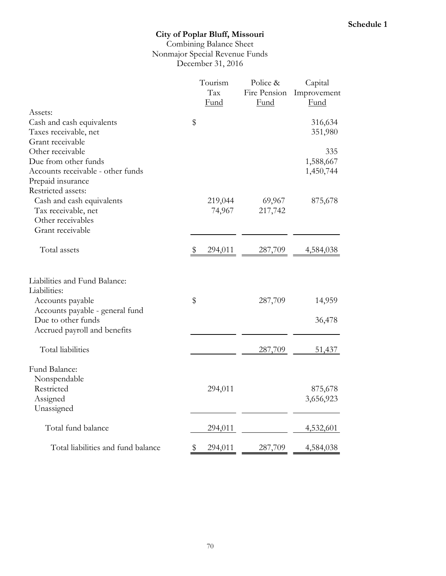Combining Balance Sheet Nonmajor Special Revenue Funds December 31, 2016

|                                                                                                                                                            | Tourism<br>Tax<br><b>Fund</b> | Police &<br>Fire Pension<br><u>Fund</u> | Capital<br>Improvement<br>Fund |
|------------------------------------------------------------------------------------------------------------------------------------------------------------|-------------------------------|-----------------------------------------|--------------------------------|
| Assets:                                                                                                                                                    |                               |                                         |                                |
| Cash and cash equivalents                                                                                                                                  | \$                            |                                         | 316,634                        |
| Taxes receivable, net<br>Grant receivable                                                                                                                  |                               |                                         | 351,980                        |
| Other receivable                                                                                                                                           |                               |                                         | 335                            |
| Due from other funds                                                                                                                                       |                               |                                         | 1,588,667                      |
| Accounts receivable - other funds                                                                                                                          |                               |                                         | 1,450,744                      |
| Prepaid insurance                                                                                                                                          |                               |                                         |                                |
| Restricted assets:                                                                                                                                         |                               |                                         |                                |
| Cash and cash equivalents                                                                                                                                  | 219,044                       | 69,967                                  | 875,678                        |
| Tax receivable, net                                                                                                                                        | 74,967                        | 217,742                                 |                                |
| Other receivables                                                                                                                                          |                               |                                         |                                |
| Grant receivable                                                                                                                                           |                               |                                         |                                |
|                                                                                                                                                            |                               |                                         |                                |
| Total assets                                                                                                                                               | 294,011<br>P.                 | 287,709                                 | 4,584,038                      |
| Liabilities and Fund Balance:<br>Liabilities:<br>Accounts payable<br>Accounts payable - general fund<br>Due to other funds<br>Accrued payroll and benefits | \$                            | 287,709                                 | 14,959<br>36,478               |
| Total liabilities                                                                                                                                          |                               | 287,709                                 | 51,437                         |
| Fund Balance:<br>Nonspendable                                                                                                                              |                               |                                         |                                |
| Restricted                                                                                                                                                 | 294,011                       |                                         | 875,678                        |
| Assigned                                                                                                                                                   |                               |                                         | 3,656,923                      |
| Unassigned                                                                                                                                                 |                               |                                         |                                |
| Total fund balance                                                                                                                                         | 294,011                       |                                         | 4,532,601                      |
| Total liabilities and fund balance                                                                                                                         | \$<br>294,011                 | 287,709                                 | 4,584,038                      |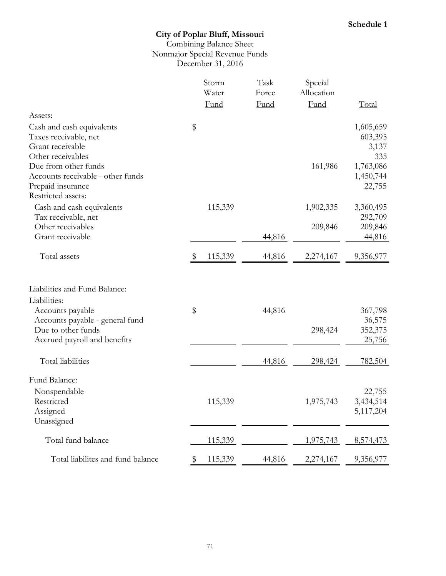# Combining Balance Sheet Nonmajor Special Revenue Funds December 31, 2016

|                                                                                                      | Storm<br>Water | Task<br>Force | Special<br>Allocation |                                      |
|------------------------------------------------------------------------------------------------------|----------------|---------------|-----------------------|--------------------------------------|
|                                                                                                      | Fund           | <b>Fund</b>   | <b>Fund</b>           | Total                                |
| Assets:                                                                                              |                |               |                       |                                      |
| Cash and cash equivalents<br>Taxes receivable, net<br>Grant receivable<br>Other receivables          | \$             |               |                       | 1,605,659<br>603,395<br>3,137<br>335 |
| Due from other funds<br>Accounts receivable - other funds<br>Prepaid insurance<br>Restricted assets: |                |               | 161,986               | 1,763,086<br>1,450,744<br>22,755     |
| Cash and cash equivalents<br>Tax receivable, net                                                     | 115,339        |               | 1,902,335             | 3,360,495<br>292,709                 |
| Other receivables<br>Grant receivable                                                                |                | 44,816        | 209,846               | 209,846<br>44,816                    |
| Total assets                                                                                         | \$<br>115,339  | 44,816        | 2,274,167             | 9,356,977                            |
| Liabilities and Fund Balance:                                                                        |                |               |                       |                                      |
| Liabilities:<br>Accounts payable<br>Accounts payable - general fund                                  | \$             | 44,816        |                       | 367,798<br>36,575                    |
| Due to other funds<br>Accrued payroll and benefits                                                   |                |               | 298,424               | 352,375<br>25,756                    |
| Total liabilities                                                                                    |                | 44,816        | 298,424               | 782,504                              |
| Fund Balance:                                                                                        |                |               |                       |                                      |
| Nonspendable<br>Restricted<br>Assigned<br>Unassigned                                                 | 115,339        |               | 1,975,743             | 22,755<br>3,434,514<br>5,117,204     |
| Total fund balance                                                                                   | 115,339        |               | 1,975,743             | 8,574,473                            |
| Total liabilites and fund balance                                                                    | \$<br>115,339  | 44,816        | 2,274,167             | 9,356,977                            |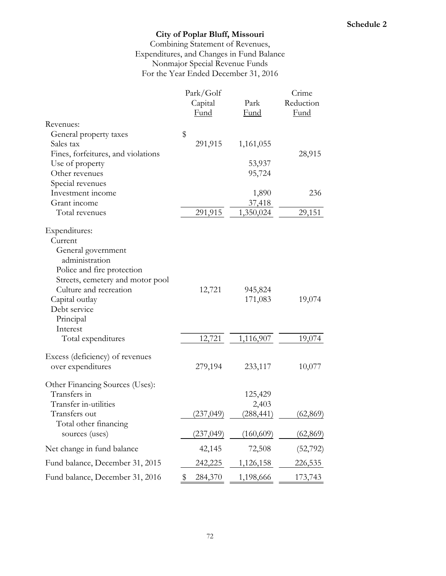Combining Statement of Revenues, Expenditures, and Changes in Fund Balance Nonmajor Special Revenue Funds For the Year Ended December 31, 2016

|                                    | Park/Golf<br>Capital<br><u>Fund</u> | Park<br><b>Fund</b> | Crime<br>Reduction<br><b>Fund</b> |
|------------------------------------|-------------------------------------|---------------------|-----------------------------------|
| Revenues:                          |                                     |                     |                                   |
| General property taxes             | \$                                  |                     |                                   |
| Sales tax                          | 291,915                             | 1,161,055           |                                   |
| Fines, forfeitures, and violations |                                     |                     | 28,915                            |
| Use of property                    |                                     | 53,937              |                                   |
| Other revenues                     |                                     | 95,724              |                                   |
| Special revenues                   |                                     |                     |                                   |
| Investment income                  |                                     | 1,890               | 236                               |
| Grant income                       |                                     | 37,418              |                                   |
| Total revenues                     | 291,915                             | 1,350,024           | 29,151                            |
| Expenditures:                      |                                     |                     |                                   |
| Current                            |                                     |                     |                                   |
| General government                 |                                     |                     |                                   |
| administration                     |                                     |                     |                                   |
| Police and fire protection         |                                     |                     |                                   |
| Streets, cemetery and motor pool   |                                     |                     |                                   |
| Culture and recreation             | 12,721                              | 945,824             |                                   |
| Capital outlay                     |                                     | 171,083             | 19,074                            |
| Debt service                       |                                     |                     |                                   |
| Principal                          |                                     |                     |                                   |
| Interest                           |                                     |                     |                                   |
| Total expenditures                 | 12,721                              | 1,116,907           | 19,074                            |
| Excess (deficiency) of revenues    |                                     |                     |                                   |
| over expenditures                  | 279,194                             | 233,117             | 10,077                            |
|                                    |                                     |                     |                                   |
| Other Financing Sources (Uses):    |                                     |                     |                                   |
| Transfers in                       |                                     | 125,429             |                                   |
| Transfer in-utilities              |                                     | 2,403               |                                   |
| Transfers out                      | (237, 049)                          | (288, 441)          | (62, 869)                         |
| Total other financing              |                                     |                     |                                   |
| sources (uses)                     | (237, 049)                          | (160, 609)          | (62, 869)                         |
| Net change in fund balance         | 42,145                              | 72,508              | (52, 792)                         |
| Fund balance, December 31, 2015    | 242,225                             | 1,126,158           | <u>226,535</u>                    |
| Fund balance, December 31, 2016    | \$<br>284,370                       | 1,198,666           | 173,743                           |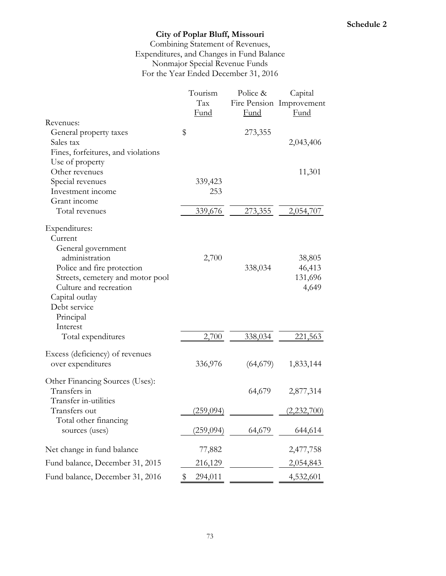Combining Statement of Revenues, Expenditures, and Changes in Fund Balance Nonmajor Special Revenue Funds For the Year Ended December 31, 2016

|                                    | Tourism<br>Tax<br><u>Fund</u> | Police &<br><u>Fund</u> | Capital<br>Fire Pension Improvement<br><b>Fund</b> |  |
|------------------------------------|-------------------------------|-------------------------|----------------------------------------------------|--|
| Revenues:                          |                               |                         |                                                    |  |
| General property taxes             | \$                            | 273,355                 |                                                    |  |
| Sales tax                          |                               |                         | 2,043,406                                          |  |
| Fines, forfeitures, and violations |                               |                         |                                                    |  |
| Use of property                    |                               |                         |                                                    |  |
| Other revenues                     |                               |                         | 11,301                                             |  |
| Special revenues                   | 339,423                       |                         |                                                    |  |
| Investment income<br>Grant income  | 253                           |                         |                                                    |  |
| Total revenues                     | 339,676                       | 273,355                 | 2,054,707                                          |  |
|                                    |                               |                         |                                                    |  |
| Expenditures:                      |                               |                         |                                                    |  |
| Current                            |                               |                         |                                                    |  |
| General government                 |                               |                         |                                                    |  |
| administration                     | 2,700                         |                         | 38,805                                             |  |
| Police and fire protection         |                               | 338,034                 | 46,413                                             |  |
| Streets, cemetery and motor pool   |                               |                         | 131,696                                            |  |
| Culture and recreation             |                               |                         | 4,649                                              |  |
| Capital outlay                     |                               |                         |                                                    |  |
| Debt service                       |                               |                         |                                                    |  |
| Principal                          |                               |                         |                                                    |  |
| Interest                           |                               |                         |                                                    |  |
| Total expenditures                 | 2,700                         | 338,034                 | 221,563                                            |  |
| Excess (deficiency) of revenues    |                               |                         |                                                    |  |
| over expenditures                  | 336,976                       | (64, 679)               | 1,833,144                                          |  |
|                                    |                               |                         |                                                    |  |
| Other Financing Sources (Uses):    |                               |                         |                                                    |  |
| Transfers in                       |                               | 64,679                  | 2,877,314                                          |  |
| Transfer in-utilities              |                               |                         |                                                    |  |
| Transfers out                      | (259, 094)                    |                         | (2,232,700)                                        |  |
| Total other financing              |                               |                         |                                                    |  |
| sources (uses)                     | (259,094)                     | 64,679                  | 644,614                                            |  |
| Net change in fund balance         | 77,882                        |                         | 2,477,758                                          |  |
| Fund balance, December 31, 2015    | <u>216,129</u>                |                         | 2,054,843                                          |  |
| Fund balance, December 31, 2016    | \$<br>294,011                 |                         | 4,532,601                                          |  |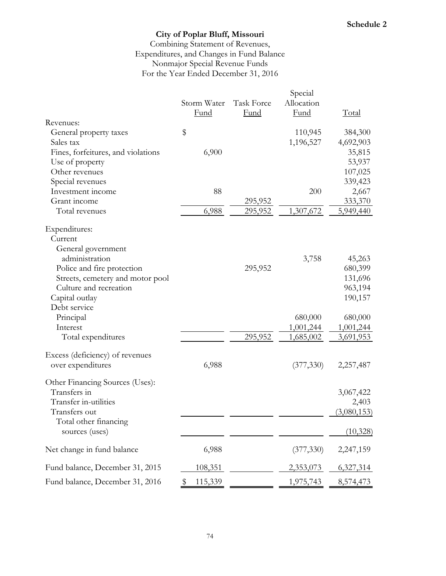# Combining Statement of Revenues, Expenditures, and Changes in Fund Balance Nonmajor Special Revenue Funds For the Year Ended December 31, 2016

|                                    |               |             | Special    |              |
|------------------------------------|---------------|-------------|------------|--------------|
|                                    | Storm Water   | Task Force  | Allocation |              |
|                                    | <b>Fund</b>   | <b>Fund</b> | Fund       | <b>Total</b> |
| Revenues:                          |               |             |            |              |
| General property taxes             | \$            |             | 110,945    | 384,300      |
| Sales tax                          |               |             | 1,196,527  | 4,692,903    |
| Fines, forfeitures, and violations | 6,900         |             |            | 35,815       |
| Use of property                    |               |             |            | 53,937       |
| Other revenues                     |               |             |            | 107,025      |
| Special revenues                   |               |             |            | 339,423      |
| Investment income                  | 88            |             | 200        | 2,667        |
| Grant income                       |               | 295,952     |            | 333,370      |
| Total revenues                     | 6,988         | 295,952     | 1,307,672  | 5,949,440    |
| Expenditures:                      |               |             |            |              |
| Current                            |               |             |            |              |
| General government                 |               |             |            |              |
| administration                     |               |             | 3,758      | 45,263       |
| Police and fire protection         |               | 295,952     |            | 680,399      |
| Streets, cemetery and motor pool   |               |             |            | 131,696      |
| Culture and recreation             |               |             |            | 963,194      |
| Capital outlay                     |               |             |            | 190,157      |
| Debt service                       |               |             |            |              |
| Principal                          |               |             | 680,000    | 680,000      |
| Interest                           |               |             | 1,001,244  | 1,001,244    |
| Total expenditures                 |               | 295,952     | 1,685,002  | 3,691,953    |
| Excess (deficiency) of revenues    |               |             |            |              |
| over expenditures                  | 6,988         |             | (377, 330) | 2,257,487    |
| Other Financing Sources (Uses):    |               |             |            |              |
| Transfers in                       |               |             |            | 3,067,422    |
| Transfer in-utilities              |               |             |            | 2,403        |
| Transfers out                      |               |             |            | (3,080,153)  |
| Total other financing              |               |             |            |              |
| sources (uses)                     |               |             |            | (10, 328)    |
| Net change in fund balance         | 6,988         |             | (377, 330) | 2,247,159    |
| Fund balance, December 31, 2015    | 108,351       |             | 2,353,073  | 6,327,314    |
| Fund balance, December 31, 2016    | 115,339<br>\$ |             | 1,975,743  | 8,574,473    |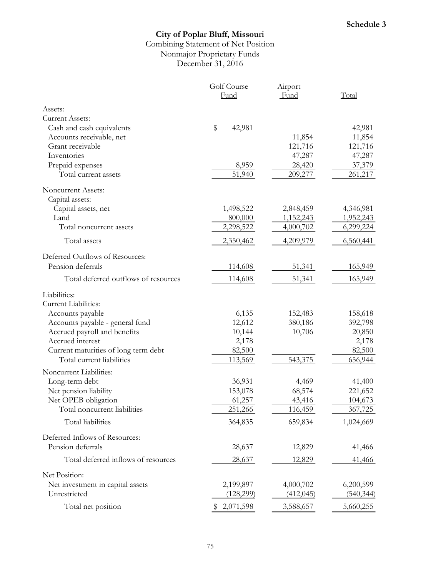# Combining Statement of Net Position Nonmajor Proprietary Funds December 31, 2016

|                                                     | Golf Course       | Airport           |                    |  |
|-----------------------------------------------------|-------------------|-------------------|--------------------|--|
|                                                     | Fund              | <b>Fund</b>       | Total              |  |
| Assets:                                             |                   |                   |                    |  |
| Current Assets:                                     |                   |                   |                    |  |
| Cash and cash equivalents                           | \$<br>42,981      |                   | 42,981             |  |
| Accounts receivable, net                            |                   | 11,854            | 11,854             |  |
| Grant receivable                                    |                   | 121,716           | 121,716            |  |
| Inventories                                         |                   | 47,287            | 47,287             |  |
| Prepaid expenses<br>Total current assets            | 8,959<br>51,940   | 28,420<br>209,277 | 37,379<br>261,217  |  |
|                                                     |                   |                   |                    |  |
| Noncurrent Assets:                                  |                   |                   |                    |  |
| Capital assets:                                     |                   |                   |                    |  |
| Capital assets, net                                 | 1,498,522         | 2,848,459         | 4,346,981          |  |
| Land                                                | 800,000           | 1,152,243         | 1,952,243          |  |
| Total noncurrent assets                             | 2,298,522         | 4,000,702         | 6,299,224          |  |
| Total assets                                        | 2,350,462         | 4,209,979         | 6,560,441          |  |
| Deferred Outflows of Resources:                     |                   |                   |                    |  |
| Pension deferrals                                   | 114,608           | 51,341            | 165,949            |  |
| Total deferred outflows of resources                | 114,608           | 51,341            | 165,949            |  |
| Liabilities:                                        |                   |                   |                    |  |
| Current Liabilities:                                |                   |                   |                    |  |
| Accounts payable                                    | 6,135             | 152,483           | 158,618            |  |
| Accounts payable - general fund                     | 12,612            | 380,186           | 392,798            |  |
| Accrued payroll and benefits                        | 10,144            | 10,706            | 20,850             |  |
| Accrued interest                                    | 2,178             |                   | 2,178              |  |
| Current maturities of long term debt                | 82,500            |                   | 82,500             |  |
| Total current liabilities                           | 113,569           | 543,375           | 656,944            |  |
| Noncurrent Liabilities:                             |                   |                   |                    |  |
| Long-term debt                                      | 36,931            | 4,469             | 41,400             |  |
| Net pension liability                               | 153,078<br>61,257 | 68,574            | 221,652            |  |
| Net OPEB obligation<br>Total noncurrent liabilities | 251,266           | 43,416<br>116,459 | 104,673<br>367,725 |  |
| Total liabilities                                   | 364,835           | 659,834           | 1,024,669          |  |
|                                                     |                   |                   |                    |  |
| Deferred Inflows of Resources:                      |                   |                   |                    |  |
| Pension deferrals                                   | 28,637            | <u>12,829</u>     | 41,466             |  |
| Total deferred inflows of resources                 | 28,637            | 12,829            | 41,466             |  |
| Net Position:                                       |                   |                   |                    |  |
| Net investment in capital assets                    | 2,199,897         | 4,000,702         | 6,200,599          |  |
| Unrestricted                                        | (128, 299)        | (412, 045)        | (540, 344)         |  |
| Total net position                                  | \$2,071,598       | 3,588,657         | 5,660,255          |  |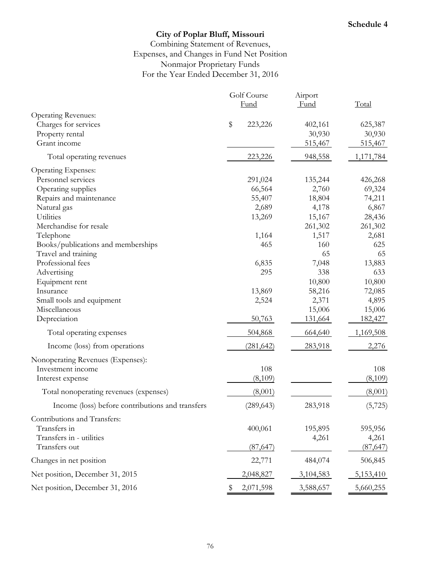Combining Statement of Revenues, Expenses, and Changes in Fund Net Position Nonmajor Proprietary Funds For the Year Ended December 31, 2016

|                                                  |    | Golf Course<br>Fund | Airport<br><b>Fund</b> | Total     |  |
|--------------------------------------------------|----|---------------------|------------------------|-----------|--|
| <b>Operating Revenues:</b>                       |    |                     |                        |           |  |
| Charges for services                             | \$ | 223,226             | 402,161                | 625,387   |  |
| Property rental                                  |    |                     | 30,930                 | 30,930    |  |
| Grant income                                     |    |                     | 515,467                | 515,467   |  |
| Total operating revenues                         |    | 223,226             | 948,558                | 1,171,784 |  |
| Operating Expenses:                              |    |                     |                        |           |  |
| Personnel services                               |    | 291,024             | 135,244                | 426,268   |  |
| Operating supplies                               |    | 66,564              | 2,760                  | 69,324    |  |
| Repairs and maintenance                          |    | 55,407              | 18,804                 | 74,211    |  |
| Natural gas                                      |    | 2,689               | 4,178                  | 6,867     |  |
| Utilities                                        |    | 13,269              | 15,167                 | 28,436    |  |
| Merchandise for resale                           |    |                     | 261,302                | 261,302   |  |
| Telephone                                        |    | 1,164               | 1,517                  | 2,681     |  |
| Books/publications and memberships               |    | 465                 | 160                    | 625       |  |
| Travel and training                              |    |                     | 65                     | 65        |  |
| Professional fees                                |    | 6,835               | 7,048                  | 13,883    |  |
| Advertising                                      |    | 295                 | 338                    | 633       |  |
| Equipment rent                                   |    |                     | 10,800                 | 10,800    |  |
| Insurance                                        |    | 13,869              | 58,216                 | 72,085    |  |
| Small tools and equipment                        |    | 2,524               | 2,371                  | 4,895     |  |
| Miscellaneous                                    |    |                     | 15,006                 | 15,006    |  |
| Depreciation                                     |    | 50,763              | 131,664                | 182,427   |  |
| Total operating expenses                         |    | 504,868             | 664,640                | 1,169,508 |  |
| Income (loss) from operations                    |    | (281, 642)          | 283,918                | 2,276     |  |
| Nonoperating Revenues (Expenses):                |    |                     |                        |           |  |
| Investment income                                |    | 108                 |                        | 108       |  |
| Interest expense                                 |    | (8,109)             |                        | (8,109)   |  |
| Total nonoperating revenues (expenses)           |    | (8,001)             |                        | (8,001)   |  |
| Income (loss) before contributions and transfers |    | (289, 643)          | 283,918                | (5, 725)  |  |
| Contributions and Transfers:                     |    |                     |                        |           |  |
| Transfers in                                     |    | 400,061             | 195,895                | 595,956   |  |
| Transfers in - utilities                         |    |                     | 4,261                  | 4,261     |  |
| Transfers out                                    |    | (87, 647)           |                        | (87, 647) |  |
| Changes in net position                          |    | 22,771              | 484,074                | 506,845   |  |
| Net position, December 31, 2015                  |    | 2,048,827           | 3,104,583              | 5,153,410 |  |
| Net position, December 31, 2016                  | \$ | 2,071,598           | 3,588,657              | 5,660,255 |  |
|                                                  |    |                     |                        |           |  |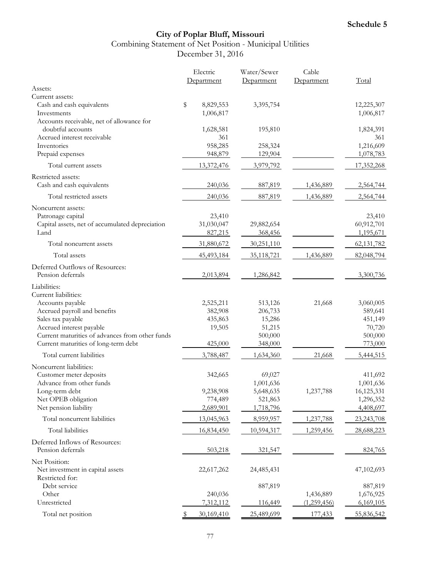# Combining Statement of Net Position - Municipal Utilities

December 31, 2016

|                                                                                                                                                                                                                      | Electric<br>Department                               | Water/Sewer<br>Department                                    | Cable<br>Department      | Total                                                           |
|----------------------------------------------------------------------------------------------------------------------------------------------------------------------------------------------------------------------|------------------------------------------------------|--------------------------------------------------------------|--------------------------|-----------------------------------------------------------------|
| Assets:<br>Current assets:<br>Cash and cash equivalents                                                                                                                                                              | \$<br>8,829,553                                      | 3,395,754                                                    |                          | 12,225,307                                                      |
| Investments<br>Accounts receivable, net of allowance for                                                                                                                                                             | 1,006,817                                            |                                                              |                          | 1,006,817                                                       |
| doubtful accounts<br>Accrued interest receivable                                                                                                                                                                     | 1,628,581<br>361                                     | 195,810                                                      |                          | 1,824,391<br>361                                                |
| Inventories                                                                                                                                                                                                          | 958,285                                              | 258,324                                                      |                          | 1,216,609                                                       |
| Prepaid expenses                                                                                                                                                                                                     | 948,879                                              | 129,904                                                      |                          | 1,078,783                                                       |
| Total current assets                                                                                                                                                                                                 | 13,372,476                                           | 3,979,792                                                    |                          | 17,352,268                                                      |
| Restricted assets:<br>Cash and cash equivalents                                                                                                                                                                      | 240,036                                              | 887,819                                                      | 1,436,889                | 2,564,744                                                       |
| Total restricted assets                                                                                                                                                                                              | 240,036                                              | 887,819                                                      | 1,436,889                | 2,564,744                                                       |
| Noncurrent assets:<br>Patronage capital<br>Capital assets, net of accumulated depreciation<br>Land                                                                                                                   | 23,410<br>31,030,047<br>827,215                      | 29,882,654<br>368,456                                        |                          | 23,410<br>60,912,701<br>1,195,671                               |
| Total noncurrent assets                                                                                                                                                                                              | 31,880,672                                           | 30,251,110                                                   |                          | 62,131,782                                                      |
| Total assets                                                                                                                                                                                                         | 45,493,184                                           | 35, 118, 721                                                 | 1,436,889                | 82,048,794                                                      |
| Deferred Outflows of Resources:<br>Pension deferrals                                                                                                                                                                 | 2,013,894                                            | 1,286,842                                                    |                          | 3,300,736                                                       |
| Liabilities:                                                                                                                                                                                                         |                                                      |                                                              |                          |                                                                 |
| Current liabilities:<br>Accounts payable<br>Accrued payroll and benefits<br>Sales tax payable<br>Accrued interest payable<br>Current maturities of advances from other funds<br>Current maturities of long-term debt | 2,525,211<br>382,908<br>435,863<br>19,505<br>425,000 | 513,126<br>206,733<br>15,286<br>51,215<br>500,000<br>348,000 | 21,668                   | 3,060,005<br>589,641<br>451,149<br>70,720<br>500,000<br>773,000 |
| Total current liabilities                                                                                                                                                                                            | 3,788,487                                            | 1,634,360                                                    | 21,668                   | 5,444,515                                                       |
| Noncurrent liabilities:<br>Customer meter deposits<br>Advance from other funds<br>Long-term debt<br>Net OPEB obligation<br>Net pension liability                                                                     | 342,665<br>9,238,908<br>774,489<br>2,689,901         | 69,027<br>1,001,636<br>5,648,635<br>521,863<br>1,718,796     | 1,237,788                | 411,692<br>1,001,636<br>16,125,331<br>1,296,352<br>4,408,697    |
| Total noncurrent liabilities                                                                                                                                                                                         | 13,045,963                                           | 8,959,957                                                    | 1,237,788                | 23,243,708                                                      |
| Total liabilities                                                                                                                                                                                                    | 16,834,450                                           | 10,594,317                                                   | 1,259,456                | 28,688,223                                                      |
| Deferred Inflows of Resources:<br>Pension deferrals                                                                                                                                                                  | 503,218                                              | 321,547                                                      |                          | 824,765                                                         |
| Net Position:<br>Net investment in capital assets<br>Restricted for:                                                                                                                                                 | 22,617,262                                           | 24,485,431                                                   |                          | 47,102,693                                                      |
| Debt service<br>Other<br>Unrestricted                                                                                                                                                                                | 240,036<br>7,312,112                                 | 887,819<br>116,449                                           | 1,436,889<br>(1,259,456) | 887,819<br>1,676,925<br>6,169,105                               |
| Total net position                                                                                                                                                                                                   | \$<br>30,169,410                                     | 25,489,699                                                   | 177,433                  | 55,836,542                                                      |
|                                                                                                                                                                                                                      |                                                      |                                                              |                          |                                                                 |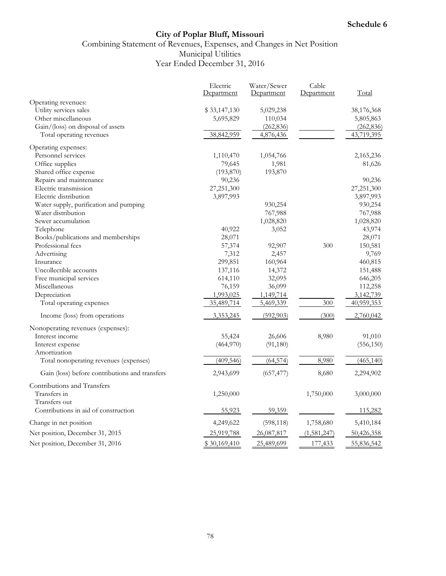# Combining Statement of Revenues, Expenses, and Changes in Net Position

Municipal Utilities

Year Ended December 31, 2016

|                                                | Electric<br>Department | Water/Sewer<br>Department | Cable<br>Department | <b>Total</b> |
|------------------------------------------------|------------------------|---------------------------|---------------------|--------------|
| Operating revenues:                            |                        |                           |                     |              |
| Utility services sales                         | \$33,147,130           | 5,029,238                 |                     | 38,176,368   |
| Other miscellaneous                            | 5,695,829              | 110,034                   |                     | 5,805,863    |
| Gain/(loss) on disposal of assets              |                        | (262, 836)                |                     | (262, 836)   |
| Total operating revenues                       | 38,842,959             | 4,876,436                 |                     | 43,719,395   |
| Operating expenses:                            |                        |                           |                     |              |
| Personnel services                             | 1,110,470              | 1,054,766                 |                     | 2,165,236    |
| Office supplies                                | 79,645                 | 1,981                     |                     | 81,626       |
| Shared office expense                          | (193, 870)             | 193,870                   |                     |              |
| Repairs and maintenance                        | 90,236                 |                           |                     | 90,236       |
| Electric transmission                          | 27,251,300             |                           |                     | 27,251,300   |
| Electric distribution                          | 3,897,993              |                           |                     | 3,897,993    |
| Water supply, purification and pumping         |                        | 930,254                   |                     | 930,254      |
| Water distribution                             |                        | 767,988                   |                     | 767,988      |
| Sewer accumulation                             |                        | 1,028,820                 |                     | 1,028,820    |
| Telephone                                      | 40,922                 | 3,052                     |                     | 43,974       |
| Books/publications and memberships             | 28,071                 |                           |                     | 28,071       |
| Professional fees                              | 57,374                 | 92,907                    | 300                 | 150,581      |
| Advertising                                    | 7,312                  | 2,457                     |                     | 9,769        |
| Insurance                                      | 299,851                | 160,964                   |                     | 460,815      |
| Uncollectible accounts                         | 137,116                | 14,372                    |                     | 151,488      |
| Free municipal services                        | 614,110                | 32,095                    |                     | 646,205      |
| Miscellaneous                                  | 76,159                 | 36,099                    |                     | 112,258      |
| Depreciation                                   | 1,993,025              | 1,149,714                 |                     | 3,142,739    |
| Total operating expenses                       | 35,489,714             | 5,469,339                 | 300                 | 40,959,353   |
| Income (loss) from operations                  | 3,353,245              | (592, 903)                | (300)               | 2,760,042    |
| Nonoperating revenues (expenses):              |                        |                           |                     |              |
| Interest income                                | 55,424                 | 26,606                    | 8,980               | 91,010       |
| Interest expense                               | (464,970)              | (91, 180)                 |                     | (556, 150)   |
| Amortization                                   |                        |                           |                     |              |
| Total nonoperating revenues (expenses)         | (409, 546)             | (64, 574)                 | 8,980               | (465, 140)   |
| Gain (loss) before contributions and transfers | 2,943,699              | (657, 477)                | 8,680               | 2,294,902    |
| Contributions and Transfers                    |                        |                           |                     |              |
| Transfers in                                   | 1,250,000              |                           | 1,750,000           | 3,000,000    |
| Transfers out                                  |                        |                           |                     |              |
| Contributions in aid of construction           | 55,923                 | 59,359                    |                     | 115,282      |
| Change in net position                         | 4,249,622              | (598, 118)                | 1,758,680           | 5,410,184    |
| Net position, December 31, 2015                | 25,919,788             | 26,087,817                | (1, 581, 247)       | 50,426,358   |
| Net position, December 31, 2016                | \$30,169,410           | 25,489,699                | 177,433             | 55,836,542   |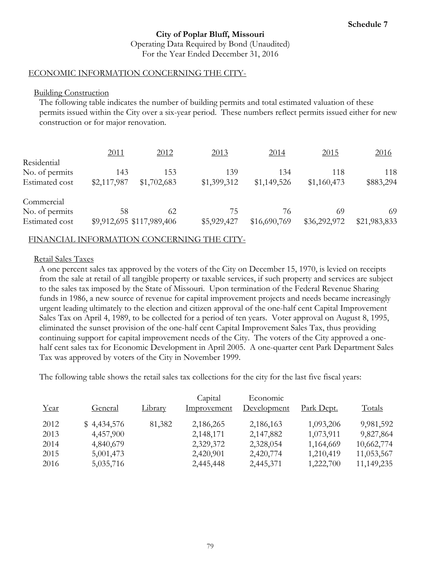## **City of Poplar Bluff, Missouri** Operating Data Required by Bond (Unaudited) For the Year Ended December 31, 2016

## ECONOMIC INFORMATION CONCERNING THE CITY-

#### Building Construction

The following table indicates the number of building permits and total estimated valuation of these permits issued within the City over a six-year period. These numbers reflect permits issued either for new construction or for major renovation.

|                       | 2011        | 2012                      | 2013        | 2014         | 2015         | 2016         |
|-----------------------|-------------|---------------------------|-------------|--------------|--------------|--------------|
| Residential           |             |                           |             |              |              |              |
| No. of permits        | 143         | 153                       | 139         | 134          | 118          | 118          |
| <b>Estimated cost</b> | \$2,117,987 | \$1,702,683               | \$1,399,312 | \$1,149,526  | \$1,160,473  | \$883,294    |
| Commercial            |             |                           |             |              |              |              |
| No. of permits        | 58          | 62                        | 75          | 76           | 69           | 69           |
| <b>Estimated cost</b> |             | \$9,912,695 \$117,989,406 | \$5,929,427 | \$16,690,769 | \$36,292,972 | \$21,983,833 |

## FINANCIAL INFORMATION CONCERNING THE CITY-

#### Retail Sales Taxes

A one percent sales tax approved by the voters of the City on December 15, 1970, is levied on receipts from the sale at retail of all tangible property or taxable services, if such property and services are subject to the sales tax imposed by the State of Missouri. Upon termination of the Federal Revenue Sharing funds in 1986, a new source of revenue for capital improvement projects and needs became increasingly urgent leading ultimately to the election and citizen approval of the one-half cent Capital Improvement Sales Tax on April 4, 1989, to be collected for a period of ten years. Voter approval on August 8, 1995, eliminated the sunset provision of the one-half cent Capital Improvement Sales Tax, thus providing continuing support for capital improvement needs of the City. The voters of the City approved a onehalf cent sales tax for Economic Development in April 2005. A one-quarter cent Park Department Sales Tax was approved by voters of the City in November 1999.

The following table shows the retail sales tax collections for the city for the last five fiscal years:

| Year | General     | <u>Library</u> | Capital<br><u>Improvement</u> | Economic<br>Development | <u>Park Dept.</u> | Totals       |
|------|-------------|----------------|-------------------------------|-------------------------|-------------------|--------------|
| 2012 | \$4,434,576 | 81,382         | 2,186,265                     | 2,186,163               | 1,093,206         | 9,981,592    |
| 2013 | 4,457,900   |                | 2,148,171                     | 2,147,882               | 1,073,911         | 9,827,864    |
| 2014 | 4,840,679   |                | 2,329,372                     | 2,328,054               | 1,164,669         | 10,662,774   |
| 2015 | 5,001,473   |                | 2,420,901                     | 2,420,774               | 1,210,419         | 11,053,567   |
| 2016 | 5,035,716   |                | 2,445,448                     | 2,445,371               | 1,222,700         | 11, 149, 235 |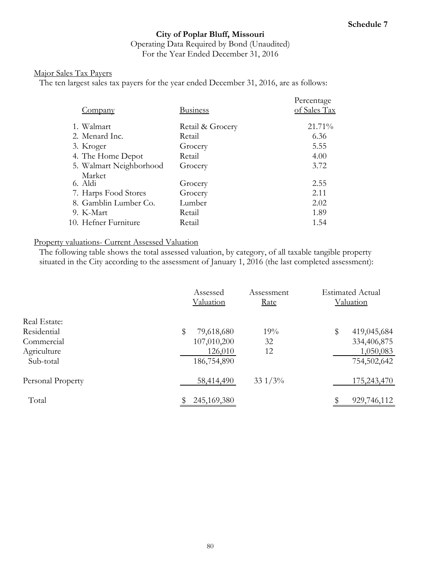Operating Data Required by Bond (Unaudited) For the Year Ended December 31, 2016

# Major Sales Tax Payers

The ten largest sales tax payers for the year ended December 31, 2016, are as follows:

| Company                 | <b>Business</b>  | Percentage<br>of Sales Tax |
|-------------------------|------------------|----------------------------|
| 1. Walmart              | Retail & Grocery | 21.71%                     |
| 2. Menard Inc.          | Retail           | 6.36                       |
| 3. Kroger               | Grocery          | 5.55                       |
| 4. The Home Depot       | Retail           | 4.00                       |
| 5. Walmart Neighborhood | Grocery          | 3.72                       |
| Market<br>6. Aldi       | Grocery          | 2.55                       |
| 7. Harps Food Stores    | Grocery          | 2.11                       |
| 8. Gamblin Lumber Co.   | Lumber           | 2.02                       |
| 9. K-Mart               | Retail           | 1.89                       |
| 10. Hefner Furniture    | Retail           | 1.54                       |
|                         |                  |                            |

# Property valuations- Current Assessed Valuation

The following table shows the total assessed valuation, by category, of all taxable tangible property situated in the City according to the assessment of January 1, 2016 (the last completed assessment):

|                   | Assessed<br>Valuation | Assessment<br>Rate | <b>Estimated Actual</b><br>Valuation |  |  |
|-------------------|-----------------------|--------------------|--------------------------------------|--|--|
| Real Estate:      |                       |                    |                                      |  |  |
| Residential       | \$<br>79,618,680      | 19%                | \$<br>419,045,684                    |  |  |
| Commercial        | 107,010,200           | 32                 | 334,406,875                          |  |  |
| Agriculture       | 126,010               | 12                 | 1,050,083                            |  |  |
| Sub-total         | 186,754,890           |                    | 754,502,642                          |  |  |
| Personal Property | 58,414,490            | $33\frac{1}{3\%}$  | 175,243,470                          |  |  |
| Total             | 245,169,380           |                    | 929,746,112                          |  |  |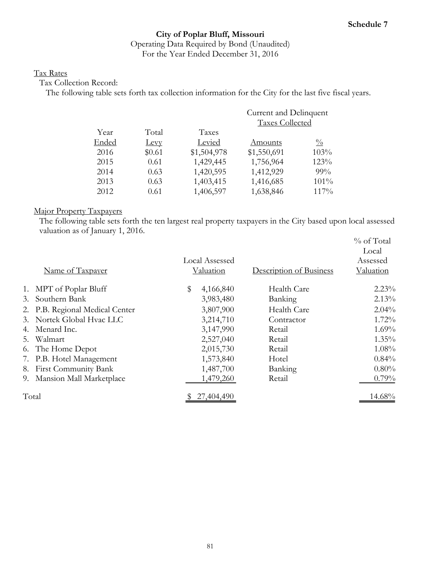Operating Data Required by Bond (Unaudited) For the Year Ended December 31, 2016

# Tax Rates

Tax Collection Record:

The following table sets forth tax collection information for the City for the last five fiscal years.

|       |        |             | Current and Delinquent |               |  |  |
|-------|--------|-------------|------------------------|---------------|--|--|
|       |        |             | Taxes Collected        |               |  |  |
| Year  | Total  | Taxes       |                        |               |  |  |
| Ended | Levy   | Levied      | Amounts                | $\frac{0}{0}$ |  |  |
| 2016  | \$0.61 | \$1,504,978 | \$1,550,691            | 103%          |  |  |
| 2015  | 0.61   | 1,429,445   | 1,756,964              | 123%          |  |  |
| 2014  | 0.63   | 1,420,595   | 1,412,929              | $99\%$        |  |  |
| 2013  | 0.63   | 1,403,415   | 1,416,685              | 101%          |  |  |
| 2012  | 0.61   | 1,406,597   | 1,638,846              | 117%          |  |  |

## Major Property Taxpayers

The following table sets forth the ten largest real property taxpayers in the City based upon local assessed valuation as of January 1, 2016.

|    | Name of Taxpayer                | <b>Local Assessed</b><br>Valuation | Description of Business | % of Total<br>Local<br>Assessed<br>Valuation |
|----|---------------------------------|------------------------------------|-------------------------|----------------------------------------------|
|    | 1. MPT of Poplar Bluff          | \$<br>4,166,840                    | Health Care             | $2.23\%$                                     |
|    | 3. Southern Bank                | 3,983,480                          | Banking                 | 2.13%                                        |
|    | 2. P.B. Regional Medical Center | 3,807,900                          | Health Care             | $2.04\%$                                     |
|    | 3. Nortek Global Hvac LLC       | 3,214,710                          | Contractor              | $1.72\%$                                     |
|    | 4. Menard Inc.                  | 3,147,990                          | Retail                  | 1.69%                                        |
| 5. | Walmart                         | 2,527,040                          | Retail                  | 1.35%                                        |
| 6. | The Home Depot                  | 2,015,730                          | Retail                  | 1.08%                                        |
|    | 7. P.B. Hotel Management        | 1,573,840                          | Hotel                   | $0.84\%$                                     |
| 8. | First Community Bank            | 1,487,700                          | Banking                 | $0.80\%$                                     |
| 9. | Mansion Mall Marketplace        | 1,479,260                          | Retail                  | $0.79\%$                                     |
|    | Total                           | 27,404,490                         |                         | 14.68%                                       |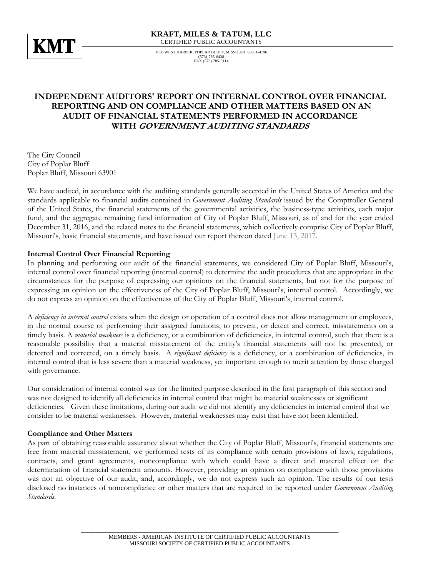

1650 WEST HARPER, POPLAR BLUFF, MISSOURI 63901-4196 (573)-785-6438  $FAX (573) 785-0114$ 

## **INDEPENDENT AUDITORS' REPORT ON INTERNAL CONTROL OVER FINANCIAL REPORTING AND ON COMPLIANCE AND OTHER MATTERS BASED ON AN AUDIT OF FINANCIAL STATEMENTS PERFORMED IN ACCORDANCE WITH GOVERNMENT AUDITING STANDARDS**

The City Council City of Poplar Bluff Poplar Bluff, Missouri 63901

We have audited, in accordance with the auditing standards generally accepted in the United States of America and the standards applicable to financial audits contained in *Government Auditing Standards* issued by the Comptroller General of the United States, the financial statements of the governmental activities, the business-type activities, each major fund, and the aggregate remaining fund information of City of Poplar Bluff, Missouri, as of and for the year ended December 31, 2016, and the related notes to the financial statements, which collectively comprise City of Poplar Bluff, Missouri's, basic financial statements, and have issued our report thereon dated June 13, 2017.

## **Internal Control Over Financial Reporting**

In planning and performing our audit of the financial statements, we considered City of Poplar Bluff, Missouri's, internal control over financial reporting (internal control) to determine the audit procedures that are appropriate in the circumstances for the purpose of expressing our opinions on the financial statements, but not for the purpose of expressing an opinion on the effectiveness of the City of Poplar Bluff, Missouri's, internal control. Accordingly, we do not express an opinion on the effectiveness of the City of Poplar Bluff, Missouri's, internal control.

A *deficiency in internal control* exists when the design or operation of a control does not allow management or employees, in the normal course of performing their assigned functions, to prevent, or detect and correct, misstatements on a timely basis. A *material weakness* is a deficiency, or a combination of deficiencies, in internal control, such that there is a reasonable possibility that a material misstatement of the entity's financial statements will not be prevented, or detected and corrected, on a timely basis. A *significant deficiency* is a deficiency, or a combination of deficiencies, in internal control that is less severe than a material weakness, yet important enough to merit attention by those charged with governance.

Our consideration of internal control was for the limited purpose described in the first paragraph of this section and was not designed to identify all deficiencies in internal control that might be material weaknesses or significant deficiencies. Given these limitations, during our audit we did not identify any deficiencies in internal control that we consider to be material weaknesses. However, material weaknesses may exist that have not been identified.

#### **Compliance and Other Matters**

As part of obtaining reasonable assurance about whether the City of Poplar Bluff, Missouri's, financial statements are free from material misstatement, we performed tests of its compliance with certain provisions of laws, regulations, contracts, and grant agreements, noncompliance with which could have a direct and material effect on the determination of financial statement amounts. However, providing an opinion on compliance with those provisions was not an objective of our audit, and, accordingly, we do not express such an opinion. The results of our tests disclosed no instances of noncompliance or other matters that are required to be reported under *Government Auditing Standards.*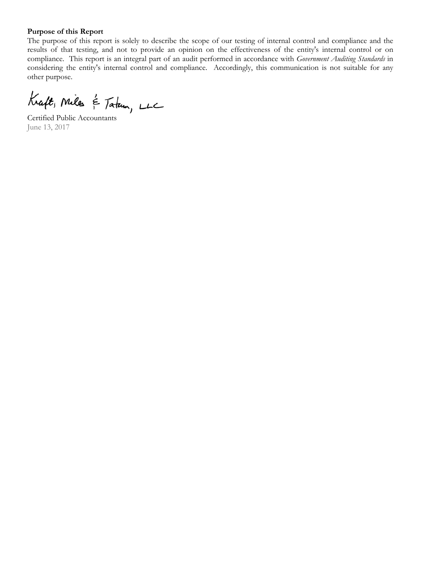#### **Purpose of this Report**

The purpose of this report is solely to describe the scope of our testing of internal control and compliance and the results of that testing, and not to provide an opinion on the effectiveness of the entity's internal control or on compliance. This report is an integral part of an audit performed in accordance with *Government Auditing Standards* in considering the entity's internal control and compliance. Accordingly, this communication is not suitable for any other purpose.

Kraft, Miles & Tatum, LLC

Certified Public Accountants June 13, 2017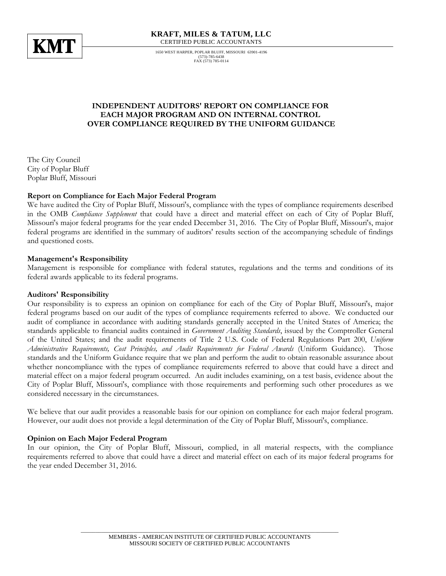

1650 WEST HARPER, POPLAR BLUFF, MISSOURI 63901-4196 (573)-785-6438 FAX (573) 785-0114

## **INDEPENDENT AUDITORS' REPORT ON COMPLIANCE FOR EACH MAJOR PROGRAM AND ON INTERNAL CONTROL OVER COMPLIANCE REQUIRED BY THE UNIFORM GUIDANCE**

The City Council City of Poplar Bluff Poplar Bluff, Missouri

## **Report on Compliance for Each Major Federal Program**

We have audited the City of Poplar Bluff, Missouri's, compliance with the types of compliance requirements described in the OMB *Compliance Supplement* that could have a direct and material effect on each of City of Poplar Bluff, Missouri's major federal programs for the year ended December 31, 2016. The City of Poplar Bluff, Missouri's, major federal programs are identified in the summary of auditors' results section of the accompanying schedule of findings and questioned costs.

## **Management's Responsibility**

Management is responsible for compliance with federal statutes, regulations and the terms and conditions of its federal awards applicable to its federal programs.

## **Auditors' Responsibility**

Our responsibility is to express an opinion on compliance for each of the City of Poplar Bluff, Missouri's, major federal programs based on our audit of the types of compliance requirements referred to above. We conducted our audit of compliance in accordance with auditing standards generally accepted in the United States of America; the standards applicable to financial audits contained in *Government Auditing Standards*, issued by the Comptroller General of the United States; and the audit requirements of Title 2 U.S. Code of Federal Regulations Part 200, *Uniform Administrative Requirements, Cost Principles, and Audit Requirements for Federal Awards* (Uniform Guidance)*.* Those standards and the Uniform Guidance require that we plan and perform the audit to obtain reasonable assurance about whether noncompliance with the types of compliance requirements referred to above that could have a direct and material effect on a major federal program occurred. An audit includes examining, on a test basis, evidence about the City of Poplar Bluff, Missouri's, compliance with those requirements and performing such other procedures as we considered necessary in the circumstances.

We believe that our audit provides a reasonable basis for our opinion on compliance for each major federal program. However, our audit does not provide a legal determination of the City of Poplar Bluff, Missouri's, compliance.

## **Opinion on Each Major Federal Program**

In our opinion, the City of Poplar Bluff, Missouri, complied, in all material respects, with the compliance requirements referred to above that could have a direct and material effect on each of its major federal programs for the year ended December 31, 2016.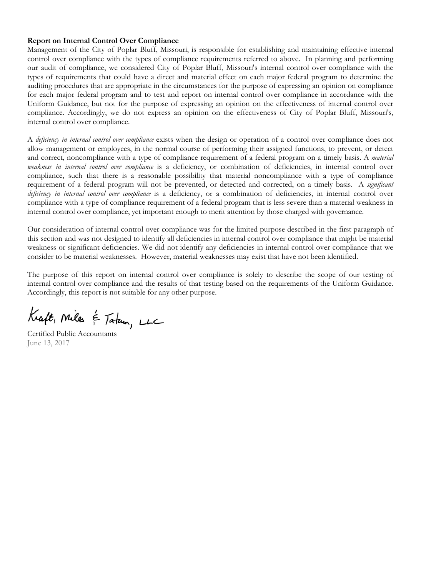#### **Report on Internal Control Over Compliance**

Management of the City of Poplar Bluff, Missouri, is responsible for establishing and maintaining effective internal control over compliance with the types of compliance requirements referred to above. In planning and performing our audit of compliance, we considered City of Poplar Bluff, Missouri's internal control over compliance with the types of requirements that could have a direct and material effect on each major federal program to determine the auditing procedures that are appropriate in the circumstances for the purpose of expressing an opinion on compliance for each major federal program and to test and report on internal control over compliance in accordance with the Uniform Guidance, but not for the purpose of expressing an opinion on the effectiveness of internal control over compliance. Accordingly, we do not express an opinion on the effectiveness of City of Poplar Bluff, Missouri's, internal control over compliance.

A *deficiency in internal control over compliance* exists when the design or operation of a control over compliance does not allow management or employees, in the normal course of performing their assigned functions, to prevent, or detect and correct, noncompliance with a type of compliance requirement of a federal program on a timely basis. A *material weakness in internal control over compliance* is a deficiency, or combination of deficiencies, in internal control over compliance, such that there is a reasonable possibility that material noncompliance with a type of compliance requirement of a federal program will not be prevented, or detected and corrected, on a timely basis. A *significant deficiency in internal control over compliance* is a deficiency, or a combination of deficiencies, in internal control over compliance with a type of compliance requirement of a federal program that is less severe than a material weakness in internal control over compliance, yet important enough to merit attention by those charged with governance.

Our consideration of internal control over compliance was for the limited purpose described in the first paragraph of this section and was not designed to identify all deficiencies in internal control over compliance that might be material weakness or significant deficiencies. We did not identify any deficiencies in internal control over compliance that we consider to be material weaknesses. However, material weaknesses may exist that have not been identified.

The purpose of this report on internal control over compliance is solely to describe the scope of our testing of internal control over compliance and the results of that testing based on the requirements of the Uniform Guidance. Accordingly, this report is not suitable for any other purpose.

Kraft, Miles & Tatum, LLC

Certified Public Accountants June 13, 2017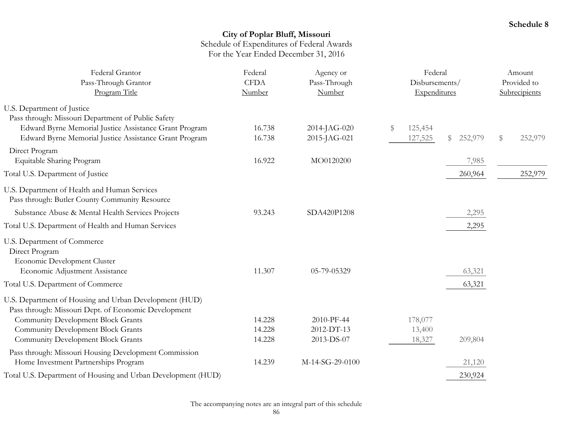# **City of Poplar Bluff, Missouri** Schedule of Expenditures of Federal Awards For the Year Ended December 31, 2016

| Federal Grantor<br>Pass-Through Grantor<br>Program Title                                                                                   | Federal<br><b>CFDA</b><br>Number | Agency or<br>Pass-Through<br>Number | Federal<br>Disbursements/<br>Expenditures |               | Amount<br>Provided to<br>Subrecipients |  |
|--------------------------------------------------------------------------------------------------------------------------------------------|----------------------------------|-------------------------------------|-------------------------------------------|---------------|----------------------------------------|--|
| U.S. Department of Justice<br>Pass through: Missouri Department of Public Safety<br>Edward Byrne Memorial Justice Assistance Grant Program | 16.738                           | 2014-JAG-020                        | $\mathbb{S}$<br>125,454                   |               |                                        |  |
| Edward Byrne Memorial Justice Assistance Grant Program                                                                                     | 16.738                           | 2015-JAG-021                        | 127,525                                   | 252,979<br>\$ | $\$\$<br>252,979                       |  |
| Direct Program<br>Equitable Sharing Program                                                                                                | 16.922                           | MO0120200                           |                                           | 7,985         |                                        |  |
| Total U.S. Department of Justice                                                                                                           |                                  |                                     |                                           | 260,964       | 252,979                                |  |
| U.S. Department of Health and Human Services<br>Pass through: Butler County Community Resource                                             |                                  |                                     |                                           |               |                                        |  |
| Substance Abuse & Mental Health Services Projects                                                                                          | 93.243                           | SDA420P1208                         |                                           | 2,295         |                                        |  |
| Total U.S. Department of Health and Human Services                                                                                         |                                  |                                     |                                           | 2,295         |                                        |  |
| U.S. Department of Commerce<br>Direct Program<br>Economic Development Cluster                                                              |                                  |                                     |                                           |               |                                        |  |
| Economic Adjustment Assistance                                                                                                             | 11.307                           | 05-79-05329                         |                                           | 63,321        |                                        |  |
| Total U.S. Department of Commerce                                                                                                          |                                  |                                     |                                           | 63,321        |                                        |  |
| U.S. Department of Housing and Urban Development (HUD)<br>Pass through: Missouri Dept. of Economic Development                             |                                  |                                     |                                           |               |                                        |  |
| Community Development Block Grants                                                                                                         | 14.228                           | 2010-PF-44                          | 178,077                                   |               |                                        |  |
| Community Development Block Grants                                                                                                         | 14.228                           | 2012-DT-13                          | 13,400                                    |               |                                        |  |
| Community Development Block Grants                                                                                                         | 14.228                           | 2013-DS-07                          | 18,327                                    | 209,804       |                                        |  |
| Pass through: Missouri Housing Development Commission<br>Home Investment Partnerships Program                                              | 14.239                           | M-14-SG-29-0100                     |                                           | 21,120        |                                        |  |
| Total U.S. Department of Housing and Urban Development (HUD)                                                                               |                                  |                                     |                                           | 230,924       |                                        |  |

The accompanying notes are an integral part of this schedule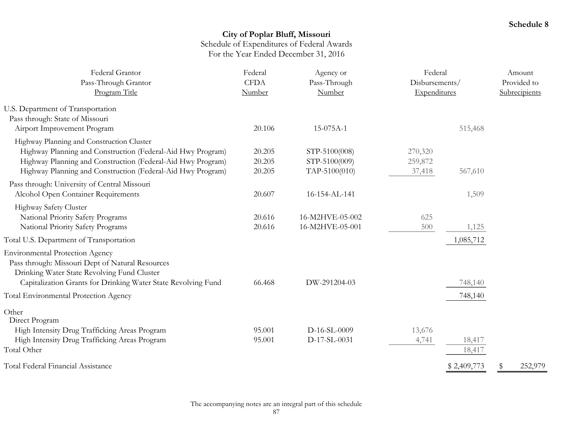# **City of Poplar Bluff, Missouri** Schedule of Expenditures of Federal Awards For the Year Ended December 31, 2016

| Federal Grantor<br>Pass-Through Grantor<br>Program Title                                                                                                                                                                                              | Federal<br><b>CFDA</b><br>Number | Agency or<br>Pass-Through<br>Number               | Federal<br>Disbursements/<br>Expenditures |                      | Amount<br>Provided to<br>Subrecipients |         |
|-------------------------------------------------------------------------------------------------------------------------------------------------------------------------------------------------------------------------------------------------------|----------------------------------|---------------------------------------------------|-------------------------------------------|----------------------|----------------------------------------|---------|
| U.S. Department of Transportation<br>Pass through: State of Missouri<br>Airport Improvement Program                                                                                                                                                   | 20.106                           | 15-075A-1                                         |                                           | 515,468              |                                        |         |
| Highway Planning and Construction Cluster                                                                                                                                                                                                             |                                  |                                                   |                                           |                      |                                        |         |
| Highway Planning and Construction (Federal-Aid Hwy Program)<br>Highway Planning and Construction (Federal-Aid Hwy Program)<br>Highway Planning and Construction (Federal-Aid Hwy Program)                                                             | 20.205<br>20.205<br>20.205       | STP-5100(008)<br>STP-5100(009)<br>$TAP-5100(010)$ | 270,320<br>259,872<br>37,418              | 567,610              |                                        |         |
| Pass through: University of Central Missouri<br>Alcohol Open Container Requirements                                                                                                                                                                   | 20.607                           | 16-154-AL-141                                     |                                           | 1,509                |                                        |         |
| Highway Safety Cluster<br>National Priority Safety Programs<br>National Priority Safety Programs                                                                                                                                                      | 20.616<br>20.616                 | 16-M2HVE-05-002<br>16-M2HVE-05-001                | 625<br>500                                | 1,125                |                                        |         |
| Total U.S. Department of Transportation<br><b>Environmental Protection Agency</b><br>Pass through: Missouri Dept of Natural Resources<br>Drinking Water State Revolving Fund Cluster<br>Capitalization Grants for Drinking Water State Revolving Fund | 66.468                           | DW-291204-03                                      |                                           | 1,085,712<br>748,140 |                                        |         |
| Total Environmental Protection Agency                                                                                                                                                                                                                 |                                  |                                                   |                                           | 748,140              |                                        |         |
| Other<br>Direct Program<br>High Intensity Drug Trafficking Areas Program<br>High Intensity Drug Trafficking Areas Program                                                                                                                             | 95.001<br>95.001                 | D-16-SL-0009<br>D-17-SL-0031                      | 13,676<br>4,741                           | 18,417               |                                        |         |
| Total Other                                                                                                                                                                                                                                           |                                  |                                                   |                                           | 18,417               |                                        |         |
| <b>Total Federal Financial Assistance</b>                                                                                                                                                                                                             |                                  |                                                   |                                           | \$2,409,773          | \$                                     | 252,979 |

The accompanying notes are an integral part of this schedule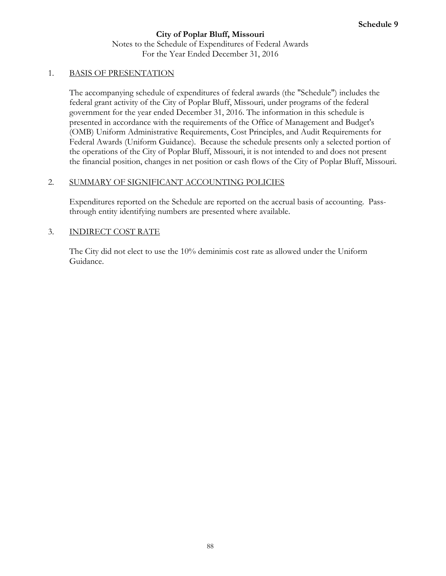## 1. BASIS OF PRESENTATION

The accompanying schedule of expenditures of federal awards (the "Schedule") includes the federal grant activity of the City of Poplar Bluff, Missouri, under programs of the federal government for the year ended December 31, 2016. The information in this schedule is presented in accordance with the requirements of the Office of Management and Budget's (OMB) Uniform Administrative Requirements, Cost Principles, and Audit Requirements for Federal Awards (Uniform Guidance). Because the schedule presents only a selected portion of the operations of the City of Poplar Bluff, Missouri, it is not intended to and does not present the financial position, changes in net position or cash flows of the City of Poplar Bluff, Missouri.

## 2. SUMMARY OF SIGNIFICANT ACCOUNTING POLICIES

Expenditures reported on the Schedule are reported on the accrual basis of accounting. Passthrough entity identifying numbers are presented where available.

## 3. INDIRECT COST RATE

The City did not elect to use the 10% deminimis cost rate as allowed under the Uniform Guidance.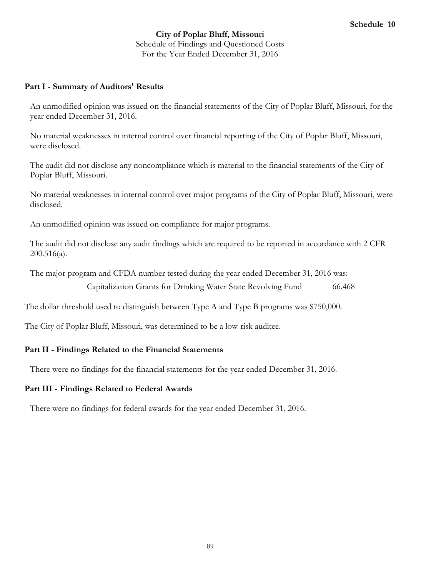## **City of Poplar Bluff, Missouri** Schedule of Findings and Questioned Costs For the Year Ended December 31, 2016

## **Part I - Summary of Auditors' Results**

An unmodified opinion was issued on the financial statements of the City of Poplar Bluff, Missouri, for the year ended December 31, 2016.

No material weaknesses in internal control over financial reporting of the City of Poplar Bluff, Missouri, were disclosed.

The audit did not disclose any noncompliance which is material to the financial statements of the City of Poplar Bluff, Missouri.

No material weaknesses in internal control over major programs of the City of Poplar Bluff, Missouri, were disclosed.

An unmodified opinion was issued on compliance for major programs.

The audit did not disclose any audit findings which are required to be reported in accordance with 2 CFR 200.516(a).

The major program and CFDA number tested during the year ended December 31, 2016 was:

Capitalization Grants for Drinking Water State Revolving Fund 66.468

The dollar threshold used to distinguish between Type A and Type B programs was \$750,000.

The City of Poplar Bluff, Missouri, was determined to be a low-risk auditee.

## **Part II - Findings Related to the Financial Statements**

There were no findings for the financial statements for the year ended December 31, 2016.

#### **Part III - Findings Related to Federal Awards**

There were no findings for federal awards for the year ended December 31, 2016.